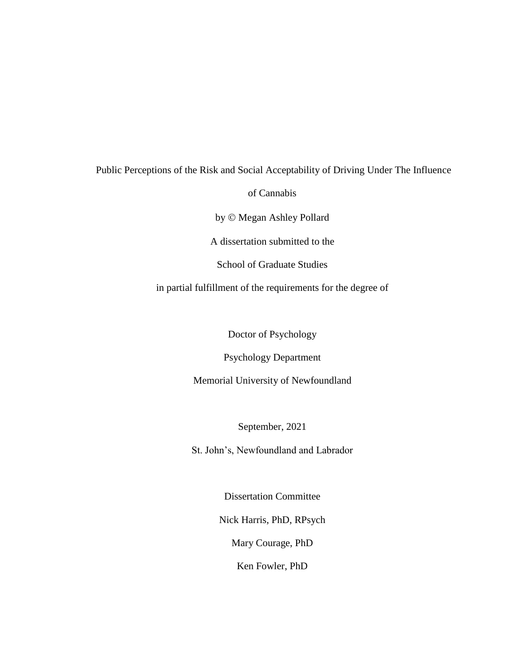# Public Perceptions of the Risk and Social Acceptability of Driving Under The Influence of Cannabis by © Megan Ashley Pollard A dissertation submitted to the School of Graduate Studies in partial fulfillment of the requirements for the degree of

Doctor of Psychology

Psychology Department

Memorial University of Newfoundland

September, 2021

St. John's, Newfoundland and Labrador

Dissertation Committee

Nick Harris, PhD, RPsych

Mary Courage, PhD

Ken Fowler, PhD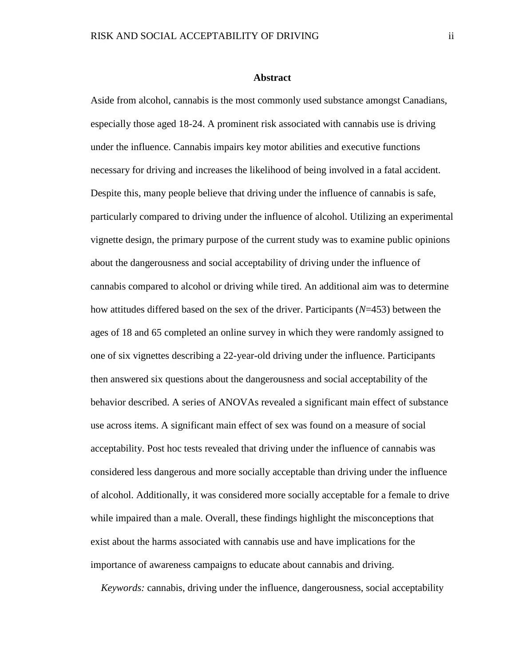#### **Abstract**

Aside from alcohol, cannabis is the most commonly used substance amongst Canadians, especially those aged 18-24. A prominent risk associated with cannabis use is driving under the influence. Cannabis impairs key motor abilities and executive functions necessary for driving and increases the likelihood of being involved in a fatal accident. Despite this, many people believe that driving under the influence of cannabis is safe, particularly compared to driving under the influence of alcohol. Utilizing an experimental vignette design, the primary purpose of the current study was to examine public opinions about the dangerousness and social acceptability of driving under the influence of cannabis compared to alcohol or driving while tired. An additional aim was to determine how attitudes differed based on the sex of the driver. Participants (*N*=453) between the ages of 18 and 65 completed an online survey in which they were randomly assigned to one of six vignettes describing a 22-year-old driving under the influence. Participants then answered six questions about the dangerousness and social acceptability of the behavior described. A series of ANOVAs revealed a significant main effect of substance use across items. A significant main effect of sex was found on a measure of social acceptability. Post hoc tests revealed that driving under the influence of cannabis was considered less dangerous and more socially acceptable than driving under the influence of alcohol. Additionally, it was considered more socially acceptable for a female to drive while impaired than a male. Overall, these findings highlight the misconceptions that exist about the harms associated with cannabis use and have implications for the importance of awareness campaigns to educate about cannabis and driving.

*Keywords:* cannabis, driving under the influence, dangerousness, social acceptability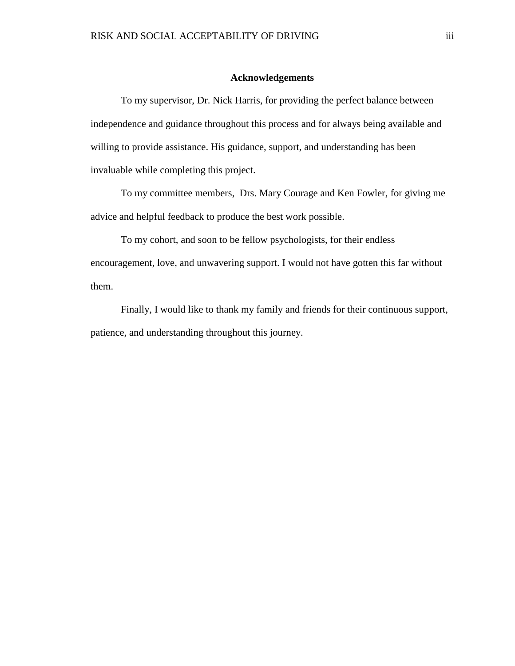#### **Acknowledgements**

To my supervisor, Dr. Nick Harris, for providing the perfect balance between independence and guidance throughout this process and for always being available and willing to provide assistance. His guidance, support, and understanding has been invaluable while completing this project.

To my committee members, Drs. Mary Courage and Ken Fowler, for giving me advice and helpful feedback to produce the best work possible.

To my cohort, and soon to be fellow psychologists, for their endless encouragement, love, and unwavering support. I would not have gotten this far without them.

Finally, I would like to thank my family and friends for their continuous support, patience, and understanding throughout this journey.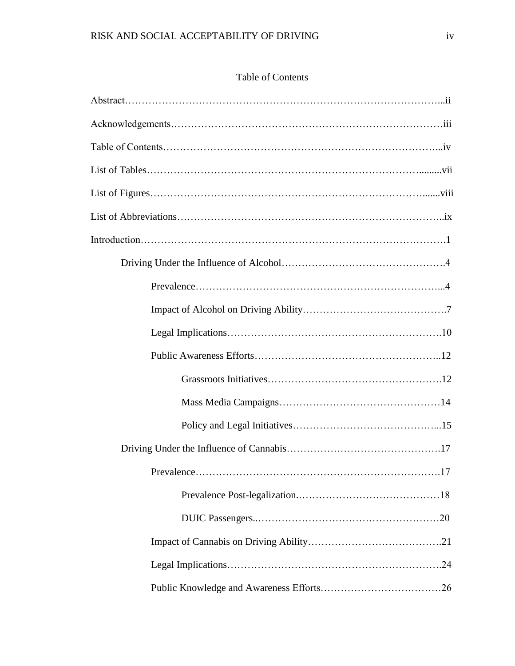### Table of Contents

| .17 |
|-----|
|     |
|     |
|     |
|     |
|     |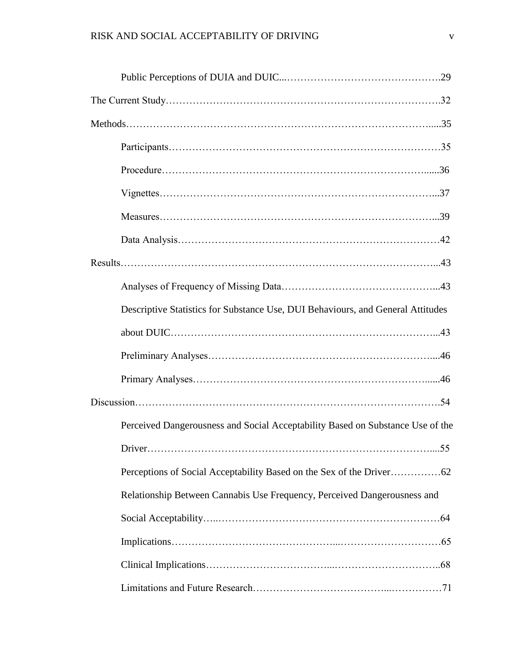| Descriptive Statistics for Substance Use, DUI Behaviours, and General Attitudes |
|---------------------------------------------------------------------------------|
|                                                                                 |
|                                                                                 |
|                                                                                 |
|                                                                                 |
| Perceived Dangerousness and Social Acceptability Based on Substance Use of the  |
| .55                                                                             |
|                                                                                 |
| Relationship Between Cannabis Use Frequency, Perceived Dangerousness and        |
|                                                                                 |
|                                                                                 |
|                                                                                 |
|                                                                                 |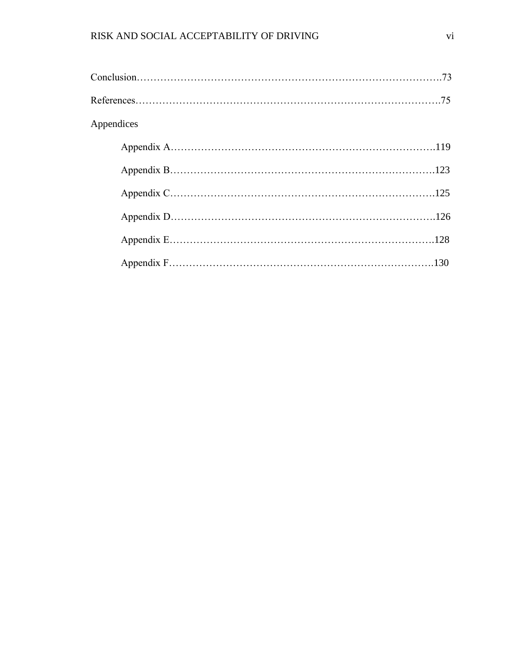| Appendices |  |
|------------|--|
|            |  |
|            |  |
|            |  |
|            |  |
|            |  |
|            |  |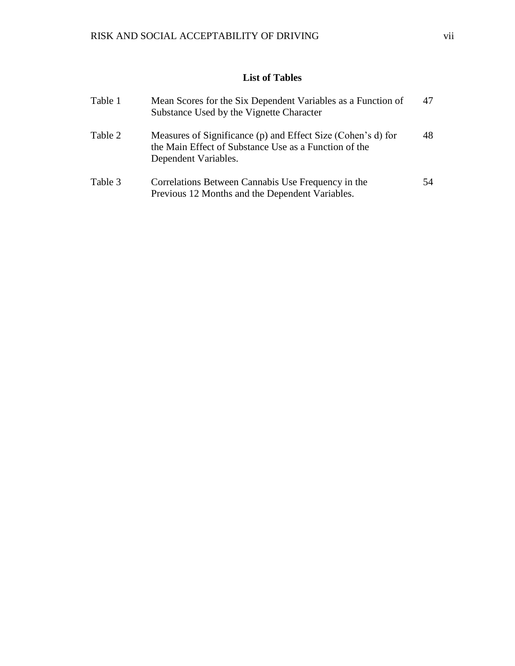## **List of Tables**

| Table 1 | Mean Scores for the Six Dependent Variables as a Function of<br>Substance Used by the Vignette Character                                      | 47 |
|---------|-----------------------------------------------------------------------------------------------------------------------------------------------|----|
| Table 2 | Measures of Significance (p) and Effect Size (Cohen's d) for<br>the Main Effect of Substance Use as a Function of the<br>Dependent Variables. | 48 |
| Table 3 | Correlations Between Cannabis Use Frequency in the<br>Previous 12 Months and the Dependent Variables.                                         | 54 |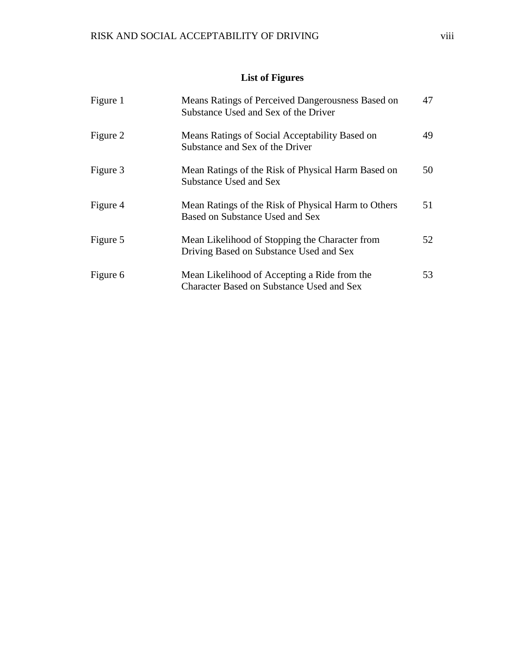## **List of Figures**

| Figure 1 | Means Ratings of Perceived Dangerousness Based on<br>Substance Used and Sex of the Driver | 47 |
|----------|-------------------------------------------------------------------------------------------|----|
| Figure 2 | Means Ratings of Social Acceptability Based on<br>Substance and Sex of the Driver         | 49 |
| Figure 3 | Mean Ratings of the Risk of Physical Harm Based on<br>Substance Used and Sex              | 50 |
| Figure 4 | Mean Ratings of the Risk of Physical Harm to Others<br>Based on Substance Used and Sex    | 51 |
| Figure 5 | Mean Likelihood of Stopping the Character from<br>Driving Based on Substance Used and Sex | 52 |
| Figure 6 | Mean Likelihood of Accepting a Ride from the<br>Character Based on Substance Used and Sex | 53 |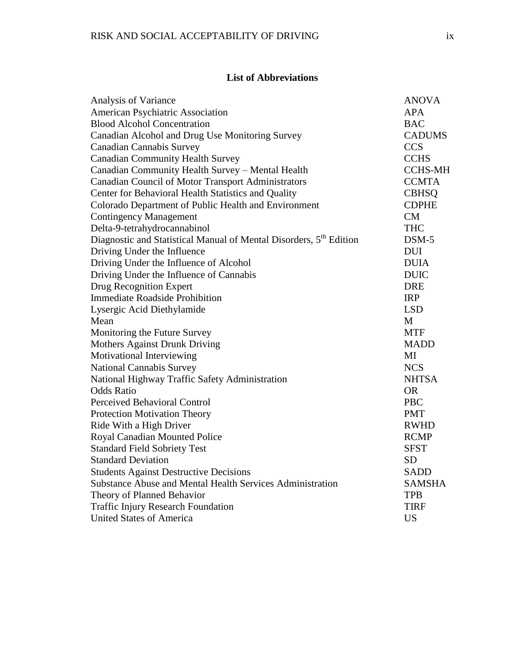## **List of Abbreviations**

| Analysis of Variance                                                           | <b>ANOVA</b>   |
|--------------------------------------------------------------------------------|----------------|
| American Psychiatric Association                                               | <b>APA</b>     |
| <b>Blood Alcohol Concentration</b>                                             | <b>BAC</b>     |
| Canadian Alcohol and Drug Use Monitoring Survey                                | <b>CADUMS</b>  |
| <b>Canadian Cannabis Survey</b>                                                | <b>CCS</b>     |
| <b>Canadian Community Health Survey</b>                                        | <b>CCHS</b>    |
| Canadian Community Health Survey - Mental Health                               | <b>CCHS-MH</b> |
| Canadian Council of Motor Transport Administrators                             | <b>CCMTA</b>   |
| Center for Behavioral Health Statistics and Quality                            | <b>CBHSQ</b>   |
| Colorado Department of Public Health and Environment                           | <b>CDPHE</b>   |
| <b>Contingency Management</b>                                                  | CM             |
| Delta-9-tetrahydrocannabinol                                                   | <b>THC</b>     |
| Diagnostic and Statistical Manual of Mental Disorders, 5 <sup>th</sup> Edition | $DSM-5$        |
| Driving Under the Influence                                                    | <b>DUI</b>     |
| Driving Under the Influence of Alcohol                                         | <b>DUIA</b>    |
| Driving Under the Influence of Cannabis                                        | <b>DUIC</b>    |
| Drug Recognition Expert                                                        | <b>DRE</b>     |
| <b>Immediate Roadside Prohibition</b>                                          | <b>IRP</b>     |
| Lysergic Acid Diethylamide                                                     | <b>LSD</b>     |
| Mean                                                                           | M              |
| Monitoring the Future Survey                                                   | <b>MTF</b>     |
| <b>Mothers Against Drunk Driving</b>                                           | <b>MADD</b>    |
| Motivational Interviewing                                                      | MI             |
| <b>National Cannabis Survey</b>                                                | <b>NCS</b>     |
| National Highway Traffic Safety Administration                                 | <b>NHTSA</b>   |
| <b>Odds Ratio</b>                                                              | <b>OR</b>      |
| Perceived Behavioral Control                                                   | <b>PBC</b>     |
| Protection Motivation Theory                                                   | <b>PMT</b>     |
| Ride With a High Driver                                                        | <b>RWHD</b>    |
| Royal Canadian Mounted Police                                                  | <b>RCMP</b>    |
| <b>Standard Field Sobriety Test</b>                                            | <b>SFST</b>    |
| <b>Standard Deviation</b>                                                      | <b>SD</b>      |
| <b>Students Against Destructive Decisions</b>                                  | <b>SADD</b>    |
| Substance Abuse and Mental Health Services Administration                      | <b>SAMSHA</b>  |
| Theory of Planned Behavior                                                     | <b>TPB</b>     |
| <b>Traffic Injury Research Foundation</b>                                      | <b>TIRF</b>    |
| <b>United States of America</b>                                                | <b>US</b>      |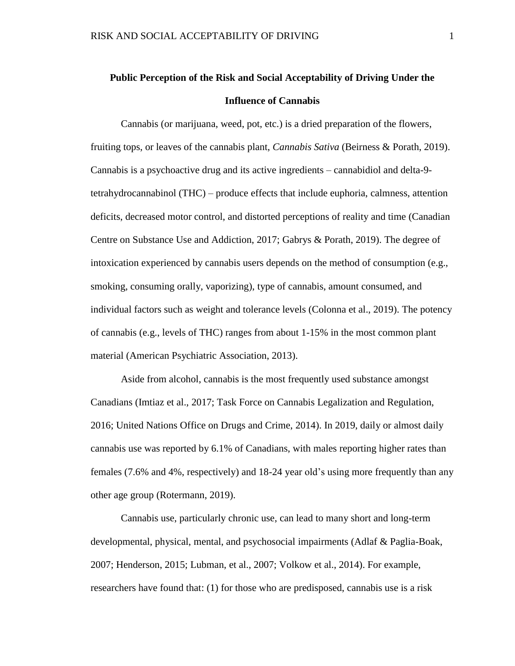## **Public Perception of the Risk and Social Acceptability of Driving Under the Influence of Cannabis**

Cannabis (or marijuana, weed, pot, etc.) is a dried preparation of the flowers, fruiting tops, or leaves of the cannabis plant, *Cannabis Sativa* (Beirness & Porath, 2019). Cannabis is a psychoactive drug and its active ingredients – cannabidiol and delta-9 tetrahydrocannabinol (THC) – produce effects that include euphoria, calmness, attention deficits, decreased motor control, and distorted perceptions of reality and time (Canadian Centre on Substance Use and Addiction, 2017; Gabrys & Porath, 2019). The degree of intoxication experienced by cannabis users depends on the method of consumption (e.g., smoking, consuming orally, vaporizing), type of cannabis, amount consumed, and individual factors such as weight and tolerance levels (Colonna et al., 2019). The potency of cannabis (e.g., levels of THC) ranges from about 1-15% in the most common plant material (American Psychiatric Association, 2013).

Aside from alcohol, cannabis is the most frequently used substance amongst Canadians (Imtiaz et al., 2017; Task Force on Cannabis Legalization and Regulation, 2016; United Nations Office on Drugs and Crime, 2014). In 2019, daily or almost daily cannabis use was reported by 6.1% of Canadians, with males reporting higher rates than females (7.6% and 4%, respectively) and 18-24 year old's using more frequently than any other age group (Rotermann, 2019).

Cannabis use, particularly chronic use, can lead to many short and long-term developmental, physical, mental, and psychosocial impairments (Adlaf & Paglia-Boak, 2007; Henderson, 2015; Lubman, et al., 2007; Volkow et al., 2014). For example, researchers have found that: (1) for those who are predisposed, cannabis use is a risk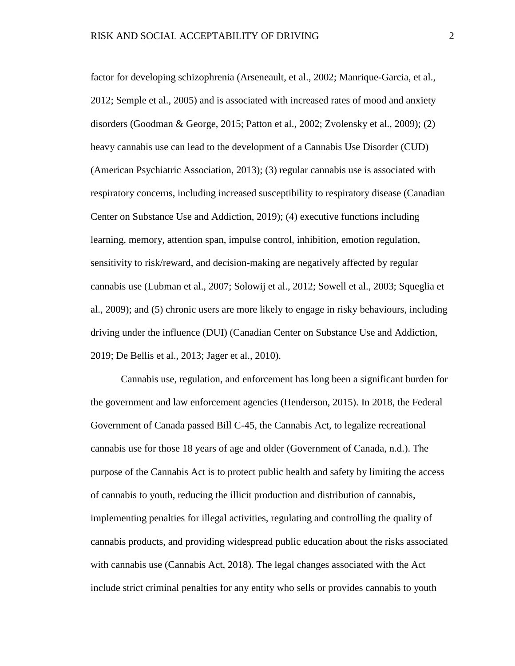factor for developing schizophrenia (Arseneault, et al., 2002; Manrique-Garcia, et al., 2012; Semple et al., 2005) and is associated with increased rates of mood and anxiety disorders (Goodman & George, 2015; Patton et al., 2002; Zvolensky et al., 2009); (2) heavy cannabis use can lead to the development of a Cannabis Use Disorder (CUD) (American Psychiatric Association, 2013); (3) regular cannabis use is associated with respiratory concerns, including increased susceptibility to respiratory disease (Canadian Center on Substance Use and Addiction, 2019); (4) executive functions including learning, memory, attention span, impulse control, inhibition, emotion regulation, sensitivity to risk/reward, and decision-making are negatively affected by regular cannabis use (Lubman et al., 2007; Solowij et al., 2012; Sowell et al., 2003; Squeglia et al., 2009); and (5) chronic users are more likely to engage in risky behaviours, including driving under the influence (DUI) (Canadian Center on Substance Use and Addiction, 2019; De Bellis et al., 2013; Jager et al., 2010).

Cannabis use, regulation, and enforcement has long been a significant burden for the government and law enforcement agencies (Henderson, 2015). In 2018, the Federal Government of Canada passed Bill C-45, the Cannabis Act, to legalize recreational cannabis use for those 18 years of age and older (Government of Canada, n.d.). The purpose of the Cannabis Act is to protect public health and safety by limiting the access of cannabis to youth, reducing the illicit production and distribution of cannabis, implementing penalties for illegal activities, regulating and controlling the quality of cannabis products, and providing widespread public education about the risks associated with cannabis use (Cannabis Act, 2018). The legal changes associated with the Act include strict criminal penalties for any entity who sells or provides cannabis to youth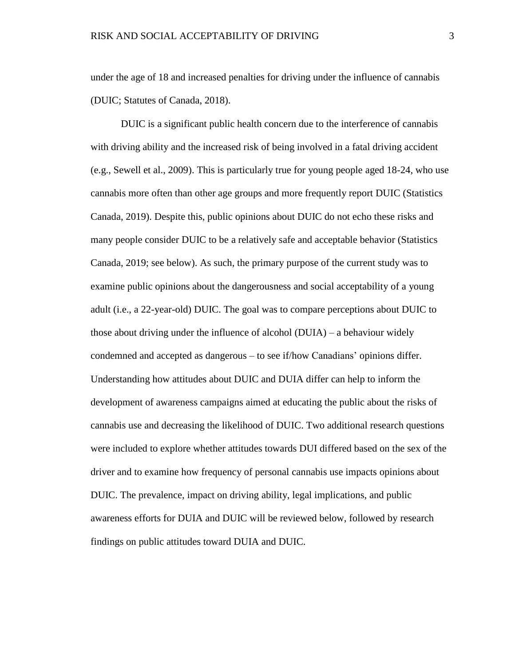under the age of 18 and increased penalties for driving under the influence of cannabis (DUIC; Statutes of Canada, 2018).

DUIC is a significant public health concern due to the interference of cannabis with driving ability and the increased risk of being involved in a fatal driving accident (e.g., Sewell et al., 2009). This is particularly true for young people aged 18-24, who use cannabis more often than other age groups and more frequently report DUIC (Statistics Canada, 2019). Despite this, public opinions about DUIC do not echo these risks and many people consider DUIC to be a relatively safe and acceptable behavior (Statistics Canada, 2019; see below). As such, the primary purpose of the current study was to examine public opinions about the dangerousness and social acceptability of a young adult (i.e., a 22-year-old) DUIC. The goal was to compare perceptions about DUIC to those about driving under the influence of alcohol  $(DUIA) - a$  behaviour widely condemned and accepted as dangerous – to see if/how Canadians' opinions differ. Understanding how attitudes about DUIC and DUIA differ can help to inform the development of awareness campaigns aimed at educating the public about the risks of cannabis use and decreasing the likelihood of DUIC. Two additional research questions were included to explore whether attitudes towards DUI differed based on the sex of the driver and to examine how frequency of personal cannabis use impacts opinions about DUIC. The prevalence, impact on driving ability, legal implications, and public awareness efforts for DUIA and DUIC will be reviewed below, followed by research findings on public attitudes toward DUIA and DUIC.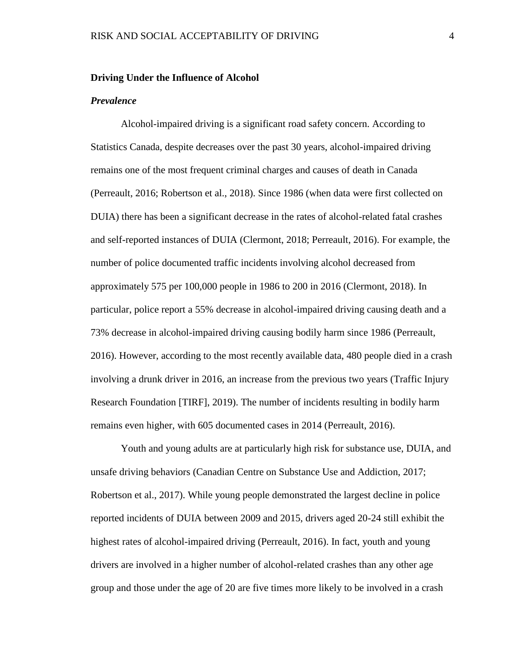#### **Driving Under the Influence of Alcohol**

#### *Prevalence*

Alcohol-impaired driving is a significant road safety concern. According to Statistics Canada, despite decreases over the past 30 years, alcohol-impaired driving remains one of the most frequent criminal charges and causes of death in Canada (Perreault, 2016; Robertson et al., 2018). Since 1986 (when data were first collected on DUIA) there has been a significant decrease in the rates of alcohol-related fatal crashes and self-reported instances of DUIA (Clermont, 2018; Perreault, 2016). For example, the number of police documented traffic incidents involving alcohol decreased from approximately 575 per 100,000 people in 1986 to 200 in 2016 (Clermont, 2018). In particular, police report a 55% decrease in alcohol-impaired driving causing death and a 73% decrease in alcohol-impaired driving causing bodily harm since 1986 (Perreault, 2016). However, according to the most recently available data, 480 people died in a crash involving a drunk driver in 2016, an increase from the previous two years (Traffic Injury Research Foundation [TIRF], 2019). The number of incidents resulting in bodily harm remains even higher, with 605 documented cases in 2014 (Perreault, 2016).

Youth and young adults are at particularly high risk for substance use, DUIA, and unsafe driving behaviors (Canadian Centre on Substance Use and Addiction, 2017; Robertson et al., 2017). While young people demonstrated the largest decline in police reported incidents of DUIA between 2009 and 2015, drivers aged 20-24 still exhibit the highest rates of alcohol-impaired driving (Perreault, 2016). In fact, youth and young drivers are involved in a higher number of alcohol-related crashes than any other age group and those under the age of 20 are five times more likely to be involved in a crash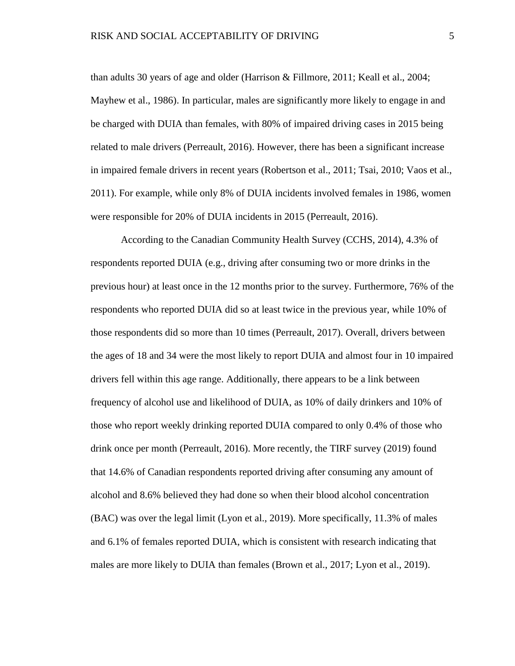than adults 30 years of age and older (Harrison & Fillmore, 2011; Keall et al., 2004; Mayhew et al., 1986). In particular, males are significantly more likely to engage in and be charged with DUIA than females, with 80% of impaired driving cases in 2015 being related to male drivers (Perreault, 2016). However, there has been a significant increase in impaired female drivers in recent years (Robertson et al., 2011; Tsai, 2010; Vaos et al., 2011). For example, while only 8% of DUIA incidents involved females in 1986, women were responsible for 20% of DUIA incidents in 2015 (Perreault, 2016).

According to the Canadian Community Health Survey (CCHS, 2014), 4.3% of respondents reported DUIA (e.g., driving after consuming two or more drinks in the previous hour) at least once in the 12 months prior to the survey. Furthermore, 76% of the respondents who reported DUIA did so at least twice in the previous year, while 10% of those respondents did so more than 10 times (Perreault, 2017). Overall, drivers between the ages of 18 and 34 were the most likely to report DUIA and almost four in 10 impaired drivers fell within this age range. Additionally, there appears to be a link between frequency of alcohol use and likelihood of DUIA, as 10% of daily drinkers and 10% of those who report weekly drinking reported DUIA compared to only 0.4% of those who drink once per month (Perreault, 2016). More recently, the TIRF survey (2019) found that 14.6% of Canadian respondents reported driving after consuming any amount of alcohol and 8.6% believed they had done so when their blood alcohol concentration (BAC) was over the legal limit (Lyon et al., 2019). More specifically, 11.3% of males and 6.1% of females reported DUIA, which is consistent with research indicating that males are more likely to DUIA than females (Brown et al., 2017; Lyon et al., 2019).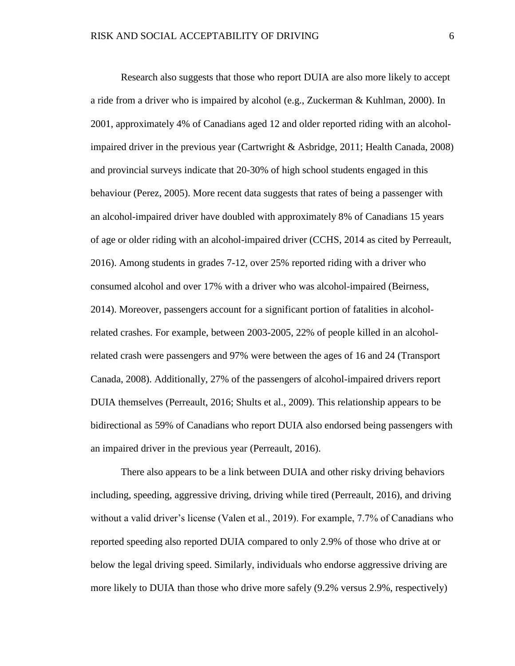Research also suggests that those who report DUIA are also more likely to accept a ride from a driver who is impaired by alcohol (e.g., Zuckerman & Kuhlman, 2000). In 2001, approximately 4% of Canadians aged 12 and older reported riding with an alcoholimpaired driver in the previous year (Cartwright & Asbridge, 2011; Health Canada, 2008) and provincial surveys indicate that 20-30% of high school students engaged in this behaviour (Perez, 2005). More recent data suggests that rates of being a passenger with an alcohol-impaired driver have doubled with approximately 8% of Canadians 15 years of age or older riding with an alcohol-impaired driver (CCHS, 2014 as cited by Perreault, 2016). Among students in grades 7-12, over 25% reported riding with a driver who consumed alcohol and over 17% with a driver who was alcohol-impaired (Beirness, 2014). Moreover, passengers account for a significant portion of fatalities in alcoholrelated crashes. For example, between 2003-2005, 22% of people killed in an alcoholrelated crash were passengers and 97% were between the ages of 16 and 24 (Transport Canada, 2008). Additionally, 27% of the passengers of alcohol-impaired drivers report DUIA themselves (Perreault, 2016; Shults et al., 2009). This relationship appears to be bidirectional as 59% of Canadians who report DUIA also endorsed being passengers with an impaired driver in the previous year (Perreault, 2016).

There also appears to be a link between DUIA and other risky driving behaviors including, speeding, aggressive driving, driving while tired (Perreault, 2016), and driving without a valid driver's license (Valen et al., 2019). For example, 7.7% of Canadians who reported speeding also reported DUIA compared to only 2.9% of those who drive at or below the legal driving speed. Similarly, individuals who endorse aggressive driving are more likely to DUIA than those who drive more safely (9.2% versus 2.9%, respectively)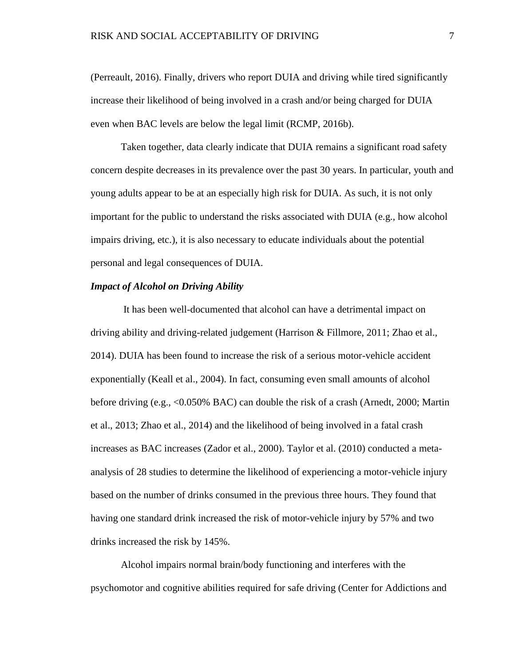(Perreault, 2016). Finally, drivers who report DUIA and driving while tired significantly increase their likelihood of being involved in a crash and/or being charged for DUIA even when BAC levels are below the legal limit (RCMP, 2016b).

Taken together, data clearly indicate that DUIA remains a significant road safety concern despite decreases in its prevalence over the past 30 years. In particular, youth and young adults appear to be at an especially high risk for DUIA. As such, it is not only important for the public to understand the risks associated with DUIA (e.g., how alcohol impairs driving, etc.), it is also necessary to educate individuals about the potential personal and legal consequences of DUIA.

#### *Impact of Alcohol on Driving Ability*

It has been well-documented that alcohol can have a detrimental impact on driving ability and driving-related judgement (Harrison & Fillmore, 2011; Zhao et al., 2014). DUIA has been found to increase the risk of a serious motor-vehicle accident exponentially (Keall et al., 2004). In fact, consuming even small amounts of alcohol before driving (e.g., <0.050% BAC) can double the risk of a crash (Arnedt, 2000; Martin et al., 2013; Zhao et al., 2014) and the likelihood of being involved in a fatal crash increases as BAC increases (Zador et al., 2000). Taylor et al. (2010) conducted a metaanalysis of 28 studies to determine the likelihood of experiencing a motor-vehicle injury based on the number of drinks consumed in the previous three hours. They found that having one standard drink increased the risk of motor-vehicle injury by 57% and two drinks increased the risk by 145%.

Alcohol impairs normal brain/body functioning and interferes with the psychomotor and cognitive abilities required for safe driving (Center for Addictions and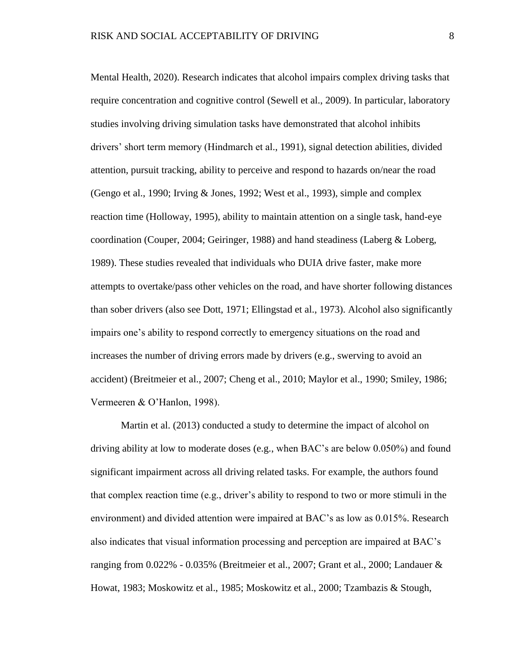Mental Health, 2020). Research indicates that alcohol impairs complex driving tasks that require concentration and cognitive control (Sewell et al., 2009). In particular, laboratory studies involving driving simulation tasks have demonstrated that alcohol inhibits drivers' short term memory (Hindmarch et al., 1991), signal detection abilities, divided attention, pursuit tracking, ability to perceive and respond to hazards on/near the road (Gengo et al., 1990; Irving & Jones, 1992; West et al., 1993), simple and complex reaction time (Holloway, 1995), ability to maintain attention on a single task, hand-eye coordination (Couper, 2004; Geiringer, 1988) and hand steadiness (Laberg & Loberg, 1989). These studies revealed that individuals who DUIA drive faster, make more attempts to overtake/pass other vehicles on the road, and have shorter following distances than sober drivers (also see Dott, 1971; Ellingstad et al., 1973). Alcohol also significantly impairs one's ability to respond correctly to emergency situations on the road and increases the number of driving errors made by drivers (e.g., swerving to avoid an accident) (Breitmeier et al., 2007; Cheng et al., 2010; Maylor et al., 1990; Smiley, 1986; Vermeeren & O'Hanlon, 1998).

Martin et al. (2013) conducted a study to determine the impact of alcohol on driving ability at low to moderate doses (e.g., when BAC's are below 0.050%) and found significant impairment across all driving related tasks. For example, the authors found that complex reaction time (e.g., driver's ability to respond to two or more stimuli in the environment) and divided attention were impaired at BAC's as low as 0.015%. Research also indicates that visual information processing and perception are impaired at BAC's ranging from 0.022% - 0.035% (Breitmeier et al., 2007; Grant et al., 2000; Landauer & Howat, 1983; Moskowitz et al., 1985; Moskowitz et al., 2000; Tzambazis & Stough,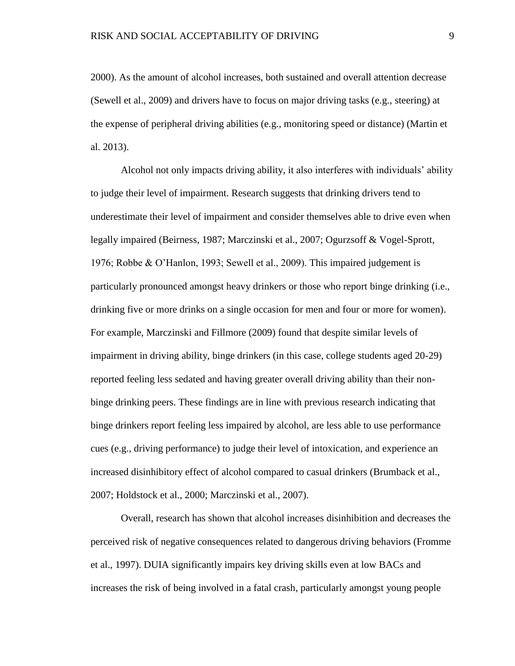2000). As the amount of alcohol increases, both sustained and overall attention decrease (Sewell et al., 2009) and drivers have to focus on major driving tasks (e.g., steering) at the expense of peripheral driving abilities (e.g., monitoring speed or distance) (Martin et al. 2013).

Alcohol not only impacts driving ability, it also interferes with individuals' ability to judge their level of impairment. Research suggests that drinking drivers tend to underestimate their level of impairment and consider themselves able to drive even when legally impaired (Beirness, 1987; Marczinski et al., 2007; Ogurzsoff & Vogel-Sprott, 1976; Robbe & O'Hanlon, 1993; Sewell et al., 2009). This impaired judgement is particularly pronounced amongst heavy drinkers or those who report binge drinking (i.e., drinking five or more drinks on a single occasion for men and four or more for women). For example, Marczinski and Fillmore (2009) found that despite similar levels of impairment in driving ability, binge drinkers (in this case, college students aged 20-29) reported feeling less sedated and having greater overall driving ability than their nonbinge drinking peers. These findings are in line with previous research indicating that binge drinkers report feeling less impaired by alcohol, are less able to use performance cues (e.g., driving performance) to judge their level of intoxication, and experience an increased disinhibitory effect of alcohol compared to casual drinkers (Brumback et al., 2007; Holdstock et al., 2000; Marczinski et al., 2007).

Overall, research has shown that alcohol increases disinhibition and decreases the perceived risk of negative consequences related to dangerous driving behaviors (Fromme et al., 1997). DUIA significantly impairs key driving skills even at low BACs and increases the risk of being involved in a fatal crash, particularly amongst young people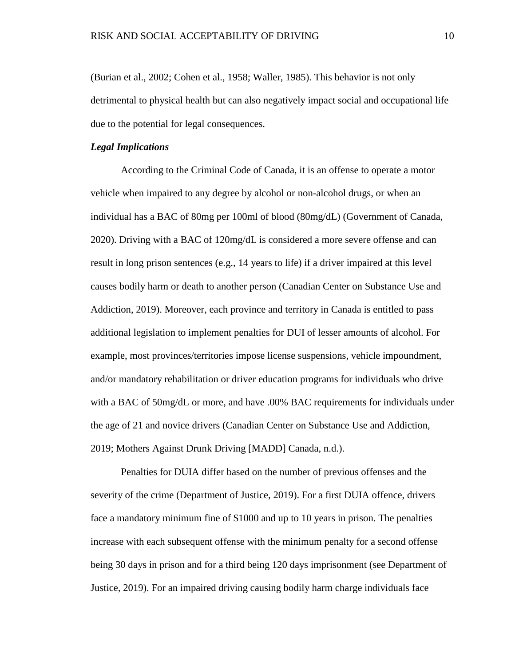(Burian et al., 2002; Cohen et al., 1958; Waller, 1985). This behavior is not only detrimental to physical health but can also negatively impact social and occupational life due to the potential for legal consequences.

#### *Legal Implications*

According to the Criminal Code of Canada, it is an offense to operate a motor vehicle when impaired to any degree by alcohol or non-alcohol drugs, or when an individual has a BAC of 80mg per 100ml of blood (80mg/dL) (Government of Canada, 2020). Driving with a BAC of 120mg/dL is considered a more severe offense and can result in long prison sentences (e.g., 14 years to life) if a driver impaired at this level causes bodily harm or death to another person (Canadian Center on Substance Use and Addiction, 2019). Moreover, each province and territory in Canada is entitled to pass additional legislation to implement penalties for DUI of lesser amounts of alcohol. For example, most provinces/territories impose license suspensions, vehicle impoundment, and/or mandatory rehabilitation or driver education programs for individuals who drive with a BAC of 50mg/dL or more, and have .00% BAC requirements for individuals under the age of 21 and novice drivers (Canadian Center on Substance Use and Addiction, 2019; Mothers Against Drunk Driving [MADD] Canada, n.d.).

Penalties for DUIA differ based on the number of previous offenses and the severity of the crime (Department of Justice, 2019). For a first DUIA offence, drivers face a mandatory minimum fine of \$1000 and up to 10 years in prison. The penalties increase with each subsequent offense with the minimum penalty for a second offense being 30 days in prison and for a third being 120 days imprisonment (see Department of Justice, 2019). For an impaired driving causing bodily harm charge individuals face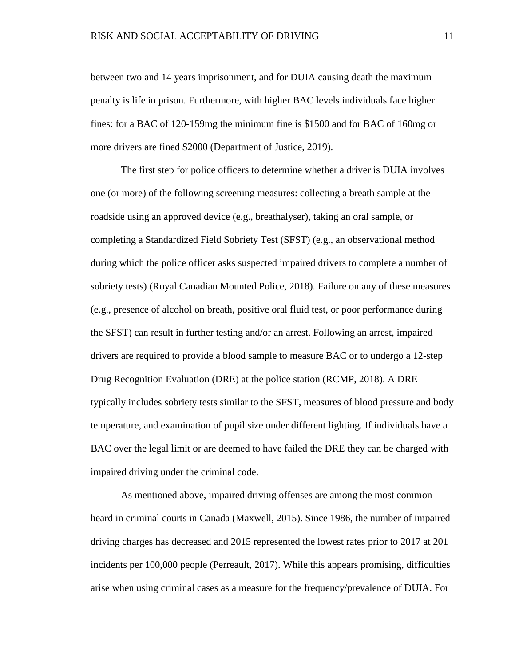between two and 14 years imprisonment, and for DUIA causing death the maximum penalty is life in prison. Furthermore, with higher BAC levels individuals face higher fines: for a BAC of 120-159mg the minimum fine is \$1500 and for BAC of 160mg or more drivers are fined \$2000 (Department of Justice, 2019).

The first step for police officers to determine whether a driver is DUIA involves one (or more) of the following screening measures: collecting a breath sample at the roadside using an approved device (e.g., breathalyser), taking an oral sample, or completing a Standardized Field Sobriety Test (SFST) (e.g., an observational method during which the police officer asks suspected impaired drivers to complete a number of sobriety tests) (Royal Canadian Mounted Police, 2018). Failure on any of these measures (e.g., presence of alcohol on breath, positive oral fluid test, or poor performance during the SFST) can result in further testing and/or an arrest. Following an arrest, impaired drivers are required to provide a blood sample to measure BAC or to undergo a 12-step Drug Recognition Evaluation (DRE) at the police station (RCMP, 2018). A DRE typically includes sobriety tests similar to the SFST, measures of blood pressure and body temperature, and examination of pupil size under different lighting. If individuals have a BAC over the legal limit or are deemed to have failed the DRE they can be charged with impaired driving under the criminal code.

As mentioned above, impaired driving offenses are among the most common heard in criminal courts in Canada (Maxwell, 2015). Since 1986, the number of impaired driving charges has decreased and 2015 represented the lowest rates prior to 2017 at 201 incidents per 100,000 people (Perreault, 2017). While this appears promising, difficulties arise when using criminal cases as a measure for the frequency/prevalence of DUIA. For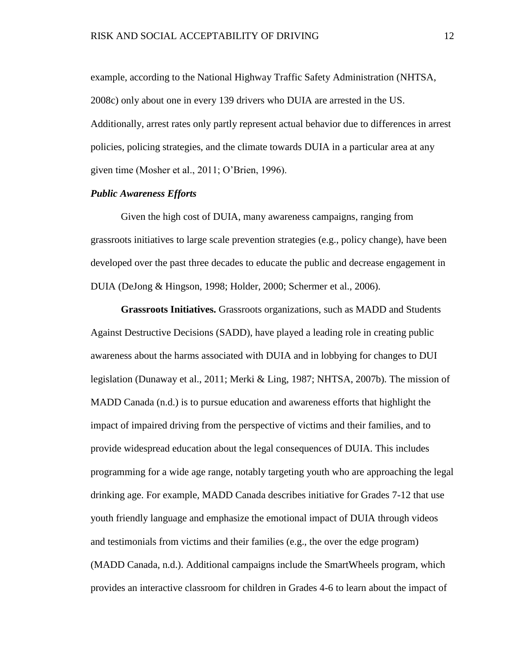example, according to the National Highway Traffic Safety Administration (NHTSA, 2008c) only about one in every 139 drivers who DUIA are arrested in the US. Additionally, arrest rates only partly represent actual behavior due to differences in arrest policies, policing strategies, and the climate towards DUIA in a particular area at any given time (Mosher et al., 2011; O'Brien, 1996).

#### *Public Awareness Efforts*

Given the high cost of DUIA, many awareness campaigns, ranging from grassroots initiatives to large scale prevention strategies (e.g., policy change), have been developed over the past three decades to educate the public and decrease engagement in DUIA (DeJong & Hingson, 1998; Holder, 2000; Schermer et al., 2006).

**Grassroots Initiatives.** Grassroots organizations, such as MADD and Students Against Destructive Decisions (SADD), have played a leading role in creating public awareness about the harms associated with DUIA and in lobbying for changes to DUI legislation (Dunaway et al., 2011; Merki & Ling, 1987; NHTSA, 2007b). The mission of MADD Canada (n.d.) is to pursue education and awareness efforts that highlight the impact of impaired driving from the perspective of victims and their families, and to provide widespread education about the legal consequences of DUIA. This includes programming for a wide age range, notably targeting youth who are approaching the legal drinking age. For example, MADD Canada describes initiative for Grades 7-12 that use youth friendly language and emphasize the emotional impact of DUIA through videos and testimonials from victims and their families (e.g., the over the edge program) (MADD Canada, n.d.). Additional campaigns include the SmartWheels program, which provides an interactive classroom for children in Grades 4-6 to learn about the impact of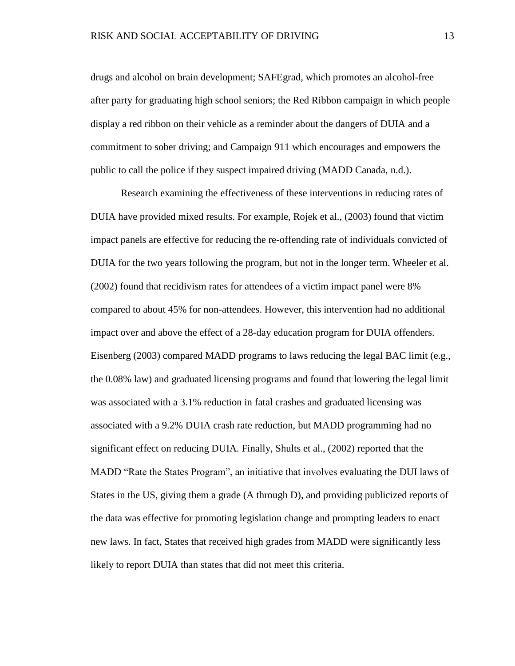drugs and alcohol on brain development; SAFEgrad, which promotes an alcohol-free after party for graduating high school seniors; the Red Ribbon campaign in which people display a red ribbon on their vehicle as a reminder about the dangers of DUIA and a commitment to sober driving; and Campaign 911 which encourages and empowers the public to call the police if they suspect impaired driving (MADD Canada, n.d.).

Research examining the effectiveness of these interventions in reducing rates of DUIA have provided mixed results. For example, Rojek et al., (2003) found that victim impact panels are effective for reducing the re-offending rate of individuals convicted of DUIA for the two years following the program, but not in the longer term. Wheeler et al. (2002) found that recidivism rates for attendees of a victim impact panel were 8% compared to about 45% for non-attendees. However, this intervention had no additional impact over and above the effect of a 28-day education program for DUIA offenders. Eisenberg (2003) compared MADD programs to laws reducing the legal BAC limit (e.g., the 0.08% law) and graduated licensing programs and found that lowering the legal limit was associated with a 3.1% reduction in fatal crashes and graduated licensing was associated with a 9.2% DUIA crash rate reduction, but MADD programming had no significant effect on reducing DUIA. Finally, Shults et al., (2002) reported that the MADD "Rate the States Program", an initiative that involves evaluating the DUI laws of States in the US, giving them a grade (A through D), and providing publicized reports of the data was effective for promoting legislation change and prompting leaders to enact new laws. In fact, States that received high grades from MADD were significantly less likely to report DUIA than states that did not meet this criteria.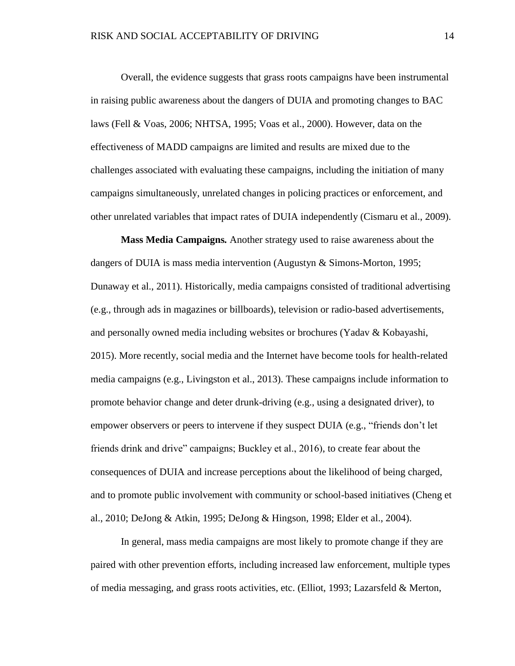Overall, the evidence suggests that grass roots campaigns have been instrumental in raising public awareness about the dangers of DUIA and promoting changes to BAC laws (Fell & Voas, 2006; NHTSA, 1995; Voas et al., 2000). However, data on the effectiveness of MADD campaigns are limited and results are mixed due to the challenges associated with evaluating these campaigns, including the initiation of many campaigns simultaneously, unrelated changes in policing practices or enforcement, and other unrelated variables that impact rates of DUIA independently (Cismaru et al., 2009).

**Mass Media Campaigns***.* Another strategy used to raise awareness about the dangers of DUIA is mass media intervention (Augustyn & Simons-Morton, 1995; Dunaway et al., 2011). Historically, media campaigns consisted of traditional advertising (e.g., through ads in magazines or billboards), television or radio-based advertisements, and personally owned media including websites or brochures (Yadav & Kobayashi, 2015). More recently, social media and the Internet have become tools for health-related media campaigns (e.g., Livingston et al., 2013). These campaigns include information to promote behavior change and deter drunk-driving (e.g., using a designated driver), to empower observers or peers to intervene if they suspect DUIA (e.g., "friends don't let friends drink and drive" campaigns; Buckley et al., 2016), to create fear about the consequences of DUIA and increase perceptions about the likelihood of being charged, and to promote public involvement with community or school-based initiatives (Cheng et al., 2010; DeJong & Atkin, 1995; DeJong & Hingson, 1998; Elder et al., 2004).

In general, mass media campaigns are most likely to promote change if they are paired with other prevention efforts, including increased law enforcement, multiple types of media messaging, and grass roots activities, etc. (Elliot, 1993; Lazarsfeld & Merton,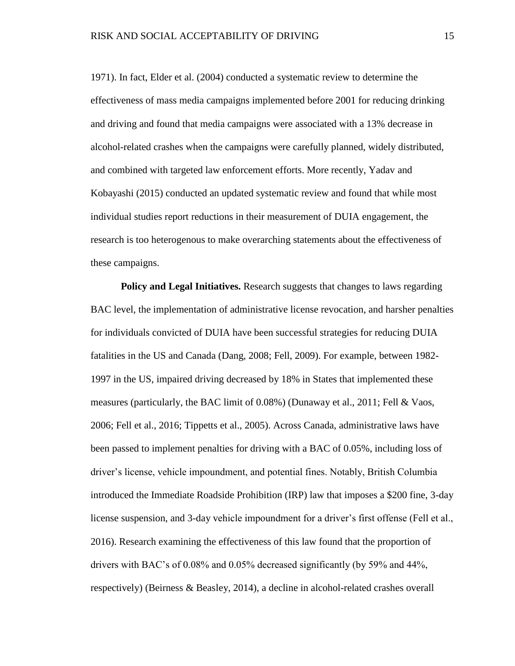1971). In fact, Elder et al. (2004) conducted a systematic review to determine the effectiveness of mass media campaigns implemented before 2001 for reducing drinking and driving and found that media campaigns were associated with a 13% decrease in alcohol-related crashes when the campaigns were carefully planned, widely distributed, and combined with targeted law enforcement efforts. More recently, Yadav and Kobayashi (2015) conducted an updated systematic review and found that while most individual studies report reductions in their measurement of DUIA engagement, the research is too heterogenous to make overarching statements about the effectiveness of these campaigns.

**Policy and Legal Initiatives.** Research suggests that changes to laws regarding BAC level, the implementation of administrative license revocation, and harsher penalties for individuals convicted of DUIA have been successful strategies for reducing DUIA fatalities in the US and Canada (Dang, 2008; Fell, 2009). For example, between 1982- 1997 in the US, impaired driving decreased by 18% in States that implemented these measures (particularly, the BAC limit of 0.08%) (Dunaway et al., 2011; Fell & Vaos, 2006; Fell et al., 2016; Tippetts et al., 2005). Across Canada, administrative laws have been passed to implement penalties for driving with a BAC of 0.05%, including loss of driver's license, vehicle impoundment, and potential fines. Notably, British Columbia introduced the Immediate Roadside Prohibition (IRP) law that imposes a \$200 fine, 3-day license suspension, and 3-day vehicle impoundment for a driver's first offense (Fell et al., 2016). Research examining the effectiveness of this law found that the proportion of drivers with BAC's of 0.08% and 0.05% decreased significantly (by 59% and 44%, respectively) (Beirness & Beasley, 2014), a decline in alcohol-related crashes overall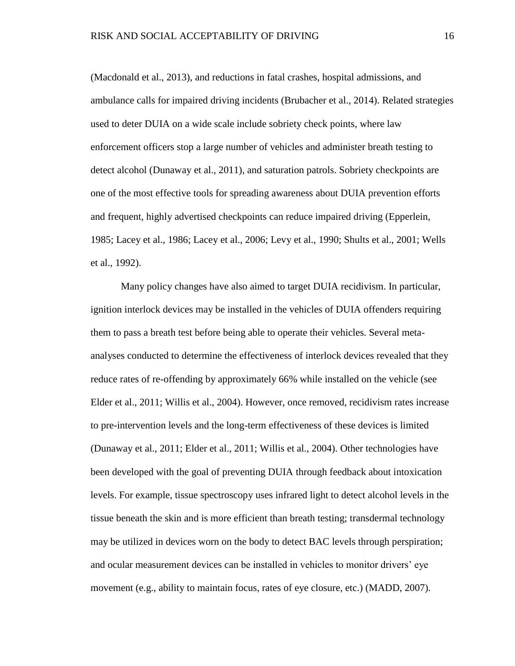(Macdonald et al., 2013), and reductions in fatal crashes, hospital admissions, and ambulance calls for impaired driving incidents (Brubacher et al., 2014). Related strategies used to deter DUIA on a wide scale include sobriety check points, where law enforcement officers stop a large number of vehicles and administer breath testing to detect alcohol (Dunaway et al., 2011), and saturation patrols. Sobriety checkpoints are one of the most effective tools for spreading awareness about DUIA prevention efforts and frequent, highly advertised checkpoints can reduce impaired driving (Epperlein, 1985; Lacey et al., 1986; Lacey et al., 2006; Levy et al., 1990; Shults et al., 2001; Wells et al., 1992).

Many policy changes have also aimed to target DUIA recidivism. In particular, ignition interlock devices may be installed in the vehicles of DUIA offenders requiring them to pass a breath test before being able to operate their vehicles. Several metaanalyses conducted to determine the effectiveness of interlock devices revealed that they reduce rates of re-offending by approximately 66% while installed on the vehicle (see Elder et al., 2011; Willis et al., 2004). However, once removed, recidivism rates increase to pre-intervention levels and the long-term effectiveness of these devices is limited (Dunaway et al., 2011; Elder et al., 2011; Willis et al., 2004). Other technologies have been developed with the goal of preventing DUIA through feedback about intoxication levels. For example, tissue spectroscopy uses infrared light to detect alcohol levels in the tissue beneath the skin and is more efficient than breath testing; transdermal technology may be utilized in devices worn on the body to detect BAC levels through perspiration; and ocular measurement devices can be installed in vehicles to monitor drivers' eye movement (e.g., ability to maintain focus, rates of eye closure, etc.) (MADD, 2007).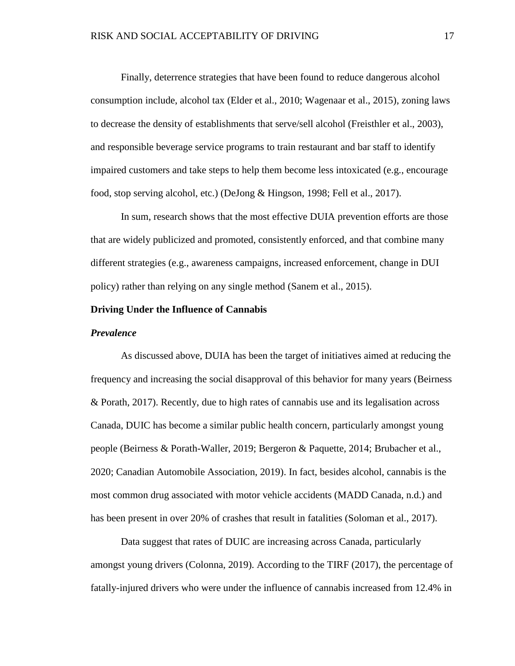Finally, deterrence strategies that have been found to reduce dangerous alcohol consumption include, alcohol tax (Elder et al., 2010; Wagenaar et al., 2015), zoning laws to decrease the density of establishments that serve/sell alcohol (Freisthler et al., 2003), and responsible beverage service programs to train restaurant and bar staff to identify impaired customers and take steps to help them become less intoxicated (e.g., encourage food, stop serving alcohol, etc.) (DeJong & Hingson, 1998; Fell et al., 2017).

In sum, research shows that the most effective DUIA prevention efforts are those that are widely publicized and promoted, consistently enforced, and that combine many different strategies (e.g., awareness campaigns, increased enforcement, change in DUI policy) rather than relying on any single method (Sanem et al., 2015).

#### **Driving Under the Influence of Cannabis**

#### *Prevalence*

As discussed above, DUIA has been the target of initiatives aimed at reducing the frequency and increasing the social disapproval of this behavior for many years (Beirness & Porath, 2017). Recently, due to high rates of cannabis use and its legalisation across Canada, DUIC has become a similar public health concern, particularly amongst young people (Beirness & Porath-Waller, 2019; Bergeron & Paquette, 2014; Brubacher et al., 2020; Canadian Automobile Association, 2019). In fact, besides alcohol, cannabis is the most common drug associated with motor vehicle accidents (MADD Canada, n.d.) and has been present in over 20% of crashes that result in fatalities (Soloman et al., 2017).

Data suggest that rates of DUIC are increasing across Canada, particularly amongst young drivers (Colonna, 2019). According to the TIRF (2017), the percentage of fatally-injured drivers who were under the influence of cannabis increased from 12.4% in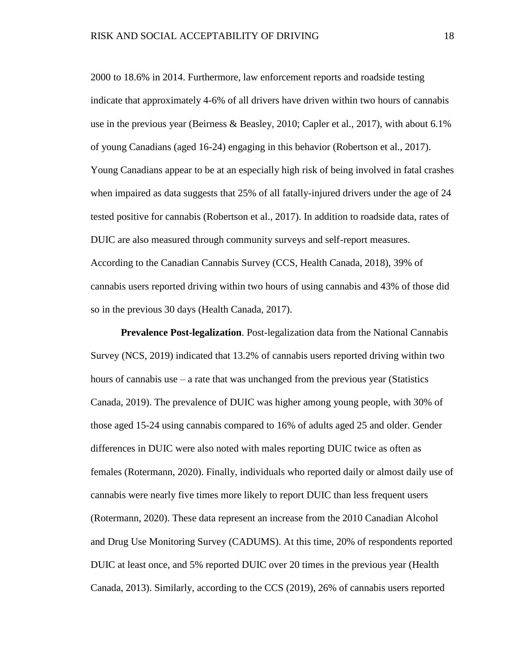2000 to 18.6% in 2014. Furthermore, law enforcement reports and roadside testing indicate that approximately 4-6% of all drivers have driven within two hours of cannabis use in the previous year (Beirness & Beasley, 2010; Capler et al., 2017), with about 6.1% of young Canadians (aged 16-24) engaging in this behavior (Robertson et al., 2017). Young Canadians appear to be at an especially high risk of being involved in fatal crashes when impaired as data suggests that 25% of all fatally-injured drivers under the age of 24 tested positive for cannabis (Robertson et al., 2017). In addition to roadside data, rates of DUIC are also measured through community surveys and self-report measures. According to the Canadian Cannabis Survey (CCS, Health Canada, 2018), 39% of cannabis users reported driving within two hours of using cannabis and 43% of those did so in the previous 30 days (Health Canada, 2017).

**Prevalence Post-legalization**. Post-legalization data from the National Cannabis Survey (NCS, 2019) indicated that 13.2% of cannabis users reported driving within two hours of cannabis use  $-$  a rate that was unchanged from the previous year (Statistics Canada, 2019). The prevalence of DUIC was higher among young people, with 30% of those aged 15-24 using cannabis compared to 16% of adults aged 25 and older. Gender differences in DUIC were also noted with males reporting DUIC twice as often as females (Rotermann, 2020). Finally, individuals who reported daily or almost daily use of cannabis were nearly five times more likely to report DUIC than less frequent users (Rotermann, 2020). These data represent an increase from the 2010 Canadian Alcohol and Drug Use Monitoring Survey (CADUMS). At this time, 20% of respondents reported DUIC at least once, and 5% reported DUIC over 20 times in the previous year (Health Canada, 2013). Similarly, according to the CCS (2019), 26% of cannabis users reported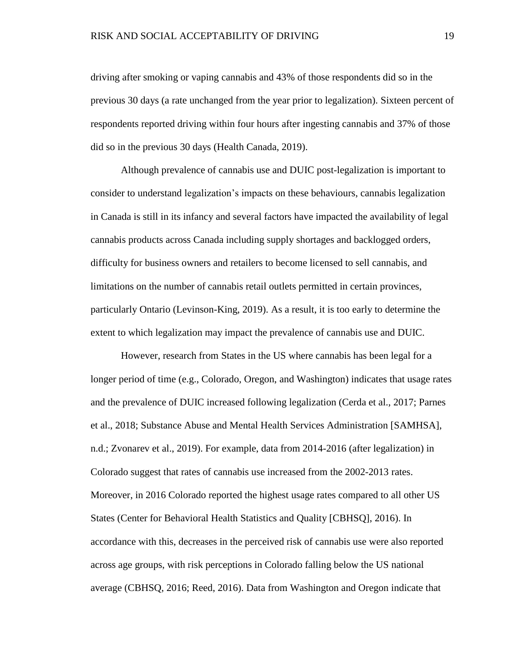driving after smoking or vaping cannabis and 43% of those respondents did so in the previous 30 days (a rate unchanged from the year prior to legalization). Sixteen percent of respondents reported driving within four hours after ingesting cannabis and 37% of those did so in the previous 30 days (Health Canada, 2019).

Although prevalence of cannabis use and DUIC post-legalization is important to consider to understand legalization's impacts on these behaviours, cannabis legalization in Canada is still in its infancy and several factors have impacted the availability of legal cannabis products across Canada including supply shortages and backlogged orders, difficulty for business owners and retailers to become licensed to sell cannabis, and limitations on the number of cannabis retail outlets permitted in certain provinces, particularly Ontario (Levinson-King, 2019). As a result, it is too early to determine the extent to which legalization may impact the prevalence of cannabis use and DUIC.

However, research from States in the US where cannabis has been legal for a longer period of time (e.g., Colorado, Oregon, and Washington) indicates that usage rates and the prevalence of DUIC increased following legalization (Cerda et al., 2017; Parnes et al., 2018; Substance Abuse and Mental Health Services Administration [SAMHSA], n.d.; Zvonarev et al., 2019). For example, data from 2014-2016 (after legalization) in Colorado suggest that rates of cannabis use increased from the 2002-2013 rates. Moreover, in 2016 Colorado reported the highest usage rates compared to all other US States (Center for Behavioral Health Statistics and Quality [CBHSQ], 2016). In accordance with this, decreases in the perceived risk of cannabis use were also reported across age groups, with risk perceptions in Colorado falling below the US national average (CBHSQ, 2016; Reed, 2016). Data from Washington and Oregon indicate that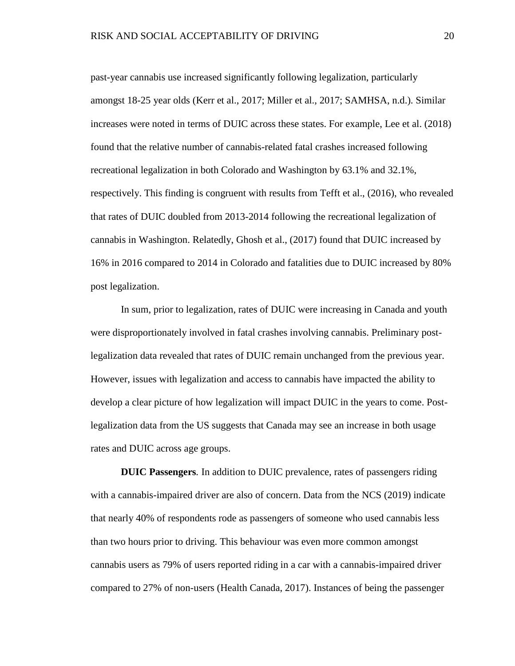past-year cannabis use increased significantly following legalization, particularly amongst 18-25 year olds (Kerr et al., 2017; Miller et al., 2017; SAMHSA, n.d.). Similar increases were noted in terms of DUIC across these states. For example, Lee et al. (2018) found that the relative number of cannabis-related fatal crashes increased following recreational legalization in both Colorado and Washington by 63.1% and 32.1%, respectively. This finding is congruent with results from Tefft et al., (2016), who revealed that rates of DUIC doubled from 2013-2014 following the recreational legalization of cannabis in Washington. Relatedly, Ghosh et al., (2017) found that DUIC increased by 16% in 2016 compared to 2014 in Colorado and fatalities due to DUIC increased by 80% post legalization.

In sum, prior to legalization, rates of DUIC were increasing in Canada and youth were disproportionately involved in fatal crashes involving cannabis. Preliminary postlegalization data revealed that rates of DUIC remain unchanged from the previous year. However, issues with legalization and access to cannabis have impacted the ability to develop a clear picture of how legalization will impact DUIC in the years to come. Postlegalization data from the US suggests that Canada may see an increase in both usage rates and DUIC across age groups.

**DUIC Passengers***.* In addition to DUIC prevalence, rates of passengers riding with a cannabis-impaired driver are also of concern. Data from the NCS (2019) indicate that nearly 40% of respondents rode as passengers of someone who used cannabis less than two hours prior to driving. This behaviour was even more common amongst cannabis users as 79% of users reported riding in a car with a cannabis-impaired driver compared to 27% of non-users (Health Canada, 2017). Instances of being the passenger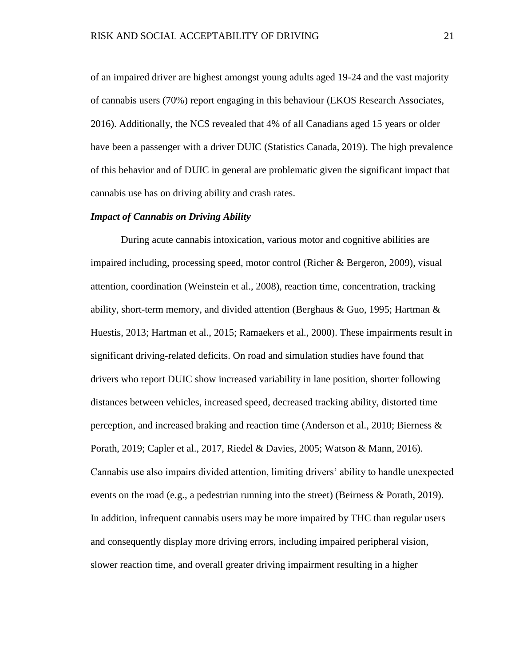of an impaired driver are highest amongst young adults aged 19-24 and the vast majority of cannabis users (70%) report engaging in this behaviour (EKOS Research Associates, 2016). Additionally, the NCS revealed that 4% of all Canadians aged 15 years or older have been a passenger with a driver DUIC (Statistics Canada, 2019). The high prevalence of this behavior and of DUIC in general are problematic given the significant impact that cannabis use has on driving ability and crash rates.

#### *Impact of Cannabis on Driving Ability*

During acute cannabis intoxication, various motor and cognitive abilities are impaired including, processing speed, motor control (Richer & Bergeron, 2009), visual attention, coordination (Weinstein et al., 2008), reaction time, concentration, tracking ability, short-term memory, and divided attention (Berghaus & Guo, 1995; Hartman & Huestis, 2013; Hartman et al., 2015; Ramaekers et al., 2000). These impairments result in significant driving-related deficits. On road and simulation studies have found that drivers who report DUIC show increased variability in lane position, shorter following distances between vehicles, increased speed, decreased tracking ability, distorted time perception, and increased braking and reaction time (Anderson et al., 2010; Bierness & Porath, 2019; Capler et al., 2017, Riedel & Davies, 2005; Watson & Mann, 2016). Cannabis use also impairs divided attention, limiting drivers' ability to handle unexpected events on the road (e.g., a pedestrian running into the street) (Beirness & Porath, 2019). In addition, infrequent cannabis users may be more impaired by THC than regular users and consequently display more driving errors, including impaired peripheral vision, slower reaction time, and overall greater driving impairment resulting in a higher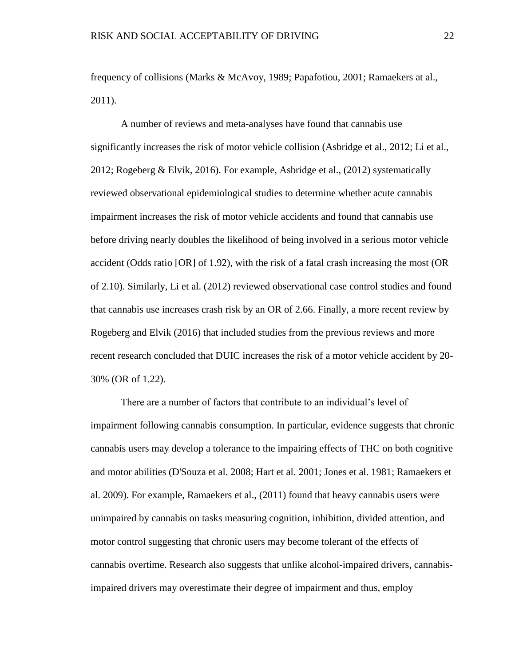frequency of collisions (Marks & McAvoy, 1989; Papafotiou, 2001; Ramaekers at al., 2011).

A number of reviews and meta-analyses have found that cannabis use significantly increases the risk of motor vehicle collision (Asbridge et al., 2012; Li et al., 2012; Rogeberg & Elvik, 2016). For example, Asbridge et al., (2012) systematically reviewed observational epidemiological studies to determine whether acute cannabis impairment increases the risk of motor vehicle accidents and found that cannabis use before driving nearly doubles the likelihood of being involved in a serious motor vehicle accident (Odds ratio [OR] of 1.92), with the risk of a fatal crash increasing the most (OR of 2.10). Similarly, Li et al. (2012) reviewed observational case control studies and found that cannabis use increases crash risk by an OR of 2.66. Finally, a more recent review by Rogeberg and Elvik (2016) that included studies from the previous reviews and more recent research concluded that DUIC increases the risk of a motor vehicle accident by 20- 30% (OR of 1.22).

There are a number of factors that contribute to an individual's level of impairment following cannabis consumption. In particular, evidence suggests that chronic cannabis users may develop a tolerance to the impairing effects of THC on both cognitive and motor abilities (D'Souza et al. 2008; Hart et al. 2001; Jones et al. 1981; Ramaekers et al. 2009). For example, Ramaekers et al., (2011) found that heavy cannabis users were unimpaired by cannabis on tasks measuring cognition, inhibition, divided attention, and motor control suggesting that chronic users may become tolerant of the effects of cannabis overtime. Research also suggests that unlike alcohol-impaired drivers, cannabisimpaired drivers may overestimate their degree of impairment and thus, employ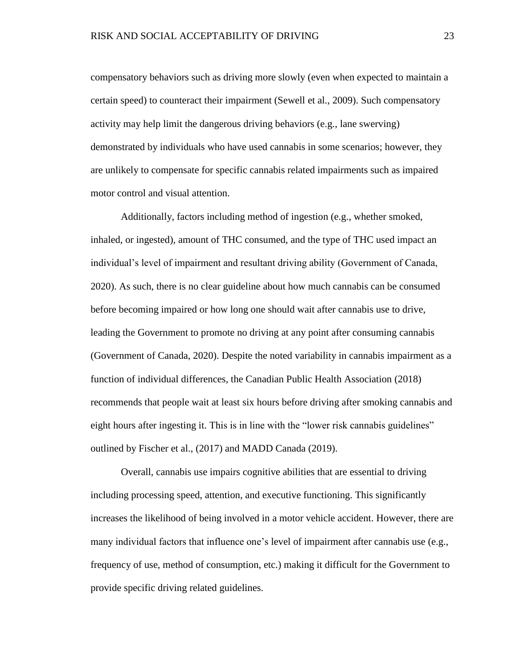compensatory behaviors such as driving more slowly (even when expected to maintain a certain speed) to counteract their impairment (Sewell et al., 2009). Such compensatory activity may help limit the dangerous driving behaviors (e.g., lane swerving) demonstrated by individuals who have used cannabis in some scenarios; however, they are unlikely to compensate for specific cannabis related impairments such as impaired motor control and visual attention.

Additionally, factors including method of ingestion (e.g., whether smoked, inhaled, or ingested), amount of THC consumed, and the type of THC used impact an individual's level of impairment and resultant driving ability (Government of Canada, 2020). As such, there is no clear guideline about how much cannabis can be consumed before becoming impaired or how long one should wait after cannabis use to drive, leading the Government to promote no driving at any point after consuming cannabis (Government of Canada, 2020). Despite the noted variability in cannabis impairment as a function of individual differences, the Canadian Public Health Association (2018) recommends that people wait at least six hours before driving after smoking cannabis and eight hours after ingesting it. This is in line with the "lower risk cannabis guidelines" outlined by Fischer et al., (2017) and MADD Canada (2019).

Overall, cannabis use impairs cognitive abilities that are essential to driving including processing speed, attention, and executive functioning. This significantly increases the likelihood of being involved in a motor vehicle accident. However, there are many individual factors that influence one's level of impairment after cannabis use (e.g., frequency of use, method of consumption, etc.) making it difficult for the Government to provide specific driving related guidelines.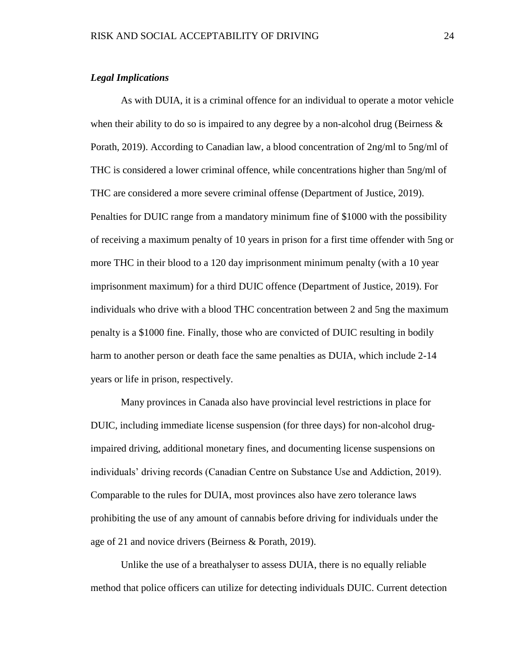#### *Legal Implications*

As with DUIA, it is a criminal offence for an individual to operate a motor vehicle when their ability to do so is impaired to any degree by a non-alcohol drug (Beirness  $\&$ Porath, 2019). According to Canadian law, a blood concentration of 2ng/ml to 5ng/ml of THC is considered a lower criminal offence, while concentrations higher than 5ng/ml of THC are considered a more severe criminal offense (Department of Justice, 2019). Penalties for DUIC range from a mandatory minimum fine of \$1000 with the possibility of receiving a maximum penalty of 10 years in prison for a first time offender with 5ng or more THC in their blood to a 120 day imprisonment minimum penalty (with a 10 year imprisonment maximum) for a third DUIC offence (Department of Justice, 2019). For individuals who drive with a blood THC concentration between 2 and 5ng the maximum penalty is a \$1000 fine. Finally, those who are convicted of DUIC resulting in bodily harm to another person or death face the same penalties as DUIA, which include 2-14 years or life in prison, respectively.

Many provinces in Canada also have provincial level restrictions in place for DUIC, including immediate license suspension (for three days) for non-alcohol drugimpaired driving, additional monetary fines, and documenting license suspensions on individuals' driving records (Canadian Centre on Substance Use and Addiction, 2019). Comparable to the rules for DUIA, most provinces also have zero tolerance laws prohibiting the use of any amount of cannabis before driving for individuals under the age of 21 and novice drivers (Beirness & Porath, 2019).

Unlike the use of a breathalyser to assess DUIA, there is no equally reliable method that police officers can utilize for detecting individuals DUIC. Current detection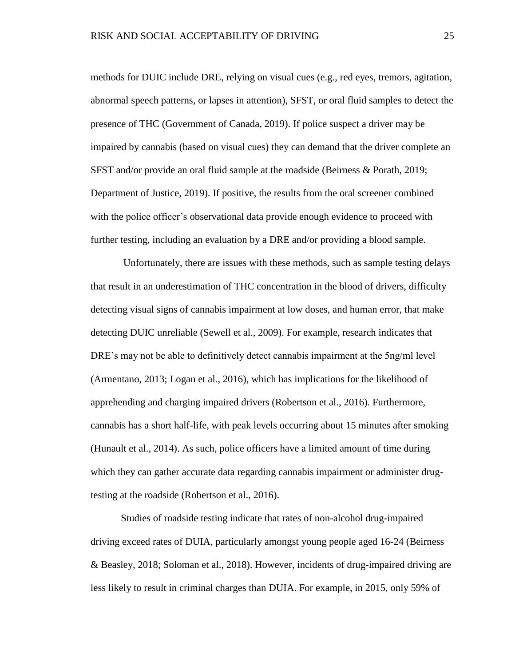methods for DUIC include DRE, relying on visual cues (e.g., red eyes, tremors, agitation, abnormal speech patterns, or lapses in attention), SFST, or oral fluid samples to detect the presence of THC (Government of Canada, 2019). If police suspect a driver may be impaired by cannabis (based on visual cues) they can demand that the driver complete an SFST and/or provide an oral fluid sample at the roadside (Beirness & Porath, 2019; Department of Justice, 2019). If positive, the results from the oral screener combined with the police officer's observational data provide enough evidence to proceed with further testing, including an evaluation by a DRE and/or providing a blood sample.

Unfortunately, there are issues with these methods, such as sample testing delays that result in an underestimation of THC concentration in the blood of drivers, difficulty detecting visual signs of cannabis impairment at low doses, and human error, that make detecting DUIC unreliable (Sewell et al., 2009). For example, research indicates that DRE's may not be able to definitively detect cannabis impairment at the 5ng/ml level (Armentano, 2013; Logan et al., 2016), which has implications for the likelihood of apprehending and charging impaired drivers (Robertson et al., 2016). Furthermore, cannabis has a short half-life, with peak levels occurring about 15 minutes after smoking (Hunault et al., 2014). As such, police officers have a limited amount of time during which they can gather accurate data regarding cannabis impairment or administer drugtesting at the roadside (Robertson et al., 2016).

Studies of roadside testing indicate that rates of non-alcohol drug-impaired driving exceed rates of DUIA, particularly amongst young people aged 16-24 (Beirness & Beasley, 2018; Soloman et al., 2018). However, incidents of drug-impaired driving are less likely to result in criminal charges than DUIA. For example, in 2015, only 59% of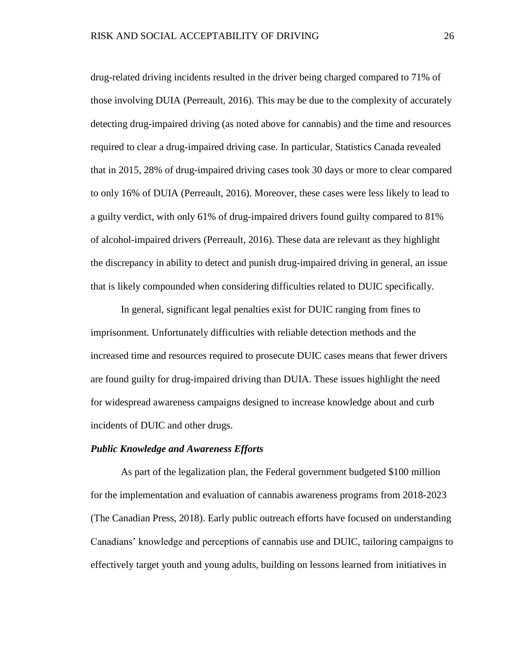drug-related driving incidents resulted in the driver being charged compared to 71% of those involving DUIA (Perreault, 2016). This may be due to the complexity of accurately detecting drug-impaired driving (as noted above for cannabis) and the time and resources required to clear a drug-impaired driving case. In particular, Statistics Canada revealed that in 2015, 28% of drug-impaired driving cases took 30 days or more to clear compared to only 16% of DUIA (Perreault, 2016). Moreover, these cases were less likely to lead to a guilty verdict, with only 61% of drug-impaired drivers found guilty compared to 81% of alcohol-impaired drivers (Perreault, 2016). These data are relevant as they highlight the discrepancy in ability to detect and punish drug-impaired driving in general, an issue that is likely compounded when considering difficulties related to DUIC specifically.

In general, significant legal penalties exist for DUIC ranging from fines to imprisonment. Unfortunately difficulties with reliable detection methods and the increased time and resources required to prosecute DUIC cases means that fewer drivers are found guilty for drug-impaired driving than DUIA. These issues highlight the need for widespread awareness campaigns designed to increase knowledge about and curb incidents of DUIC and other drugs.

#### *Public Knowledge and Awareness Efforts*

As part of the legalization plan, the Federal government budgeted \$100 million for the implementation and evaluation of cannabis awareness programs from 2018-2023 (The Canadian Press, 2018). Early public outreach efforts have focused on understanding Canadians' knowledge and perceptions of cannabis use and DUIC, tailoring campaigns to effectively target youth and young adults, building on lessons learned from initiatives in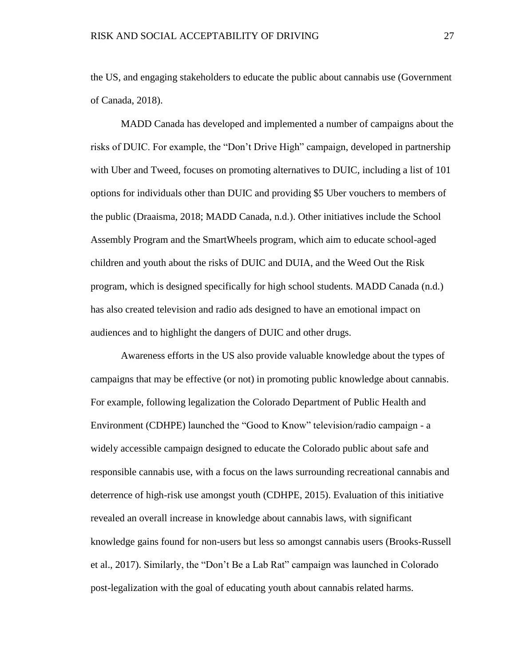the US, and engaging stakeholders to educate the public about cannabis use (Government of Canada, 2018).

MADD Canada has developed and implemented a number of campaigns about the risks of DUIC. For example, the "Don't Drive High" campaign, developed in partnership with Uber and Tweed, focuses on promoting alternatives to DUIC, including a list of 101 options for individuals other than DUIC and providing \$5 Uber vouchers to members of the public (Draaisma, 2018; MADD Canada, n.d.). Other initiatives include the School Assembly Program and the SmartWheels program, which aim to educate school-aged children and youth about the risks of DUIC and DUIA, and the Weed Out the Risk program, which is designed specifically for high school students. MADD Canada (n.d.) has also created television and radio ads designed to have an emotional impact on audiences and to highlight the dangers of DUIC and other drugs.

Awareness efforts in the US also provide valuable knowledge about the types of campaigns that may be effective (or not) in promoting public knowledge about cannabis. For example, following legalization the Colorado Department of Public Health and Environment (CDHPE) launched the "Good to Know" television/radio campaign - a widely accessible campaign designed to educate the Colorado public about safe and responsible cannabis use, with a focus on the laws surrounding recreational cannabis and deterrence of high-risk use amongst youth (CDHPE, 2015). Evaluation of this initiative revealed an overall increase in knowledge about cannabis laws, with significant knowledge gains found for non-users but less so amongst cannabis users (Brooks-Russell et al., 2017). Similarly, the "Don't Be a Lab Rat" campaign was launched in Colorado post-legalization with the goal of educating youth about cannabis related harms.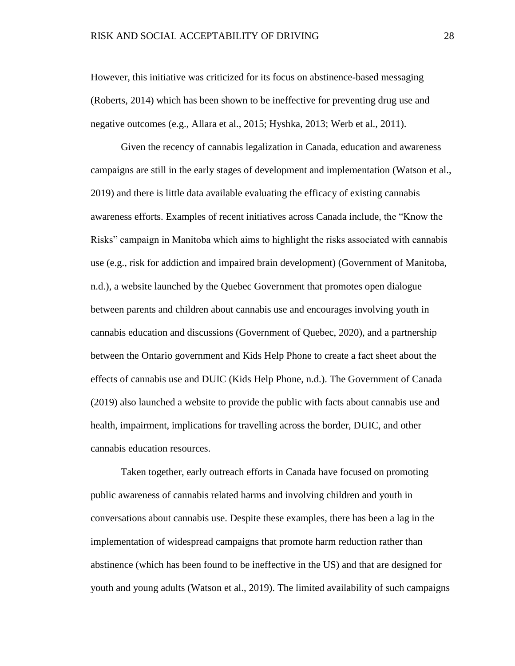However, this initiative was criticized for its focus on abstinence-based messaging (Roberts, 2014) which has been shown to be ineffective for preventing drug use and negative outcomes (e.g., Allara et al., 2015; Hyshka, 2013; Werb et al., 2011).

Given the recency of cannabis legalization in Canada, education and awareness campaigns are still in the early stages of development and implementation (Watson et al., 2019) and there is little data available evaluating the efficacy of existing cannabis awareness efforts. Examples of recent initiatives across Canada include, the "Know the Risks" campaign in Manitoba which aims to highlight the risks associated with cannabis use (e.g., risk for addiction and impaired brain development) (Government of Manitoba, n.d.), a website launched by the Quebec Government that promotes open dialogue between parents and children about cannabis use and encourages involving youth in cannabis education and discussions (Government of Quebec, 2020), and a partnership between the Ontario government and Kids Help Phone to create a fact sheet about the effects of cannabis use and DUIC (Kids Help Phone, n.d.). The Government of Canada (2019) also launched a website to provide the public with facts about cannabis use and health, impairment, implications for travelling across the border, DUIC, and other cannabis education resources.

Taken together, early outreach efforts in Canada have focused on promoting public awareness of cannabis related harms and involving children and youth in conversations about cannabis use. Despite these examples, there has been a lag in the implementation of widespread campaigns that promote harm reduction rather than abstinence (which has been found to be ineffective in the US) and that are designed for youth and young adults (Watson et al., 2019). The limited availability of such campaigns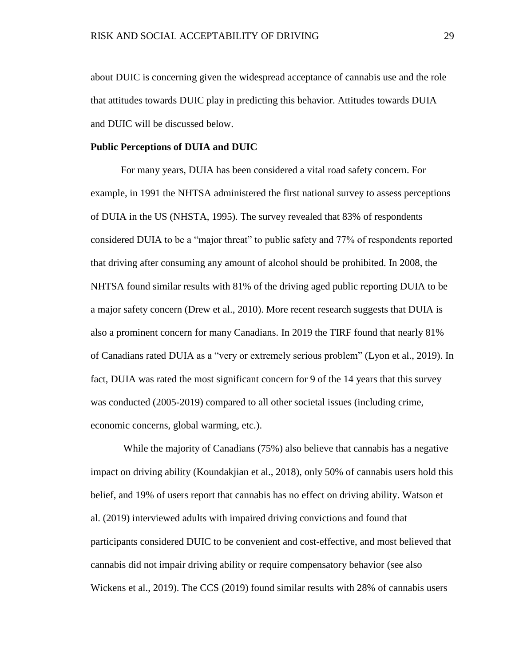about DUIC is concerning given the widespread acceptance of cannabis use and the role that attitudes towards DUIC play in predicting this behavior. Attitudes towards DUIA and DUIC will be discussed below.

## **Public Perceptions of DUIA and DUIC**

For many years, DUIA has been considered a vital road safety concern. For example, in 1991 the NHTSA administered the first national survey to assess perceptions of DUIA in the US (NHSTA, 1995). The survey revealed that 83% of respondents considered DUIA to be a "major threat" to public safety and 77% of respondents reported that driving after consuming any amount of alcohol should be prohibited. In 2008, the NHTSA found similar results with 81% of the driving aged public reporting DUIA to be a major safety concern (Drew et al., 2010). More recent research suggests that DUIA is also a prominent concern for many Canadians. In 2019 the TIRF found that nearly 81% of Canadians rated DUIA as a "very or extremely serious problem" (Lyon et al., 2019). In fact, DUIA was rated the most significant concern for 9 of the 14 years that this survey was conducted (2005-2019) compared to all other societal issues (including crime, economic concerns, global warming, etc.).

While the majority of Canadians (75%) also believe that cannabis has a negative impact on driving ability (Koundakjian et al., 2018), only 50% of cannabis users hold this belief, and 19% of users report that cannabis has no effect on driving ability. Watson et al. (2019) interviewed adults with impaired driving convictions and found that participants considered DUIC to be convenient and cost-effective, and most believed that cannabis did not impair driving ability or require compensatory behavior (see also Wickens et al., 2019). The CCS (2019) found similar results with 28% of cannabis users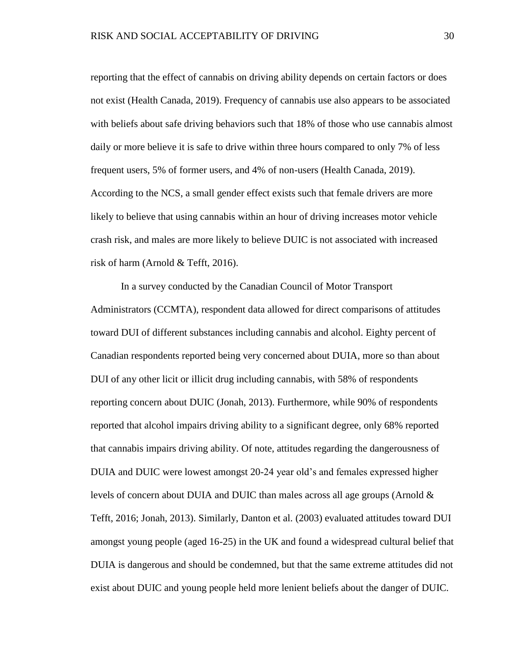reporting that the effect of cannabis on driving ability depends on certain factors or does not exist (Health Canada, 2019). Frequency of cannabis use also appears to be associated with beliefs about safe driving behaviors such that 18% of those who use cannabis almost daily or more believe it is safe to drive within three hours compared to only 7% of less frequent users, 5% of former users, and 4% of non-users (Health Canada, 2019). According to the NCS, a small gender effect exists such that female drivers are more likely to believe that using cannabis within an hour of driving increases motor vehicle crash risk, and males are more likely to believe DUIC is not associated with increased risk of harm (Arnold & Tefft, 2016).

In a survey conducted by the Canadian Council of Motor Transport Administrators (CCMTA), respondent data allowed for direct comparisons of attitudes toward DUI of different substances including cannabis and alcohol. Eighty percent of Canadian respondents reported being very concerned about DUIA, more so than about DUI of any other licit or illicit drug including cannabis, with 58% of respondents reporting concern about DUIC (Jonah, 2013). Furthermore, while 90% of respondents reported that alcohol impairs driving ability to a significant degree, only 68% reported that cannabis impairs driving ability. Of note, attitudes regarding the dangerousness of DUIA and DUIC were lowest amongst 20-24 year old's and females expressed higher levels of concern about DUIA and DUIC than males across all age groups (Arnold & Tefft, 2016; Jonah, 2013). Similarly, Danton et al. (2003) evaluated attitudes toward DUI amongst young people (aged 16-25) in the UK and found a widespread cultural belief that DUIA is dangerous and should be condemned, but that the same extreme attitudes did not exist about DUIC and young people held more lenient beliefs about the danger of DUIC.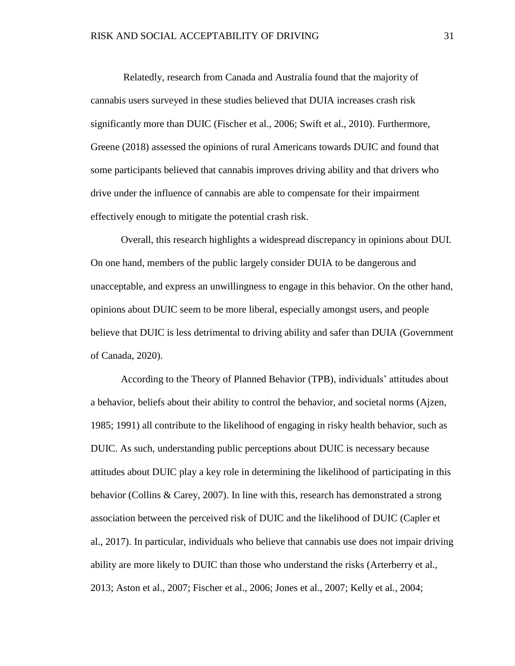Relatedly, research from Canada and Australia found that the majority of cannabis users surveyed in these studies believed that DUIA increases crash risk significantly more than DUIC (Fischer et al., 2006; Swift et al., 2010). Furthermore, Greene (2018) assessed the opinions of rural Americans towards DUIC and found that some participants believed that cannabis improves driving ability and that drivers who drive under the influence of cannabis are able to compensate for their impairment effectively enough to mitigate the potential crash risk.

Overall, this research highlights a widespread discrepancy in opinions about DUI. On one hand, members of the public largely consider DUIA to be dangerous and unacceptable, and express an unwillingness to engage in this behavior. On the other hand, opinions about DUIC seem to be more liberal, especially amongst users, and people believe that DUIC is less detrimental to driving ability and safer than DUIA (Government of Canada, 2020).

According to the Theory of Planned Behavior (TPB), individuals' attitudes about a behavior, beliefs about their ability to control the behavior, and societal norms (Ajzen, 1985; 1991) all contribute to the likelihood of engaging in risky health behavior, such as DUIC. As such, understanding public perceptions about DUIC is necessary because attitudes about DUIC play a key role in determining the likelihood of participating in this behavior (Collins & Carey, 2007). In line with this, research has demonstrated a strong association between the perceived risk of DUIC and the likelihood of DUIC (Capler et al., 2017). In particular, individuals who believe that cannabis use does not impair driving ability are more likely to DUIC than those who understand the risks (Arterberry et al., 2013; Aston et al., 2007; Fischer et al., 2006; Jones et al., 2007; Kelly et al., 2004;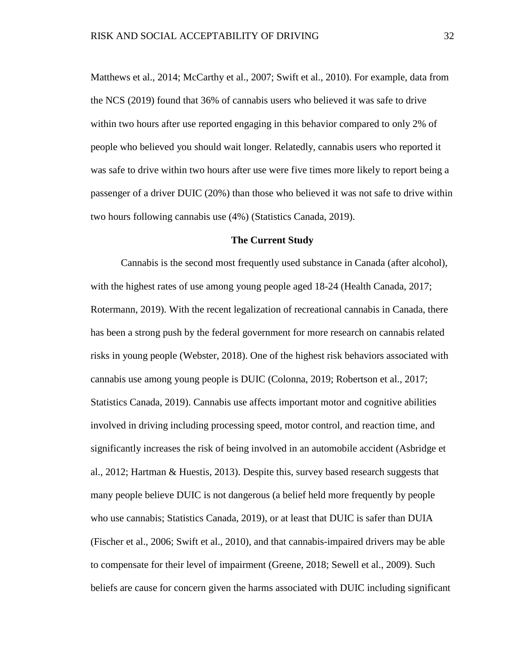Matthews et al., 2014; McCarthy et al., 2007; Swift et al., 2010). For example, data from the NCS (2019) found that 36% of cannabis users who believed it was safe to drive within two hours after use reported engaging in this behavior compared to only 2% of people who believed you should wait longer. Relatedly, cannabis users who reported it was safe to drive within two hours after use were five times more likely to report being a passenger of a driver DUIC (20%) than those who believed it was not safe to drive within two hours following cannabis use (4%) (Statistics Canada, 2019).

#### **The Current Study**

Cannabis is the second most frequently used substance in Canada (after alcohol), with the highest rates of use among young people aged 18-24 (Health Canada, 2017; Rotermann, 2019). With the recent legalization of recreational cannabis in Canada, there has been a strong push by the federal government for more research on cannabis related risks in young people (Webster, 2018). One of the highest risk behaviors associated with cannabis use among young people is DUIC (Colonna, 2019; Robertson et al., 2017; Statistics Canada, 2019). Cannabis use affects important motor and cognitive abilities involved in driving including processing speed, motor control, and reaction time, and significantly increases the risk of being involved in an automobile accident (Asbridge et al., 2012; Hartman & Huestis, 2013). Despite this, survey based research suggests that many people believe DUIC is not dangerous (a belief held more frequently by people who use cannabis; Statistics Canada, 2019), or at least that DUIC is safer than DUIA (Fischer et al., 2006; Swift et al., 2010), and that cannabis-impaired drivers may be able to compensate for their level of impairment (Greene, 2018; Sewell et al., 2009). Such beliefs are cause for concern given the harms associated with DUIC including significant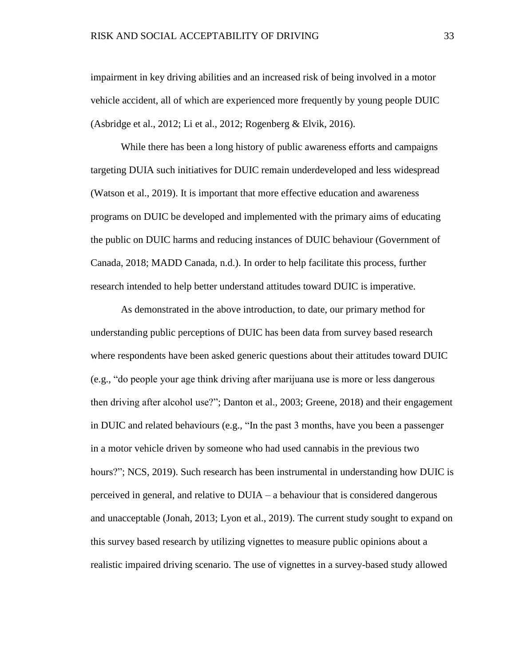impairment in key driving abilities and an increased risk of being involved in a motor vehicle accident, all of which are experienced more frequently by young people DUIC (Asbridge et al., 2012; Li et al., 2012; Rogenberg & Elvik, 2016).

While there has been a long history of public awareness efforts and campaigns targeting DUIA such initiatives for DUIC remain underdeveloped and less widespread (Watson et al., 2019). It is important that more effective education and awareness programs on DUIC be developed and implemented with the primary aims of educating the public on DUIC harms and reducing instances of DUIC behaviour (Government of Canada, 2018; MADD Canada, n.d.). In order to help facilitate this process, further research intended to help better understand attitudes toward DUIC is imperative.

As demonstrated in the above introduction, to date, our primary method for understanding public perceptions of DUIC has been data from survey based research where respondents have been asked generic questions about their attitudes toward DUIC (e.g., "do people your age think driving after marijuana use is more or less dangerous then driving after alcohol use?"; Danton et al., 2003; Greene, 2018) and their engagement in DUIC and related behaviours (e.g., "In the past 3 months, have you been a passenger in a motor vehicle driven by someone who had used cannabis in the previous two hours?"; NCS, 2019). Such research has been instrumental in understanding how DUIC is perceived in general, and relative to DUIA – a behaviour that is considered dangerous and unacceptable (Jonah, 2013; Lyon et al., 2019). The current study sought to expand on this survey based research by utilizing vignettes to measure public opinions about a realistic impaired driving scenario. The use of vignettes in a survey-based study allowed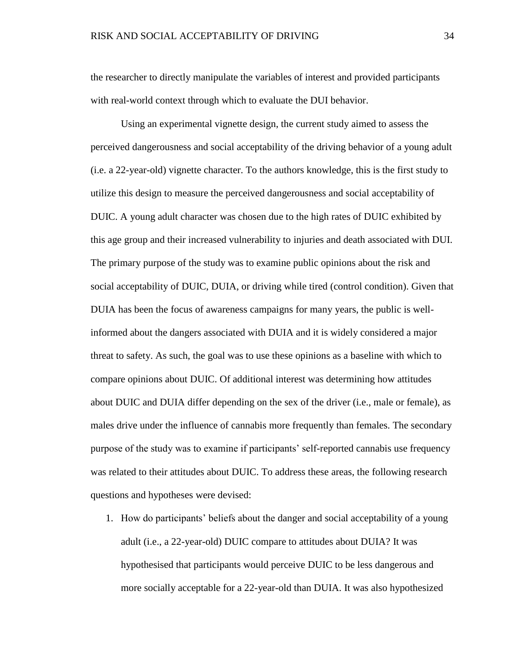the researcher to directly manipulate the variables of interest and provided participants with real-world context through which to evaluate the DUI behavior.

Using an experimental vignette design, the current study aimed to assess the perceived dangerousness and social acceptability of the driving behavior of a young adult (i.e. a 22-year-old) vignette character. To the authors knowledge, this is the first study to utilize this design to measure the perceived dangerousness and social acceptability of DUIC. A young adult character was chosen due to the high rates of DUIC exhibited by this age group and their increased vulnerability to injuries and death associated with DUI. The primary purpose of the study was to examine public opinions about the risk and social acceptability of DUIC, DUIA, or driving while tired (control condition). Given that DUIA has been the focus of awareness campaigns for many years, the public is wellinformed about the dangers associated with DUIA and it is widely considered a major threat to safety. As such, the goal was to use these opinions as a baseline with which to compare opinions about DUIC. Of additional interest was determining how attitudes about DUIC and DUIA differ depending on the sex of the driver (i.e., male or female), as males drive under the influence of cannabis more frequently than females. The secondary purpose of the study was to examine if participants' self-reported cannabis use frequency was related to their attitudes about DUIC. To address these areas, the following research questions and hypotheses were devised:

1. How do participants' beliefs about the danger and social acceptability of a young adult (i.e., a 22-year-old) DUIC compare to attitudes about DUIA? It was hypothesised that participants would perceive DUIC to be less dangerous and more socially acceptable for a 22-year-old than DUIA. It was also hypothesized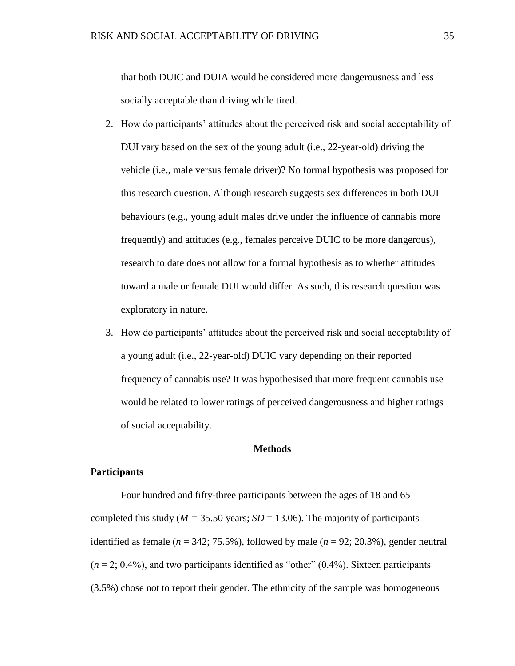that both DUIC and DUIA would be considered more dangerousness and less socially acceptable than driving while tired.

- 2. How do participants' attitudes about the perceived risk and social acceptability of DUI vary based on the sex of the young adult (i.e., 22-year-old) driving the vehicle (i.e., male versus female driver)? No formal hypothesis was proposed for this research question. Although research suggests sex differences in both DUI behaviours (e.g., young adult males drive under the influence of cannabis more frequently) and attitudes (e.g., females perceive DUIC to be more dangerous), research to date does not allow for a formal hypothesis as to whether attitudes toward a male or female DUI would differ. As such, this research question was exploratory in nature.
- 3. How do participants' attitudes about the perceived risk and social acceptability of a young adult (i.e., 22-year-old) DUIC vary depending on their reported frequency of cannabis use? It was hypothesised that more frequent cannabis use would be related to lower ratings of perceived dangerousness and higher ratings of social acceptability.

# **Methods**

# **Participants**

Four hundred and fifty-three participants between the ages of 18 and 65 completed this study ( $M = 35.50$  years;  $SD = 13.06$ ). The majority of participants identified as female ( $n = 342$ ; 75.5%), followed by male ( $n = 92$ ; 20.3%), gender neutral  $(n = 2; 0.4\%)$ , and two participants identified as "other"  $(0.4\%)$ . Sixteen participants (3.5%) chose not to report their gender. The ethnicity of the sample was homogeneous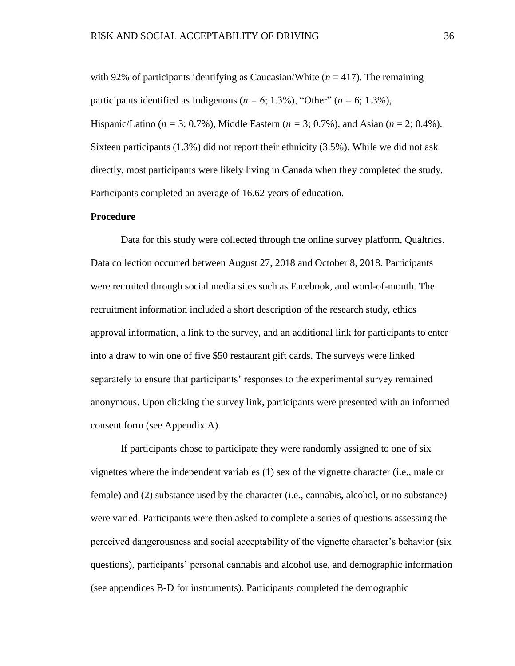with 92% of participants identifying as Caucasian/White  $(n = 417)$ . The remaining participants identified as Indigenous ( $n = 6$ ; 1.3%), "Other" ( $n = 6$ ; 1.3%), Hispanic/Latino (*n =* 3; 0.7%), Middle Eastern (*n =* 3; 0.7%), and Asian (*n* = 2; 0.4%). Sixteen participants (1.3%) did not report their ethnicity (3.5%). While we did not ask directly, most participants were likely living in Canada when they completed the study. Participants completed an average of 16.62 years of education.

## **Procedure**

Data for this study were collected through the online survey platform, Qualtrics. Data collection occurred between August 27, 2018 and October 8, 2018. Participants were recruited through social media sites such as Facebook, and word-of-mouth. The recruitment information included a short description of the research study, ethics approval information, a link to the survey, and an additional link for participants to enter into a draw to win one of five \$50 restaurant gift cards. The surveys were linked separately to ensure that participants' responses to the experimental survey remained anonymous. Upon clicking the survey link, participants were presented with an informed consent form (see Appendix A).

If participants chose to participate they were randomly assigned to one of six vignettes where the independent variables (1) sex of the vignette character (i.e., male or female) and (2) substance used by the character (i.e., cannabis, alcohol, or no substance) were varied. Participants were then asked to complete a series of questions assessing the perceived dangerousness and social acceptability of the vignette character's behavior (six questions), participants' personal cannabis and alcohol use, and demographic information (see appendices B-D for instruments). Participants completed the demographic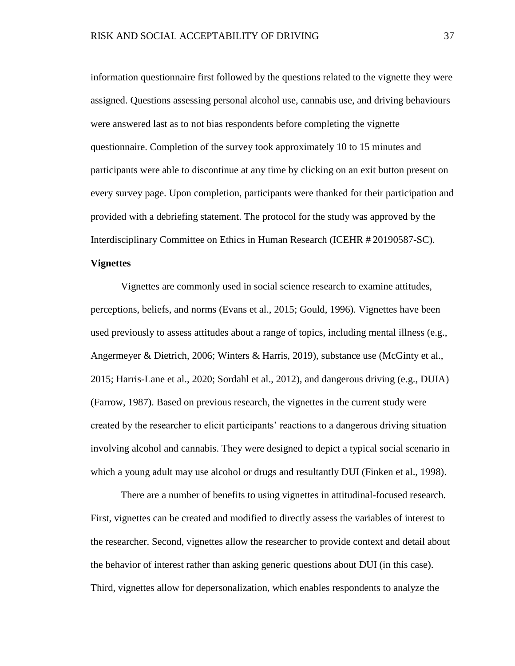information questionnaire first followed by the questions related to the vignette they were assigned. Questions assessing personal alcohol use, cannabis use, and driving behaviours were answered last as to not bias respondents before completing the vignette questionnaire. Completion of the survey took approximately 10 to 15 minutes and participants were able to discontinue at any time by clicking on an exit button present on every survey page. Upon completion, participants were thanked for their participation and provided with a debriefing statement. The protocol for the study was approved by the Interdisciplinary Committee on Ethics in Human Research (ICEHR # 20190587-SC).

# **Vignettes**

Vignettes are commonly used in social science research to examine attitudes, perceptions, beliefs, and norms (Evans et al., 2015; Gould, 1996). Vignettes have been used previously to assess attitudes about a range of topics, including mental illness (e.g., Angermeyer & Dietrich, 2006; Winters & Harris, 2019), substance use (McGinty et al., 2015; Harris-Lane et al., 2020; Sordahl et al., 2012), and dangerous driving (e.g., DUIA) (Farrow, 1987). Based on previous research, the vignettes in the current study were created by the researcher to elicit participants' reactions to a dangerous driving situation involving alcohol and cannabis. They were designed to depict a typical social scenario in which a young adult may use alcohol or drugs and resultantly DUI (Finken et al., 1998).

There are a number of benefits to using vignettes in attitudinal-focused research. First, vignettes can be created and modified to directly assess the variables of interest to the researcher. Second, vignettes allow the researcher to provide context and detail about the behavior of interest rather than asking generic questions about DUI (in this case). Third, vignettes allow for depersonalization, which enables respondents to analyze the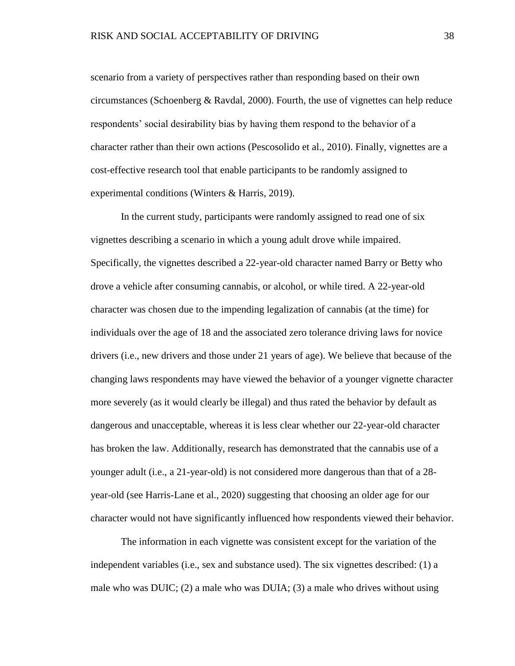scenario from a variety of perspectives rather than responding based on their own circumstances (Schoenberg & Ravdal, 2000). Fourth, the use of vignettes can help reduce respondents' social desirability bias by having them respond to the behavior of a character rather than their own actions (Pescosolido et al., 2010). Finally, vignettes are a cost-effective research tool that enable participants to be randomly assigned to experimental conditions (Winters & Harris, 2019).

In the current study, participants were randomly assigned to read one of six vignettes describing a scenario in which a young adult drove while impaired. Specifically, the vignettes described a 22-year-old character named Barry or Betty who drove a vehicle after consuming cannabis, or alcohol, or while tired. A 22-year-old character was chosen due to the impending legalization of cannabis (at the time) for individuals over the age of 18 and the associated zero tolerance driving laws for novice drivers (i.e., new drivers and those under 21 years of age). We believe that because of the changing laws respondents may have viewed the behavior of a younger vignette character more severely (as it would clearly be illegal) and thus rated the behavior by default as dangerous and unacceptable, whereas it is less clear whether our 22-year-old character has broken the law. Additionally, research has demonstrated that the cannabis use of a younger adult (i.e., a 21-year-old) is not considered more dangerous than that of a 28 year-old (see Harris-Lane et al., 2020) suggesting that choosing an older age for our character would not have significantly influenced how respondents viewed their behavior.

The information in each vignette was consistent except for the variation of the independent variables (i.e., sex and substance used). The six vignettes described: (1) a male who was DUIC; (2) a male who was DUIA; (3) a male who drives without using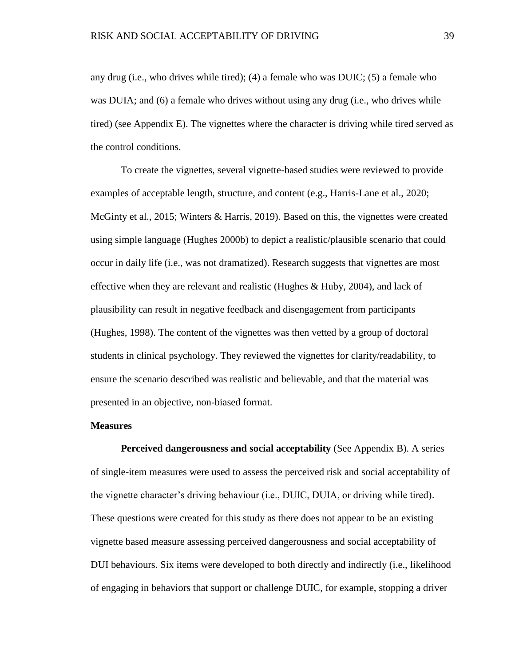any drug (i.e., who drives while tired); (4) a female who was DUIC; (5) a female who was DUIA; and (6) a female who drives without using any drug (i.e., who drives while tired) (see Appendix E). The vignettes where the character is driving while tired served as the control conditions.

To create the vignettes, several vignette-based studies were reviewed to provide examples of acceptable length, structure, and content (e.g., Harris-Lane et al., 2020; McGinty et al., 2015; Winters & Harris, 2019). Based on this, the vignettes were created using simple language (Hughes 2000b) to depict a realistic/plausible scenario that could occur in daily life (i.e., was not dramatized). Research suggests that vignettes are most effective when they are relevant and realistic (Hughes & Huby, 2004), and lack of plausibility can result in negative feedback and disengagement from participants (Hughes, 1998). The content of the vignettes was then vetted by a group of doctoral students in clinical psychology. They reviewed the vignettes for clarity/readability, to ensure the scenario described was realistic and believable, and that the material was presented in an objective, non-biased format.

#### **Measures**

**Perceived dangerousness and social acceptability** (See Appendix B). A series of single-item measures were used to assess the perceived risk and social acceptability of the vignette character's driving behaviour (i.e., DUIC, DUIA, or driving while tired). These questions were created for this study as there does not appear to be an existing vignette based measure assessing perceived dangerousness and social acceptability of DUI behaviours. Six items were developed to both directly and indirectly (i.e., likelihood of engaging in behaviors that support or challenge DUIC, for example, stopping a driver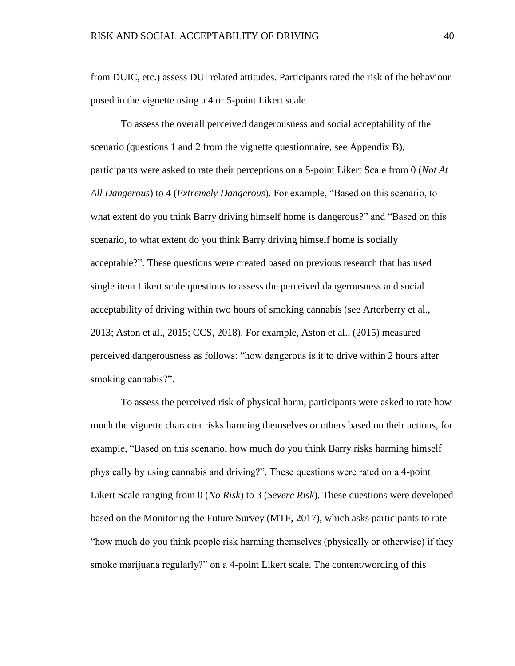from DUIC, etc.) assess DUI related attitudes. Participants rated the risk of the behaviour posed in the vignette using a 4 or 5-point Likert scale.

To assess the overall perceived dangerousness and social acceptability of the scenario (questions 1 and 2 from the vignette questionnaire, see Appendix B), participants were asked to rate their perceptions on a 5-point Likert Scale from 0 (*Not At All Dangerous*) to 4 (*Extremely Dangerous*). For example, "Based on this scenario, to what extent do you think Barry driving himself home is dangerous?" and "Based on this scenario, to what extent do you think Barry driving himself home is socially acceptable?". These questions were created based on previous research that has used single item Likert scale questions to assess the perceived dangerousness and social acceptability of driving within two hours of smoking cannabis (see Arterberry et al., 2013; Aston et al., 2015; CCS, 2018). For example, Aston et al., (2015) measured perceived dangerousness as follows: "how dangerous is it to drive within 2 hours after smoking cannabis?".

To assess the perceived risk of physical harm, participants were asked to rate how much the vignette character risks harming themselves or others based on their actions, for example, "Based on this scenario, how much do you think Barry risks harming himself physically by using cannabis and driving?". These questions were rated on a 4-point Likert Scale ranging from 0 (*No Risk*) to 3 (*Severe Risk*). These questions were developed based on the Monitoring the Future Survey (MTF, 2017), which asks participants to rate "how much do you think people risk harming themselves (physically or otherwise) if they smoke marijuana regularly?" on a 4-point Likert scale. The content/wording of this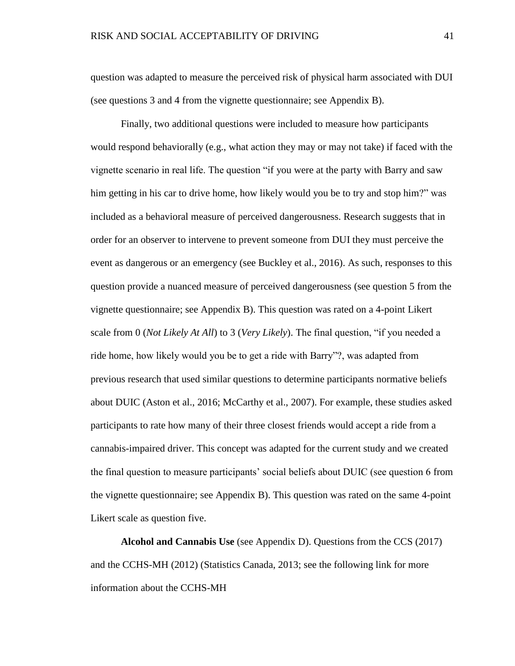question was adapted to measure the perceived risk of physical harm associated with DUI (see questions 3 and 4 from the vignette questionnaire; see Appendix B).

Finally, two additional questions were included to measure how participants would respond behaviorally (e.g., what action they may or may not take) if faced with the vignette scenario in real life. The question "if you were at the party with Barry and saw him getting in his car to drive home, how likely would you be to try and stop him?" was included as a behavioral measure of perceived dangerousness. Research suggests that in order for an observer to intervene to prevent someone from DUI they must perceive the event as dangerous or an emergency (see Buckley et al., 2016). As such, responses to this question provide a nuanced measure of perceived dangerousness (see question 5 from the vignette questionnaire; see Appendix B). This question was rated on a 4-point Likert scale from 0 (*Not Likely At All*) to 3 (*Very Likely*). The final question, "if you needed a ride home, how likely would you be to get a ride with Barry"?, was adapted from previous research that used similar questions to determine participants normative beliefs about DUIC (Aston et al., 2016; McCarthy et al., 2007). For example, these studies asked participants to rate how many of their three closest friends would accept a ride from a cannabis-impaired driver. This concept was adapted for the current study and we created the final question to measure participants' social beliefs about DUIC (see question 6 from the vignette questionnaire; see Appendix B). This question was rated on the same 4-point Likert scale as question five.

**Alcohol and Cannabis Use** (see Appendix D). Questions from the CCS (2017) and the CCHS-MH (2012) (Statistics Canada, 2013; see the following link for more information about the CCHS-MH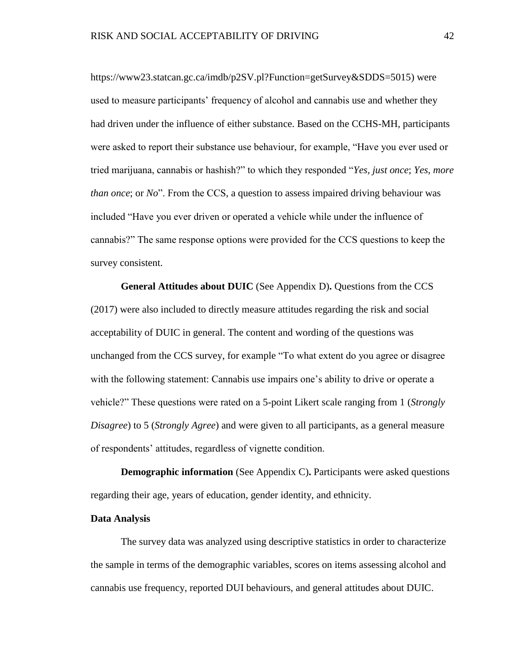https://www23.statcan.gc.ca/imdb/p2SV.pl?Function=getSurvey&SDDS=5015) were used to measure participants' frequency of alcohol and cannabis use and whether they had driven under the influence of either substance. Based on the CCHS-MH, participants were asked to report their substance use behaviour, for example, "Have you ever used or tried marijuana, cannabis or hashish?" to which they responded "*Yes, just once*; *Yes, more than once*; or *No*". From the CCS, a question to assess impaired driving behaviour was included "Have you ever driven or operated a vehicle while under the influence of cannabis?" The same response options were provided for the CCS questions to keep the survey consistent.

**General Attitudes about DUIC** (See Appendix D)**.** Questions from the CCS (2017) were also included to directly measure attitudes regarding the risk and social acceptability of DUIC in general. The content and wording of the questions was unchanged from the CCS survey, for example "To what extent do you agree or disagree with the following statement: Cannabis use impairs one's ability to drive or operate a vehicle?" These questions were rated on a 5-point Likert scale ranging from 1 (*Strongly Disagree*) to 5 (*Strongly Agree*) and were given to all participants, as a general measure of respondents' attitudes, regardless of vignette condition.

**Demographic information** (See Appendix C). Participants were asked questions regarding their age, years of education, gender identity, and ethnicity.

# **Data Analysis**

The survey data was analyzed using descriptive statistics in order to characterize the sample in terms of the demographic variables, scores on items assessing alcohol and cannabis use frequency, reported DUI behaviours, and general attitudes about DUIC.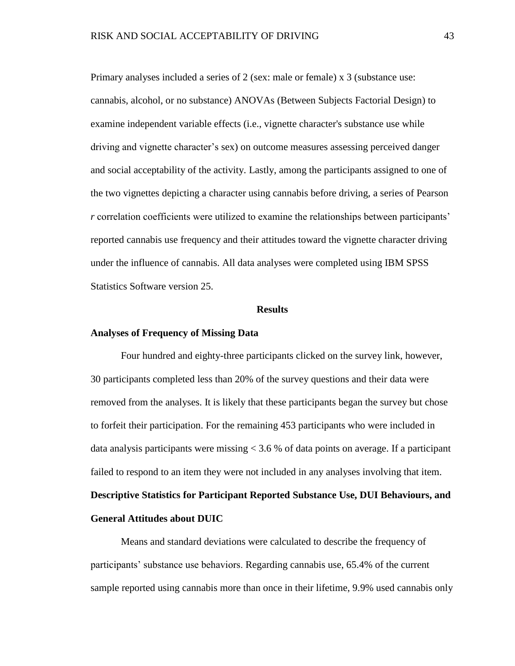Primary analyses included a series of 2 (sex: male or female) x 3 (substance use: cannabis, alcohol, or no substance) ANOVAs (Between Subjects Factorial Design) to examine independent variable effects (i.e., vignette character's substance use while driving and vignette character's sex) on outcome measures assessing perceived danger and social acceptability of the activity. Lastly, among the participants assigned to one of the two vignettes depicting a character using cannabis before driving, a series of Pearson *r* correlation coefficients were utilized to examine the relationships between participants' reported cannabis use frequency and their attitudes toward the vignette character driving under the influence of cannabis. All data analyses were completed using IBM SPSS Statistics Software version 25.

#### **Results**

#### **Analyses of Frequency of Missing Data**

Four hundred and eighty-three participants clicked on the survey link, however, 30 participants completed less than 20% of the survey questions and their data were removed from the analyses. It is likely that these participants began the survey but chose to forfeit their participation. For the remaining 453 participants who were included in data analysis participants were missing  $< 3.6 %$  of data points on average. If a participant failed to respond to an item they were not included in any analyses involving that item.

# **Descriptive Statistics for Participant Reported Substance Use, DUI Behaviours, and General Attitudes about DUIC**

Means and standard deviations were calculated to describe the frequency of participants' substance use behaviors. Regarding cannabis use, 65.4% of the current sample reported using cannabis more than once in their lifetime, 9.9% used cannabis only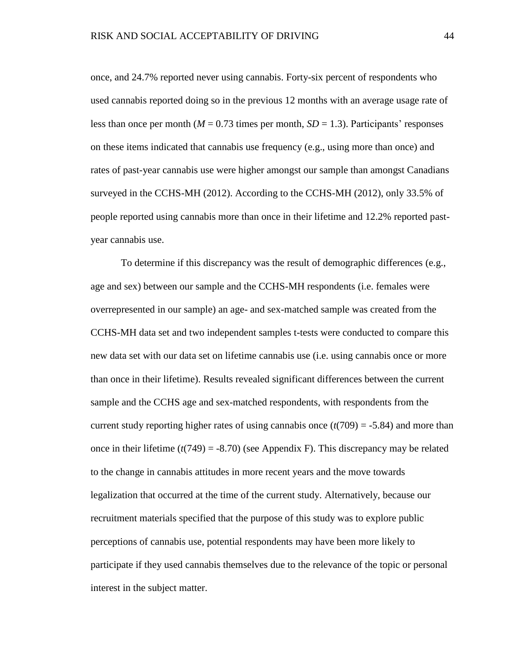once, and 24.7% reported never using cannabis. Forty-six percent of respondents who used cannabis reported doing so in the previous 12 months with an average usage rate of less than once per month  $(M = 0.73$  times per month,  $SD = 1.3$ ). Participants' responses on these items indicated that cannabis use frequency (e.g., using more than once) and rates of past-year cannabis use were higher amongst our sample than amongst Canadians surveyed in the CCHS-MH (2012). According to the CCHS-MH (2012), only 33.5% of people reported using cannabis more than once in their lifetime and 12.2% reported pastyear cannabis use.

To determine if this discrepancy was the result of demographic differences (e.g., age and sex) between our sample and the CCHS-MH respondents (i.e. females were overrepresented in our sample) an age- and sex-matched sample was created from the CCHS-MH data set and two independent samples t-tests were conducted to compare this new data set with our data set on lifetime cannabis use (i.e. using cannabis once or more than once in their lifetime). Results revealed significant differences between the current sample and the CCHS age and sex-matched respondents, with respondents from the current study reporting higher rates of using cannabis once  $(t(709) = -5.84)$  and more than once in their lifetime  $(t(749) = -8.70)$  (see Appendix F). This discrepancy may be related to the change in cannabis attitudes in more recent years and the move towards legalization that occurred at the time of the current study. Alternatively, because our recruitment materials specified that the purpose of this study was to explore public perceptions of cannabis use, potential respondents may have been more likely to participate if they used cannabis themselves due to the relevance of the topic or personal interest in the subject matter.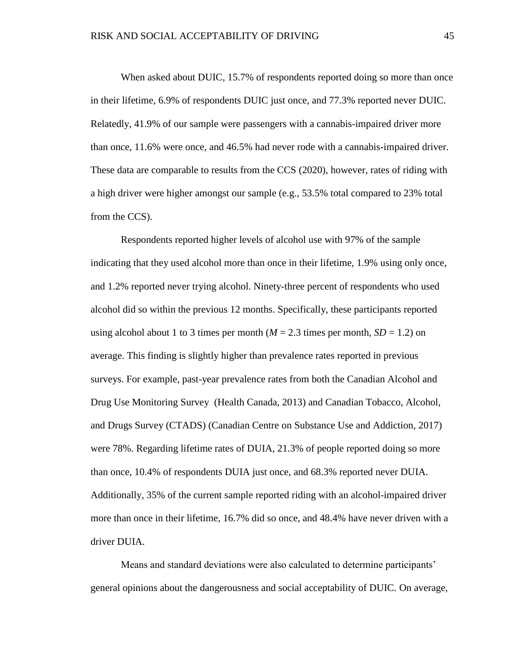When asked about DUIC, 15.7% of respondents reported doing so more than once in their lifetime, 6.9% of respondents DUIC just once, and 77.3% reported never DUIC. Relatedly, 41.9% of our sample were passengers with a cannabis-impaired driver more than once, 11.6% were once, and 46.5% had never rode with a cannabis-impaired driver. These data are comparable to results from the CCS (2020), however, rates of riding with a high driver were higher amongst our sample (e.g., 53.5% total compared to 23% total from the CCS).

Respondents reported higher levels of alcohol use with 97% of the sample indicating that they used alcohol more than once in their lifetime, 1.9% using only once, and 1.2% reported never trying alcohol. Ninety-three percent of respondents who used alcohol did so within the previous 12 months. Specifically, these participants reported using alcohol about 1 to 3 times per month  $(M = 2.3$  times per month,  $SD = 1.2$ ) on average. This finding is slightly higher than prevalence rates reported in previous surveys. For example, past-year prevalence rates from both the Canadian Alcohol and Drug Use Monitoring Survey (Health Canada, 2013) and Canadian Tobacco, Alcohol, and Drugs Survey (CTADS) (Canadian Centre on Substance Use and Addiction, 2017) were 78%. Regarding lifetime rates of DUIA, 21.3% of people reported doing so more than once, 10.4% of respondents DUIA just once, and 68.3% reported never DUIA. Additionally, 35% of the current sample reported riding with an alcohol-impaired driver more than once in their lifetime, 16.7% did so once, and 48.4% have never driven with a driver DUIA.

Means and standard deviations were also calculated to determine participants' general opinions about the dangerousness and social acceptability of DUIC. On average,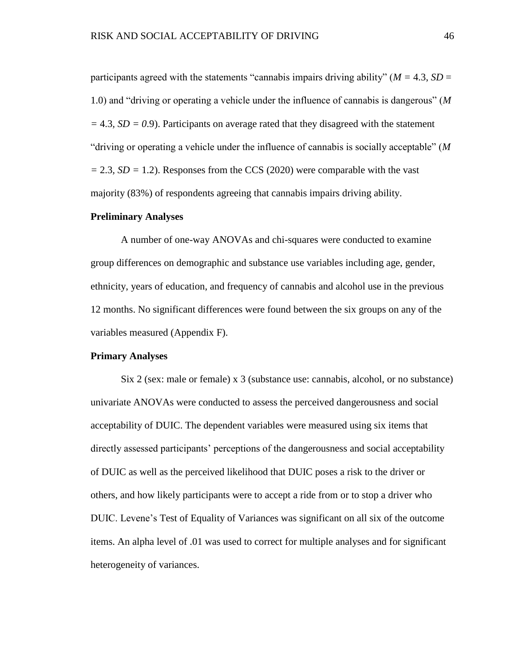participants agreed with the statements "cannabis impairs driving ability" ( $M = 4.3$ ,  $SD =$ 1.0) and "driving or operating a vehicle under the influence of cannabis is dangerous" (*M*   $= 4.3$ ,  $SD = 0.9$ ). Participants on average rated that they disagreed with the statement "driving or operating a vehicle under the influence of cannabis is socially acceptable" (*M =* 2.3*, SD =* 1.2). Responses from the CCS (2020) were comparable with the vast majority (83%) of respondents agreeing that cannabis impairs driving ability.

## **Preliminary Analyses**

A number of one-way ANOVAs and chi-squares were conducted to examine group differences on demographic and substance use variables including age, gender, ethnicity, years of education, and frequency of cannabis and alcohol use in the previous 12 months. No significant differences were found between the six groups on any of the variables measured (Appendix F).

# **Primary Analyses**

Six 2 (sex: male or female) x 3 (substance use: cannabis, alcohol, or no substance) univariate ANOVAs were conducted to assess the perceived dangerousness and social acceptability of DUIC. The dependent variables were measured using six items that directly assessed participants' perceptions of the dangerousness and social acceptability of DUIC as well as the perceived likelihood that DUIC poses a risk to the driver or others, and how likely participants were to accept a ride from or to stop a driver who DUIC. Levene's Test of Equality of Variances was significant on all six of the outcome items. An alpha level of .01 was used to correct for multiple analyses and for significant heterogeneity of variances.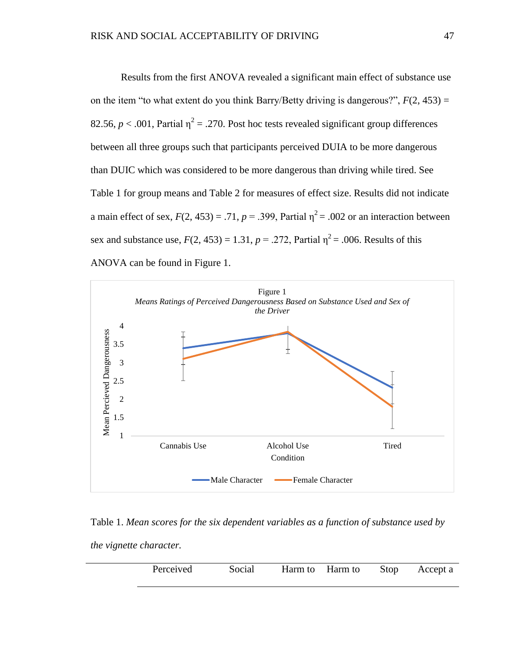Results from the first ANOVA revealed a significant main effect of substance use on the item "to what extent do you think Barry/Betty driving is dangerous?",  $F(2, 453) =$ 82.56,  $p < .001$ , Partial  $\eta^2 = .270$ . Post hoc tests revealed significant group differences between all three groups such that participants perceived DUIA to be more dangerous than DUIC which was considered to be more dangerous than driving while tired. See Table 1 for group means and Table 2 for measures of effect size. Results did not indicate a main effect of sex,  $F(2, 453) = .71$ ,  $p = .399$ , Partial  $\eta^2 = .002$  or an interaction between sex and substance use,  $F(2, 453) = 1.31$ ,  $p = .272$ , Partial  $\eta^2 = .006$ . Results of this ANOVA can be found in Figure 1.



Table 1. *Mean scores for the six dependent variables as a function of substance used by* 

*the vignette character.*

|  |  | Perceived | Social Harm to Harm to Stop |  |  | Accept a |
|--|--|-----------|-----------------------------|--|--|----------|
|--|--|-----------|-----------------------------|--|--|----------|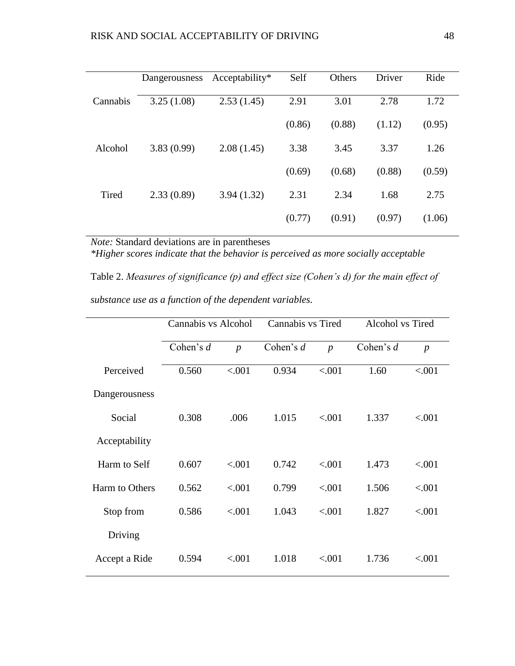|          | Dangerousness | $Acceptability*$ | Self   | Others | Driver | Ride   |
|----------|---------------|------------------|--------|--------|--------|--------|
| Cannabis | 3.25(1.08)    | 2.53(1.45)       | 2.91   | 3.01   | 2.78   | 1.72   |
|          |               |                  | (0.86) | (0.88) | (1.12) | (0.95) |
| Alcohol  | 3.83(0.99)    | 2.08(1.45)       | 3.38   | 3.45   | 3.37   | 1.26   |
|          |               |                  | (0.69) | (0.68) | (0.88) | (0.59) |
| Tired    | 2.33(0.89)    | 3.94(1.32)       | 2.31   | 2.34   | 1.68   | 2.75   |
|          |               |                  | (0.77) | (0.91) | (0.97) | (1.06) |

*Note:* Standard deviations are in parentheses

*\*Higher scores indicate that the behavior is perceived as more socially acceptable*

Table 2. *Measures of significance (p) and effect size (Cohen's d) for the main effect of substance use as a function of the dependent variables.* 

|                | Cannabis vs Alcohol |                | Cannabis vs Tired |                  | Alcohol vs Tired |                  |
|----------------|---------------------|----------------|-------------------|------------------|------------------|------------------|
|                | Cohen's $d$         | $\overline{p}$ | Cohen's $d$       | $\boldsymbol{p}$ | Cohen's $d$      | $\boldsymbol{p}$ |
| Perceived      | 0.560               | < .001         | 0.934             | < .001           | 1.60             | < 0.001          |
| Dangerousness  |                     |                |                   |                  |                  |                  |
| Social         | 0.308               | .006           | 1.015             | < 0.001          | 1.337            | < .001           |
| Acceptability  |                     |                |                   |                  |                  |                  |
| Harm to Self   | 0.607               | < .001         | 0.742             | < .001           | 1.473            | < .001           |
| Harm to Others | 0.562               | < .001         | 0.799             | < .001           | 1.506            | < .001           |
| Stop from      | 0.586               | ${<}001$       | 1.043             | < .001           | 1.827            | < .001           |
| Driving        |                     |                |                   |                  |                  |                  |
| Accept a Ride  | 0.594               | < .001         | 1.018             | < .001           | 1.736            | < .001           |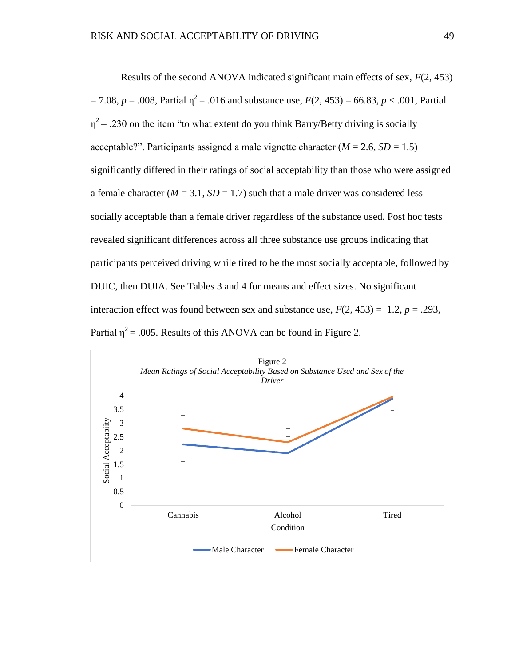Results of the second ANOVA indicated significant main effects of sex, *F*(2, 453)  $= 7.08$ ,  $p = .008$ , Partial  $\eta^2 = .016$  and substance use,  $F(2, 453) = 66.83$ ,  $p < .001$ , Partial  $\eta^2$  = .230 on the item "to what extent do you think Barry/Betty driving is socially acceptable?". Participants assigned a male vignette character  $(M = 2.6, SD = 1.5)$ significantly differed in their ratings of social acceptability than those who were assigned a female character ( $M = 3.1$ ,  $SD = 1.7$ ) such that a male driver was considered less socially acceptable than a female driver regardless of the substance used. Post hoc tests revealed significant differences across all three substance use groups indicating that participants perceived driving while tired to be the most socially acceptable, followed by DUIC, then DUIA. See Tables 3 and 4 for means and effect sizes. No significant interaction effect was found between sex and substance use,  $F(2, 453) = 1.2$ ,  $p = .293$ , Partial  $\eta^2$  = .005. Results of this ANOVA can be found in Figure 2.

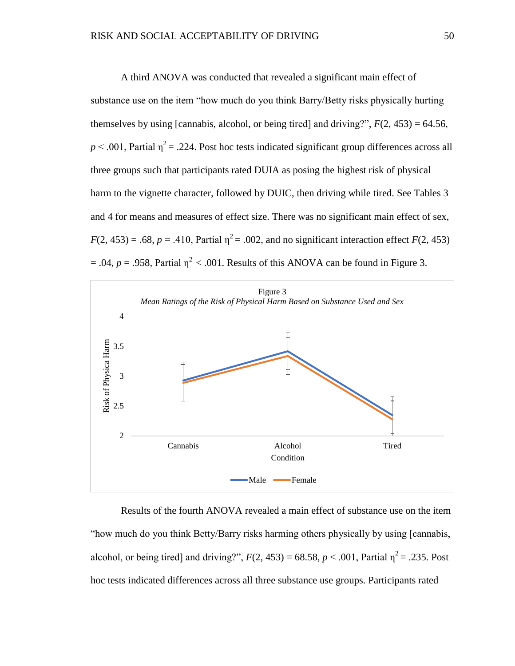A third ANOVA was conducted that revealed a significant main effect of substance use on the item "how much do you think Barry/Betty risks physically hurting themselves by using [cannabis, alcohol, or being tired] and driving?",  $F(2, 453) = 64.56$ ,  $p < .001$ , Partial  $\eta^2 = .224$ . Post hoc tests indicated significant group differences across all three groups such that participants rated DUIA as posing the highest risk of physical harm to the vignette character, followed by DUIC, then driving while tired. See Tables 3 and 4 for means and measures of effect size. There was no significant main effect of sex,  $F(2, 453) = .68$ ,  $p = .410$ , Partial  $\eta^2 = .002$ , and no significant interaction effect  $F(2, 453)$  $= .04$ ,  $p = .958$ , Partial  $\eta^2 < .001$ . Results of this ANOVA can be found in Figure 3.



Results of the fourth ANOVA revealed a main effect of substance use on the item "how much do you think Betty/Barry risks harming others physically by using [cannabis, alcohol, or being tired] and driving?",  $F(2, 453) = 68.58$ ,  $p < .001$ , Partial  $\eta^2 = .235$ . Post hoc tests indicated differences across all three substance use groups. Participants rated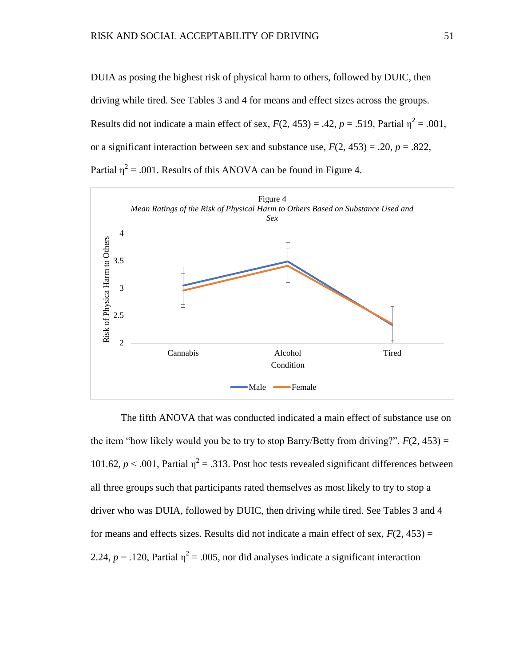DUIA as posing the highest risk of physical harm to others, followed by DUIC, then driving while tired. See Tables 3 and 4 for means and effect sizes across the groups. Results did not indicate a main effect of sex,  $F(2, 453) = .42$ ,  $p = .519$ , Partial  $\eta^2 = .001$ , or a significant interaction between sex and substance use,  $F(2, 453) = .20$ ,  $p = .822$ , Partial  $\eta^2$  = .001. Results of this ANOVA can be found in Figure 4.



The fifth ANOVA that was conducted indicated a main effect of substance use on the item "how likely would you be to try to stop Barry/Betty from driving?",  $F(2, 453) =$ 101.62,  $p < .001$ , Partial  $\eta^2 = .313$ . Post hoc tests revealed significant differences between all three groups such that participants rated themselves as most likely to try to stop a driver who was DUIA, followed by DUIC, then driving while tired. See Tables 3 and 4 for means and effects sizes. Results did not indicate a main effect of sex,  $F(2, 453) =$ 2.24,  $p = 0.120$ , Partial  $\eta^2 = 0.005$ , nor did analyses indicate a significant interaction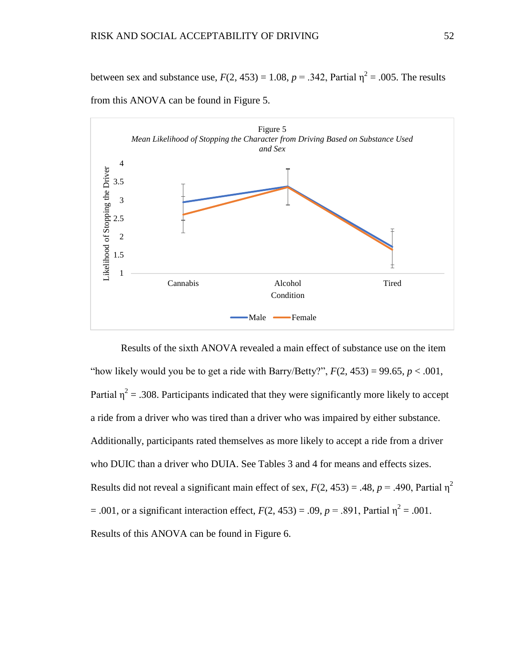between sex and substance use,  $F(2, 453) = 1.08$ ,  $p = .342$ , Partial  $\eta^2 = .005$ . The results



from this ANOVA can be found in Figure 5.

Results of the sixth ANOVA revealed a main effect of substance use on the item "how likely would you be to get a ride with Barry/Betty?",  $F(2, 453) = 99.65$ ,  $p < .001$ , Partial  $\eta^2$  = .308. Participants indicated that they were significantly more likely to accept a ride from a driver who was tired than a driver who was impaired by either substance. Additionally, participants rated themselves as more likely to accept a ride from a driver who DUIC than a driver who DUIA. See Tables 3 and 4 for means and effects sizes. Results did not reveal a significant main effect of sex,  $F(2, 453) = .48$ ,  $p = .490$ , Partial  $\eta^2$  $= .001$ , or a significant interaction effect,  $F(2, 453) = .09$ ,  $p = .891$ , Partial  $\eta^2 = .001$ . Results of this ANOVA can be found in Figure 6.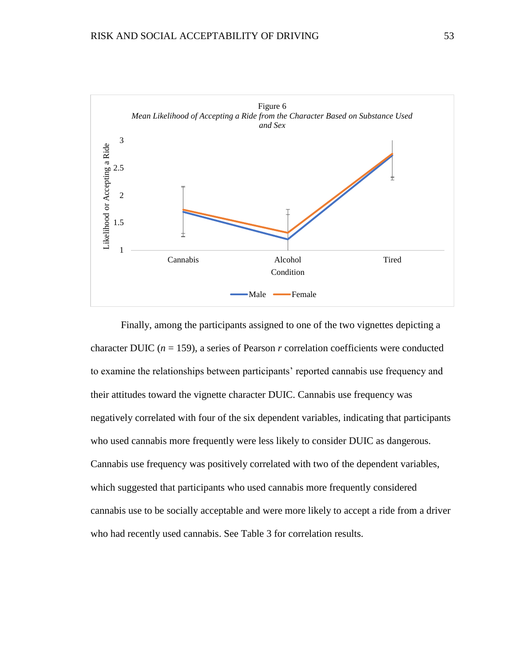

Finally, among the participants assigned to one of the two vignettes depicting a character DUIC ( $n = 159$ ), a series of Pearson  $r$  correlation coefficients were conducted to examine the relationships between participants' reported cannabis use frequency and their attitudes toward the vignette character DUIC. Cannabis use frequency was negatively correlated with four of the six dependent variables, indicating that participants who used cannabis more frequently were less likely to consider DUIC as dangerous. Cannabis use frequency was positively correlated with two of the dependent variables, which suggested that participants who used cannabis more frequently considered cannabis use to be socially acceptable and were more likely to accept a ride from a driver who had recently used cannabis. See Table 3 for correlation results.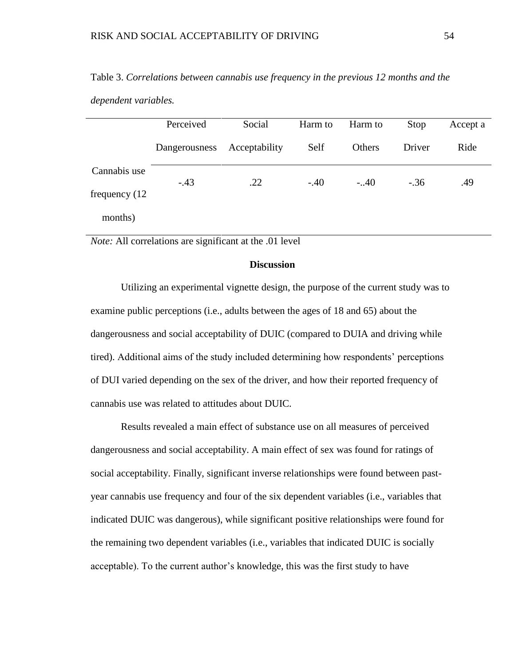*dependent variables.*

|                  | Perceived     | Social        | Harm to | Harm to | Stop   | Accept a |
|------------------|---------------|---------------|---------|---------|--------|----------|
|                  | Dangerousness | Acceptability | Self    | Others  | Driver | Ride     |
| Cannabis use     | $-.43$        | .22           | $-.40$  | $-.40$  | $-.36$ | .49      |
| frequency $(12)$ |               |               |         |         |        |          |
| months)          |               |               |         |         |        |          |

Table 3. *Correlations between cannabis use frequency in the previous 12 months and the* 

*Note:* All correlations are significant at the .01 level

## **Discussion**

Utilizing an experimental vignette design, the purpose of the current study was to examine public perceptions (i.e., adults between the ages of 18 and 65) about the dangerousness and social acceptability of DUIC (compared to DUIA and driving while tired). Additional aims of the study included determining how respondents' perceptions of DUI varied depending on the sex of the driver, and how their reported frequency of cannabis use was related to attitudes about DUIC.

Results revealed a main effect of substance use on all measures of perceived dangerousness and social acceptability. A main effect of sex was found for ratings of social acceptability. Finally, significant inverse relationships were found between pastyear cannabis use frequency and four of the six dependent variables (i.e., variables that indicated DUIC was dangerous), while significant positive relationships were found for the remaining two dependent variables (i.e., variables that indicated DUIC is socially acceptable). To the current author's knowledge, this was the first study to have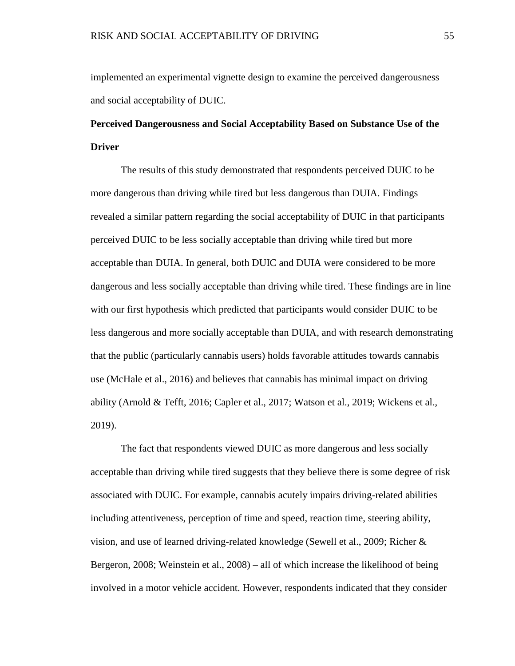implemented an experimental vignette design to examine the perceived dangerousness and social acceptability of DUIC.

# **Perceived Dangerousness and Social Acceptability Based on Substance Use of the Driver**

The results of this study demonstrated that respondents perceived DUIC to be more dangerous than driving while tired but less dangerous than DUIA. Findings revealed a similar pattern regarding the social acceptability of DUIC in that participants perceived DUIC to be less socially acceptable than driving while tired but more acceptable than DUIA. In general, both DUIC and DUIA were considered to be more dangerous and less socially acceptable than driving while tired. These findings are in line with our first hypothesis which predicted that participants would consider DUIC to be less dangerous and more socially acceptable than DUIA, and with research demonstrating that the public (particularly cannabis users) holds favorable attitudes towards cannabis use (McHale et al., 2016) and believes that cannabis has minimal impact on driving ability (Arnold & Tefft, 2016; Capler et al., 2017; Watson et al., 2019; Wickens et al., 2019).

The fact that respondents viewed DUIC as more dangerous and less socially acceptable than driving while tired suggests that they believe there is some degree of risk associated with DUIC. For example, cannabis acutely impairs driving-related abilities including attentiveness, perception of time and speed, reaction time, steering ability, vision, and use of learned driving-related knowledge (Sewell et al., 2009; Richer & Bergeron, 2008; Weinstein et al., 2008) – all of which increase the likelihood of being involved in a motor vehicle accident. However, respondents indicated that they consider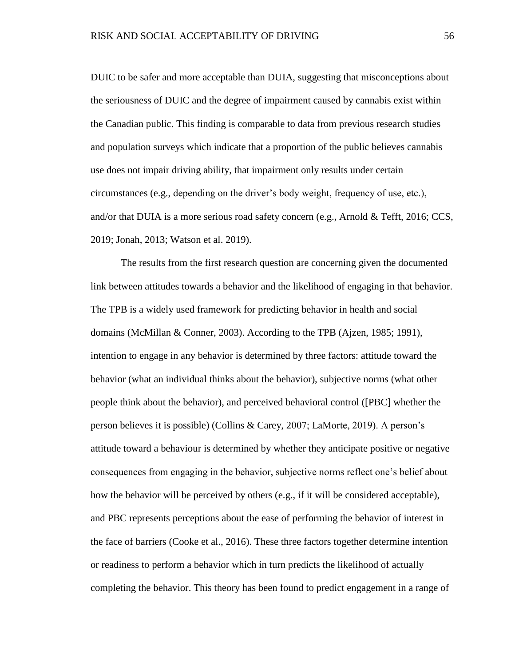DUIC to be safer and more acceptable than DUIA, suggesting that misconceptions about the seriousness of DUIC and the degree of impairment caused by cannabis exist within the Canadian public. This finding is comparable to data from previous research studies and population surveys which indicate that a proportion of the public believes cannabis use does not impair driving ability, that impairment only results under certain circumstances (e.g., depending on the driver's body weight, frequency of use, etc.), and/or that DUIA is a more serious road safety concern (e.g., Arnold  $&$  Tefft, 2016; CCS, 2019; Jonah, 2013; Watson et al. 2019).

The results from the first research question are concerning given the documented link between attitudes towards a behavior and the likelihood of engaging in that behavior. The TPB is a widely used framework for predicting behavior in health and social domains (McMillan & Conner, 2003). According to the TPB (Ajzen, 1985; 1991), intention to engage in any behavior is determined by three factors: attitude toward the behavior (what an individual thinks about the behavior), subjective norms (what other people think about the behavior), and perceived behavioral control ([PBC] whether the person believes it is possible) (Collins & Carey, 2007; LaMorte, 2019). A person's attitude toward a behaviour is determined by whether they anticipate positive or negative consequences from engaging in the behavior, subjective norms reflect one's belief about how the behavior will be perceived by others (e.g., if it will be considered acceptable), and PBC represents perceptions about the ease of performing the behavior of interest in the face of barriers (Cooke et al., 2016). These three factors together determine intention or readiness to perform a behavior which in turn predicts the likelihood of actually completing the behavior. This theory has been found to predict engagement in a range of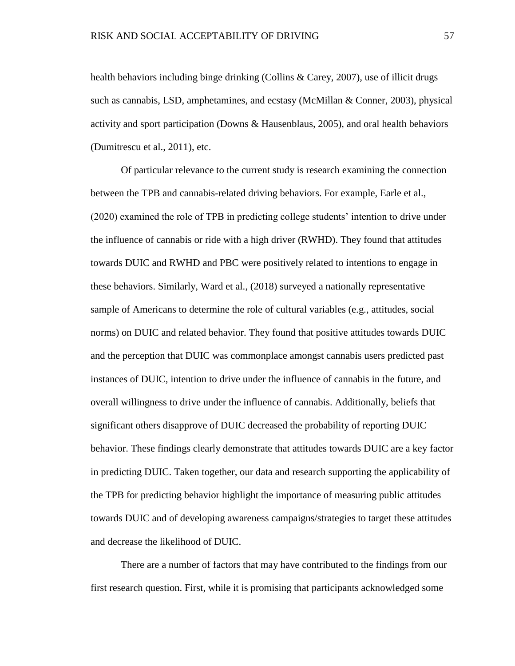health behaviors including binge drinking (Collins & Carey, 2007), use of illicit drugs such as cannabis, LSD, amphetamines, and ecstasy (McMillan & Conner, 2003), physical activity and sport participation (Downs  $\&$  Hausenblaus, 2005), and oral health behaviors (Dumitrescu et al., 2011), etc.

Of particular relevance to the current study is research examining the connection between the TPB and cannabis-related driving behaviors. For example, Earle et al., (2020) examined the role of TPB in predicting college students' intention to drive under the influence of cannabis or ride with a high driver (RWHD). They found that attitudes towards DUIC and RWHD and PBC were positively related to intentions to engage in these behaviors. Similarly, Ward et al., (2018) surveyed a nationally representative sample of Americans to determine the role of cultural variables (e.g., attitudes, social norms) on DUIC and related behavior. They found that positive attitudes towards DUIC and the perception that DUIC was commonplace amongst cannabis users predicted past instances of DUIC, intention to drive under the influence of cannabis in the future, and overall willingness to drive under the influence of cannabis. Additionally, beliefs that significant others disapprove of DUIC decreased the probability of reporting DUIC behavior. These findings clearly demonstrate that attitudes towards DUIC are a key factor in predicting DUIC. Taken together, our data and research supporting the applicability of the TPB for predicting behavior highlight the importance of measuring public attitudes towards DUIC and of developing awareness campaigns/strategies to target these attitudes and decrease the likelihood of DUIC.

There are a number of factors that may have contributed to the findings from our first research question. First, while it is promising that participants acknowledged some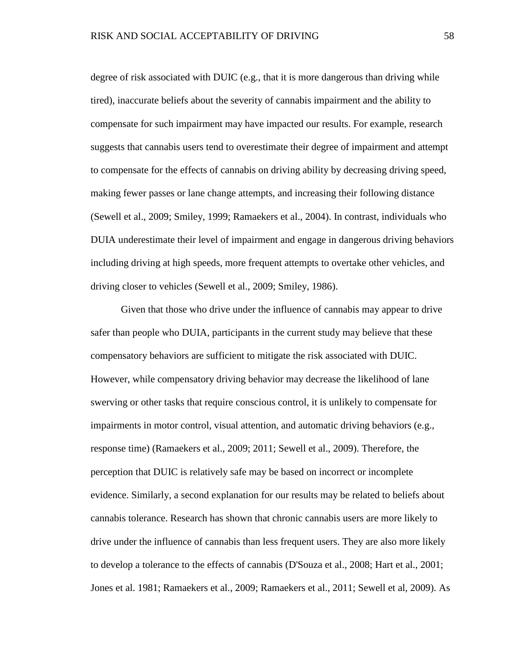degree of risk associated with DUIC (e.g., that it is more dangerous than driving while tired), inaccurate beliefs about the severity of cannabis impairment and the ability to compensate for such impairment may have impacted our results. For example, research suggests that cannabis users tend to overestimate their degree of impairment and attempt to compensate for the effects of cannabis on driving ability by decreasing driving speed, making fewer passes or lane change attempts, and increasing their following distance (Sewell et al., 2009; Smiley, 1999; Ramaekers et al., 2004). In contrast, individuals who DUIA underestimate their level of impairment and engage in dangerous driving behaviors including driving at high speeds, more frequent attempts to overtake other vehicles, and driving closer to vehicles (Sewell et al., 2009; Smiley, 1986).

Given that those who drive under the influence of cannabis may appear to drive safer than people who DUIA, participants in the current study may believe that these compensatory behaviors are sufficient to mitigate the risk associated with DUIC. However, while compensatory driving behavior may decrease the likelihood of lane swerving or other tasks that require conscious control, it is unlikely to compensate for impairments in motor control, visual attention, and automatic driving behaviors (e.g., response time) (Ramaekers et al., 2009; 2011; Sewell et al., 2009). Therefore, the perception that DUIC is relatively safe may be based on incorrect or incomplete evidence. Similarly, a second explanation for our results may be related to beliefs about cannabis tolerance. Research has shown that chronic cannabis users are more likely to drive under the influence of cannabis than less frequent users. They are also more likely to develop a tolerance to the effects of cannabis (D'Souza et al., 2008; Hart et al., 2001; Jones et al. 1981; Ramaekers et al., 2009; Ramaekers et al., 2011; Sewell et al, 2009). As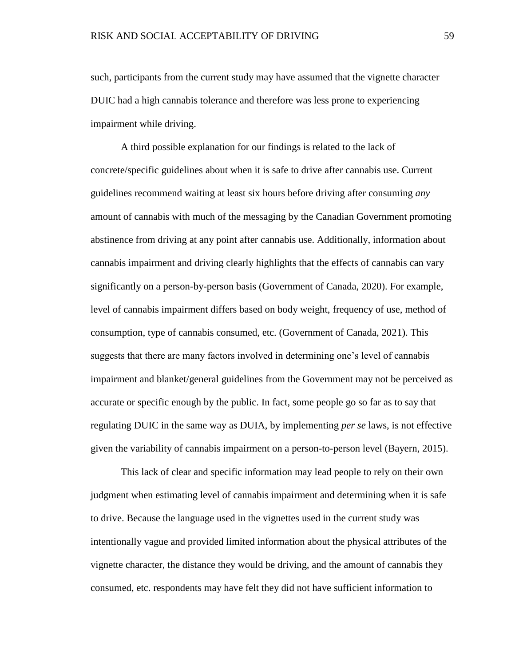such, participants from the current study may have assumed that the vignette character DUIC had a high cannabis tolerance and therefore was less prone to experiencing impairment while driving.

A third possible explanation for our findings is related to the lack of concrete/specific guidelines about when it is safe to drive after cannabis use. Current guidelines recommend waiting at least six hours before driving after consuming *any* amount of cannabis with much of the messaging by the Canadian Government promoting abstinence from driving at any point after cannabis use. Additionally, information about cannabis impairment and driving clearly highlights that the effects of cannabis can vary significantly on a person-by-person basis (Government of Canada, 2020). For example, level of cannabis impairment differs based on body weight, frequency of use, method of consumption, type of cannabis consumed, etc. (Government of Canada, 2021). This suggests that there are many factors involved in determining one's level of cannabis impairment and blanket/general guidelines from the Government may not be perceived as accurate or specific enough by the public. In fact, some people go so far as to say that regulating DUIC in the same way as DUIA, by implementing *per se* laws, is not effective given the variability of cannabis impairment on a person-to-person level (Bayern, 2015).

This lack of clear and specific information may lead people to rely on their own judgment when estimating level of cannabis impairment and determining when it is safe to drive. Because the language used in the vignettes used in the current study was intentionally vague and provided limited information about the physical attributes of the vignette character, the distance they would be driving, and the amount of cannabis they consumed, etc. respondents may have felt they did not have sufficient information to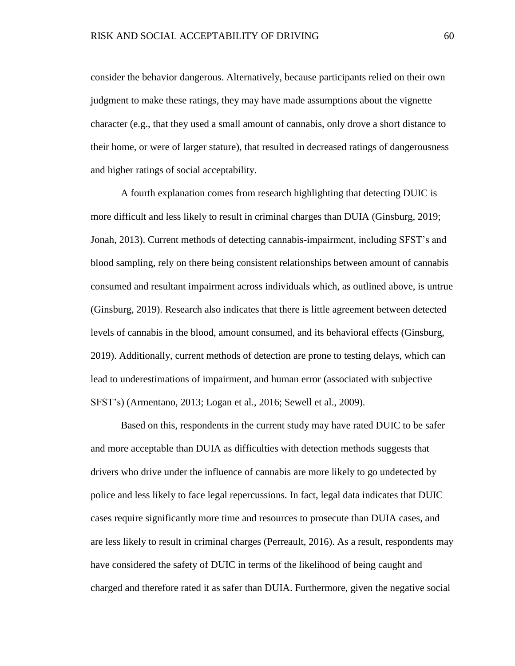consider the behavior dangerous. Alternatively, because participants relied on their own judgment to make these ratings, they may have made assumptions about the vignette character (e.g., that they used a small amount of cannabis, only drove a short distance to their home, or were of larger stature), that resulted in decreased ratings of dangerousness and higher ratings of social acceptability.

A fourth explanation comes from research highlighting that detecting DUIC is more difficult and less likely to result in criminal charges than DUIA (Ginsburg, 2019; Jonah, 2013). Current methods of detecting cannabis-impairment, including SFST's and blood sampling, rely on there being consistent relationships between amount of cannabis consumed and resultant impairment across individuals which, as outlined above, is untrue (Ginsburg, 2019). Research also indicates that there is little agreement between detected levels of cannabis in the blood, amount consumed, and its behavioral effects (Ginsburg, 2019). Additionally, current methods of detection are prone to testing delays, which can lead to underestimations of impairment, and human error (associated with subjective SFST's) (Armentano, 2013; Logan et al., 2016; Sewell et al., 2009).

Based on this, respondents in the current study may have rated DUIC to be safer and more acceptable than DUIA as difficulties with detection methods suggests that drivers who drive under the influence of cannabis are more likely to go undetected by police and less likely to face legal repercussions. In fact, legal data indicates that DUIC cases require significantly more time and resources to prosecute than DUIA cases, and are less likely to result in criminal charges (Perreault, 2016). As a result, respondents may have considered the safety of DUIC in terms of the likelihood of being caught and charged and therefore rated it as safer than DUIA. Furthermore, given the negative social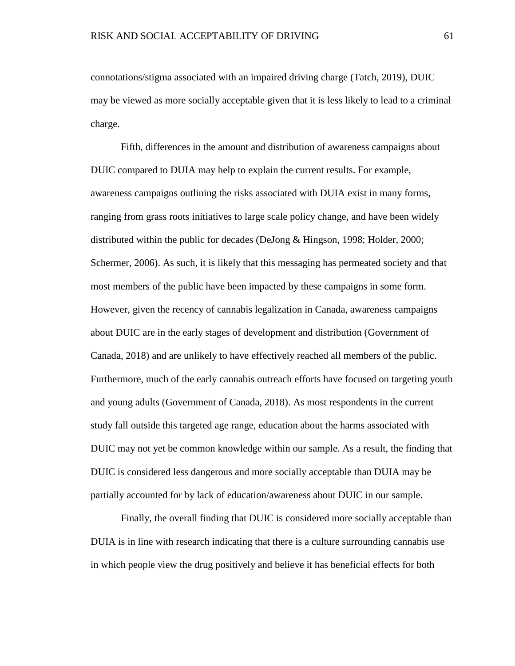connotations/stigma associated with an impaired driving charge (Tatch, 2019), DUIC may be viewed as more socially acceptable given that it is less likely to lead to a criminal charge.

Fifth, differences in the amount and distribution of awareness campaigns about DUIC compared to DUIA may help to explain the current results. For example, awareness campaigns outlining the risks associated with DUIA exist in many forms, ranging from grass roots initiatives to large scale policy change, and have been widely distributed within the public for decades (DeJong & Hingson, 1998; Holder, 2000; Schermer, 2006). As such, it is likely that this messaging has permeated society and that most members of the public have been impacted by these campaigns in some form. However, given the recency of cannabis legalization in Canada, awareness campaigns about DUIC are in the early stages of development and distribution (Government of Canada, 2018) and are unlikely to have effectively reached all members of the public. Furthermore, much of the early cannabis outreach efforts have focused on targeting youth and young adults (Government of Canada, 2018). As most respondents in the current study fall outside this targeted age range, education about the harms associated with DUIC may not yet be common knowledge within our sample. As a result, the finding that DUIC is considered less dangerous and more socially acceptable than DUIA may be partially accounted for by lack of education/awareness about DUIC in our sample.

Finally, the overall finding that DUIC is considered more socially acceptable than DUIA is in line with research indicating that there is a culture surrounding cannabis use in which people view the drug positively and believe it has beneficial effects for both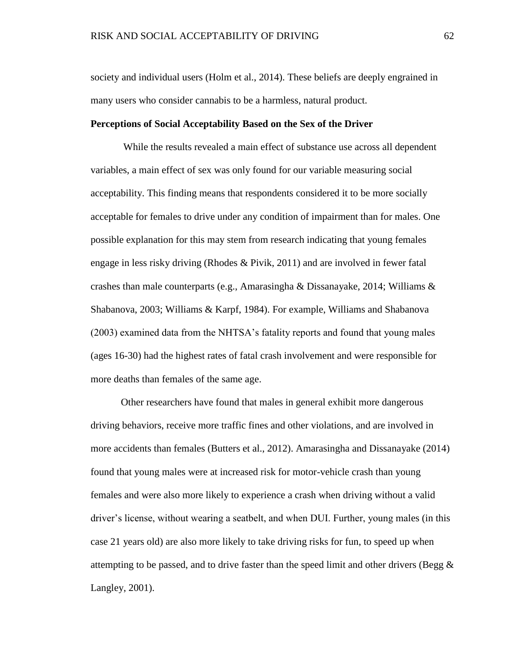society and individual users (Holm et al., 2014). These beliefs are deeply engrained in many users who consider cannabis to be a harmless, natural product.

## **Perceptions of Social Acceptability Based on the Sex of the Driver**

While the results revealed a main effect of substance use across all dependent variables, a main effect of sex was only found for our variable measuring social acceptability. This finding means that respondents considered it to be more socially acceptable for females to drive under any condition of impairment than for males. One possible explanation for this may stem from research indicating that young females engage in less risky driving (Rhodes & Pivik, 2011) and are involved in fewer fatal crashes than male counterparts (e.g., Amarasingha & Dissanayake, 2014; Williams & Shabanova, 2003; Williams & Karpf, 1984). For example, Williams and Shabanova (2003) examined data from the NHTSA's fatality reports and found that young males (ages 16-30) had the highest rates of fatal crash involvement and were responsible for more deaths than females of the same age.

Other researchers have found that males in general exhibit more dangerous driving behaviors, receive more traffic fines and other violations, and are involved in more accidents than females (Butters et al., 2012). Amarasingha and Dissanayake (2014) found that young males were at increased risk for motor-vehicle crash than young females and were also more likely to experience a crash when driving without a valid driver's license, without wearing a seatbelt, and when DUI. Further, young males (in this case 21 years old) are also more likely to take driving risks for fun, to speed up when attempting to be passed, and to drive faster than the speed limit and other drivers (Begg  $\&$ Langley, 2001).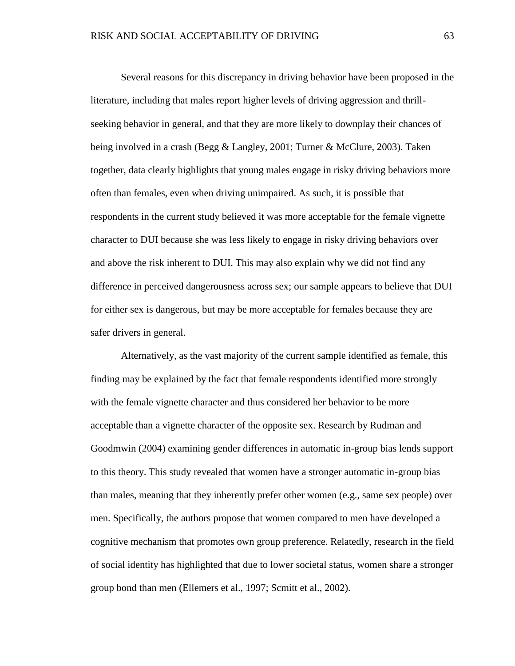Several reasons for this discrepancy in driving behavior have been proposed in the literature, including that males report higher levels of driving aggression and thrillseeking behavior in general, and that they are more likely to downplay their chances of being involved in a crash (Begg & Langley, 2001; Turner & McClure, 2003). Taken together, data clearly highlights that young males engage in risky driving behaviors more often than females, even when driving unimpaired. As such, it is possible that respondents in the current study believed it was more acceptable for the female vignette character to DUI because she was less likely to engage in risky driving behaviors over and above the risk inherent to DUI. This may also explain why we did not find any difference in perceived dangerousness across sex; our sample appears to believe that DUI for either sex is dangerous, but may be more acceptable for females because they are safer drivers in general.

Alternatively, as the vast majority of the current sample identified as female, this finding may be explained by the fact that female respondents identified more strongly with the female vignette character and thus considered her behavior to be more acceptable than a vignette character of the opposite sex. Research by Rudman and Goodmwin (2004) examining gender differences in automatic in-group bias lends support to this theory. This study revealed that women have a stronger automatic in-group bias than males, meaning that they inherently prefer other women (e.g., same sex people) over men. Specifically, the authors propose that women compared to men have developed a cognitive mechanism that promotes own group preference. Relatedly, research in the field of social identity has highlighted that due to lower societal status, women share a stronger group bond than men (Ellemers et al., 1997; Scmitt et al., 2002).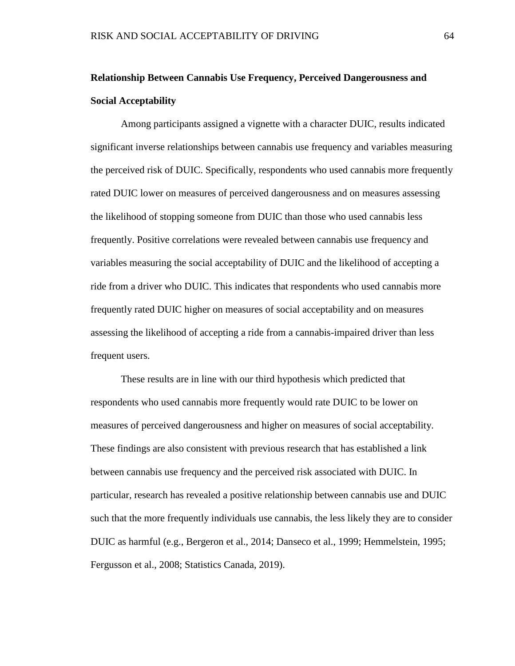# **Relationship Between Cannabis Use Frequency, Perceived Dangerousness and Social Acceptability**

Among participants assigned a vignette with a character DUIC, results indicated significant inverse relationships between cannabis use frequency and variables measuring the perceived risk of DUIC. Specifically, respondents who used cannabis more frequently rated DUIC lower on measures of perceived dangerousness and on measures assessing the likelihood of stopping someone from DUIC than those who used cannabis less frequently. Positive correlations were revealed between cannabis use frequency and variables measuring the social acceptability of DUIC and the likelihood of accepting a ride from a driver who DUIC. This indicates that respondents who used cannabis more frequently rated DUIC higher on measures of social acceptability and on measures assessing the likelihood of accepting a ride from a cannabis-impaired driver than less frequent users.

These results are in line with our third hypothesis which predicted that respondents who used cannabis more frequently would rate DUIC to be lower on measures of perceived dangerousness and higher on measures of social acceptability. These findings are also consistent with previous research that has established a link between cannabis use frequency and the perceived risk associated with DUIC. In particular, research has revealed a positive relationship between cannabis use and DUIC such that the more frequently individuals use cannabis, the less likely they are to consider DUIC as harmful (e.g., Bergeron et al., 2014; Danseco et al., 1999; Hemmelstein, 1995; Fergusson et al., 2008; Statistics Canada, 2019).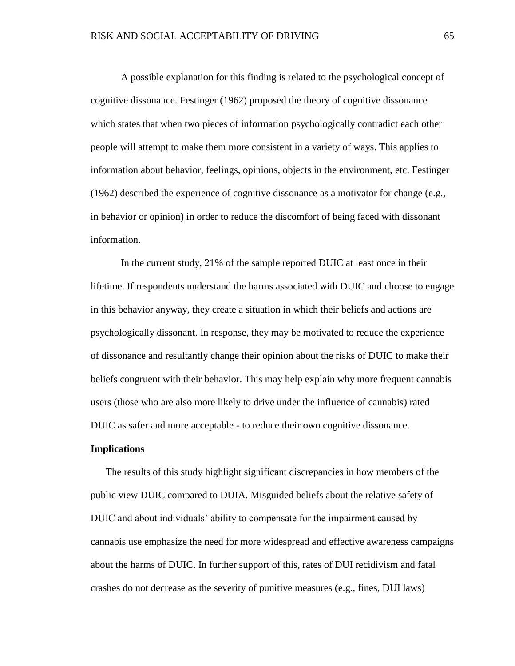A possible explanation for this finding is related to the psychological concept of cognitive dissonance. Festinger (1962) proposed the theory of cognitive dissonance which states that when two pieces of information psychologically contradict each other people will attempt to make them more consistent in a variety of ways. This applies to information about behavior, feelings, opinions, objects in the environment, etc. Festinger (1962) described the experience of cognitive dissonance as a motivator for change (e.g., in behavior or opinion) in order to reduce the discomfort of being faced with dissonant information.

In the current study, 21% of the sample reported DUIC at least once in their lifetime. If respondents understand the harms associated with DUIC and choose to engage in this behavior anyway, they create a situation in which their beliefs and actions are psychologically dissonant. In response, they may be motivated to reduce the experience of dissonance and resultantly change their opinion about the risks of DUIC to make their beliefs congruent with their behavior. This may help explain why more frequent cannabis users (those who are also more likely to drive under the influence of cannabis) rated DUIC as safer and more acceptable - to reduce their own cognitive dissonance.

## **Implications**

The results of this study highlight significant discrepancies in how members of the public view DUIC compared to DUIA. Misguided beliefs about the relative safety of DUIC and about individuals' ability to compensate for the impairment caused by cannabis use emphasize the need for more widespread and effective awareness campaigns about the harms of DUIC. In further support of this, rates of DUI recidivism and fatal crashes do not decrease as the severity of punitive measures (e.g., fines, DUI laws)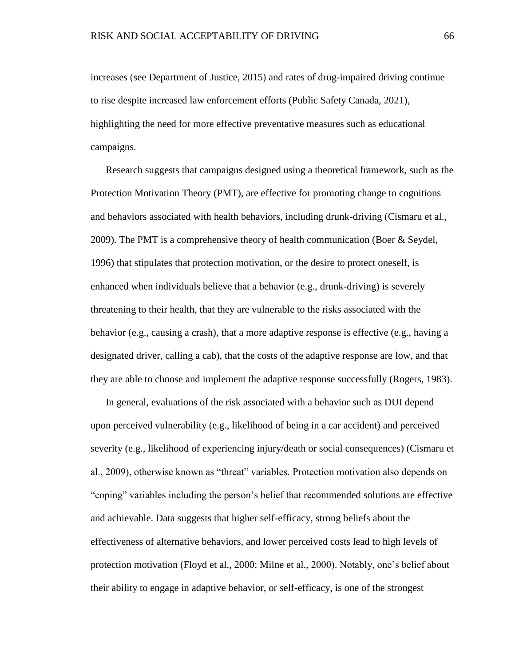increases (see Department of Justice, 2015) and rates of drug-impaired driving continue to rise despite increased law enforcement efforts (Public Safety Canada, 2021), highlighting the need for more effective preventative measures such as educational campaigns.

Research suggests that campaigns designed using a theoretical framework, such as the Protection Motivation Theory (PMT), are effective for promoting change to cognitions and behaviors associated with health behaviors, including drunk-driving (Cismaru et al., 2009). The PMT is a comprehensive theory of health communication (Boer & Seydel, 1996) that stipulates that protection motivation, or the desire to protect oneself, is enhanced when individuals believe that a behavior (e.g., drunk-driving) is severely threatening to their health, that they are vulnerable to the risks associated with the behavior (e.g., causing a crash), that a more adaptive response is effective (e.g., having a designated driver, calling a cab), that the costs of the adaptive response are low, and that they are able to choose and implement the adaptive response successfully (Rogers, 1983).

In general, evaluations of the risk associated with a behavior such as DUI depend upon perceived vulnerability (e.g., likelihood of being in a car accident) and perceived severity (e.g., likelihood of experiencing injury/death or social consequences) (Cismaru et al., 2009), otherwise known as "threat" variables. Protection motivation also depends on "coping" variables including the person's belief that recommended solutions are effective and achievable. Data suggests that higher self-efficacy, strong beliefs about the effectiveness of alternative behaviors, and lower perceived costs lead to high levels of protection motivation (Floyd et al., 2000; Milne et al., 2000). Notably, one's belief about their ability to engage in adaptive behavior, or self-efficacy, is one of the strongest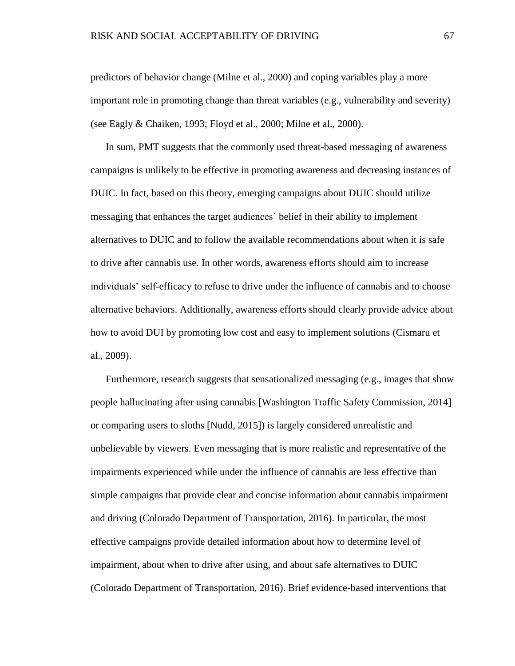predictors of behavior change (Milne et al., 2000) and coping variables play a more important role in promoting change than threat variables (e.g., vulnerability and severity) (see Eagly & Chaiken, 1993; Floyd et al., 2000; Milne et al., 2000).

In sum, PMT suggests that the commonly used threat-based messaging of awareness campaigns is unlikely to be effective in promoting awareness and decreasing instances of DUIC. In fact, based on this theory, emerging campaigns about DUIC should utilize messaging that enhances the target audiences' belief in their ability to implement alternatives to DUIC and to follow the available recommendations about when it is safe to drive after cannabis use. In other words, awareness efforts should aim to increase individuals' self-efficacy to refuse to drive under the influence of cannabis and to choose alternative behaviors. Additionally, awareness efforts should clearly provide advice about how to avoid DUI by promoting low cost and easy to implement solutions (Cismaru et al., 2009).

Furthermore, research suggests that sensationalized messaging (e.g., images that show people hallucinating after using cannabis [Washington Traffic Safety Commission, 2014] or comparing users to sloths [Nudd, 2015]) is largely considered unrealistic and unbelievable by viewers. Even messaging that is more realistic and representative of the impairments experienced while under the influence of cannabis are less effective than simple campaigns that provide clear and concise information about cannabis impairment and driving (Colorado Department of Transportation, 2016). In particular, the most effective campaigns provide detailed information about how to determine level of impairment, about when to drive after using, and about safe alternatives to DUIC (Colorado Department of Transportation, 2016). Brief evidence-based interventions that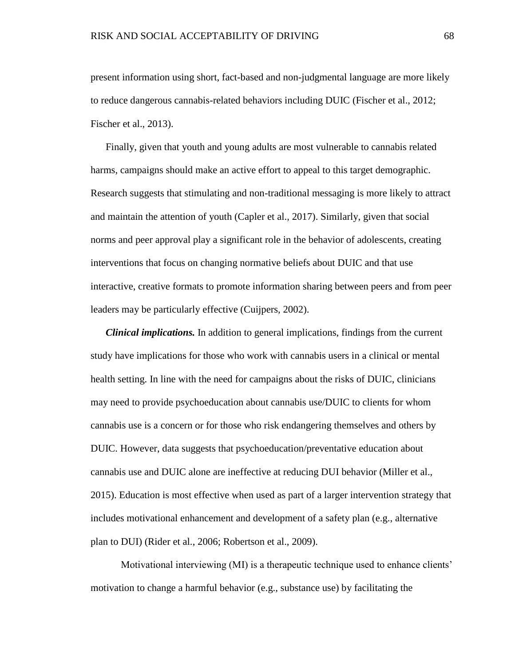present information using short, fact-based and non-judgmental language are more likely to reduce dangerous cannabis-related behaviors including DUIC (Fischer et al., 2012; Fischer et al., 2013).

Finally, given that youth and young adults are most vulnerable to cannabis related harms, campaigns should make an active effort to appeal to this target demographic. Research suggests that stimulating and non-traditional messaging is more likely to attract and maintain the attention of youth (Capler et al., 2017). Similarly, given that social norms and peer approval play a significant role in the behavior of adolescents, creating interventions that focus on changing normative beliefs about DUIC and that use interactive, creative formats to promote information sharing between peers and from peer leaders may be particularly effective (Cuijpers, 2002).

*Clinical implications.* In addition to general implications, findings from the current study have implications for those who work with cannabis users in a clinical or mental health setting. In line with the need for campaigns about the risks of DUIC, clinicians may need to provide psychoeducation about cannabis use/DUIC to clients for whom cannabis use is a concern or for those who risk endangering themselves and others by DUIC. However, data suggests that psychoeducation/preventative education about cannabis use and DUIC alone are ineffective at reducing DUI behavior (Miller et al., 2015). Education is most effective when used as part of a larger intervention strategy that includes motivational enhancement and development of a safety plan (e.g., alternative plan to DUI) (Rider et al., 2006; Robertson et al., 2009).

Motivational interviewing (MI) is a therapeutic technique used to enhance clients' motivation to change a harmful behavior (e.g., substance use) by facilitating the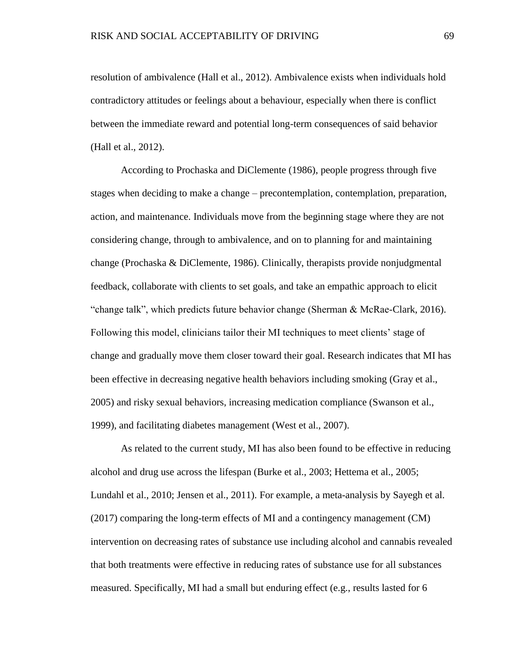resolution of ambivalence (Hall et al., 2012). Ambivalence exists when individuals hold contradictory attitudes or feelings about a behaviour, especially when there is conflict between the immediate reward and potential long-term consequences of said behavior (Hall et al., 2012).

According to Prochaska and DiClemente (1986), people progress through five stages when deciding to make a change – precontemplation, contemplation, preparation, action, and maintenance. Individuals move from the beginning stage where they are not considering change, through to ambivalence, and on to planning for and maintaining change (Prochaska & DiClemente, 1986). Clinically, therapists provide nonjudgmental feedback, collaborate with clients to set goals, and take an empathic approach to elicit "change talk", which predicts future behavior change (Sherman & McRae-Clark, 2016). Following this model, clinicians tailor their MI techniques to meet clients' stage of change and gradually move them closer toward their goal. Research indicates that MI has been effective in decreasing negative health behaviors including smoking (Gray et al., 2005) and risky sexual behaviors, increasing medication compliance (Swanson et al., 1999), and facilitating diabetes management (West et al., 2007).

As related to the current study, MI has also been found to be effective in reducing alcohol and drug use across the lifespan (Burke et al., 2003; Hettema et al., 2005; Lundahl et al., 2010; Jensen et al., 2011). For example, a meta-analysis by Sayegh et al. (2017) comparing the long-term effects of MI and a contingency management (CM) intervention on decreasing rates of substance use including alcohol and cannabis revealed that both treatments were effective in reducing rates of substance use for all substances measured. Specifically, MI had a small but enduring effect (e.g., results lasted for 6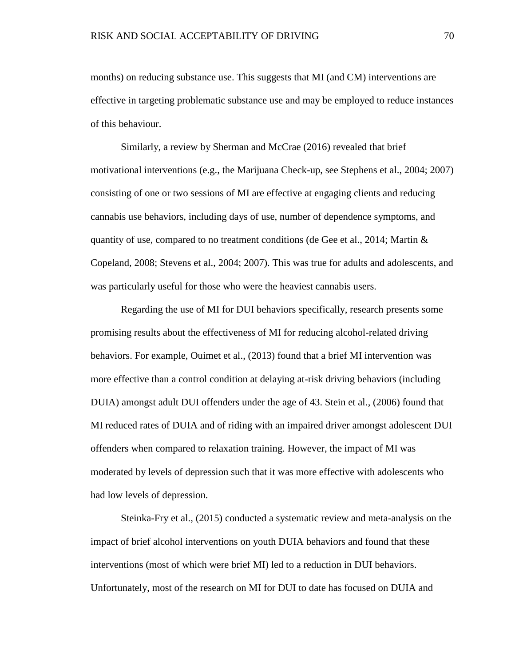months) on reducing substance use. This suggests that MI (and CM) interventions are effective in targeting problematic substance use and may be employed to reduce instances of this behaviour.

Similarly, a review by Sherman and McCrae (2016) revealed that brief motivational interventions (e.g., the Marijuana Check-up, see Stephens et al., 2004; 2007) consisting of one or two sessions of MI are effective at engaging clients and reducing cannabis use behaviors, including days of use, number of dependence symptoms, and quantity of use, compared to no treatment conditions (de Gee et al., 2014; Martin  $\&$ Copeland, 2008; Stevens et al., 2004; 2007). This was true for adults and adolescents, and was particularly useful for those who were the heaviest cannabis users.

Regarding the use of MI for DUI behaviors specifically, research presents some promising results about the effectiveness of MI for reducing alcohol-related driving behaviors. For example, Ouimet et al., (2013) found that a brief MI intervention was more effective than a control condition at delaying at-risk driving behaviors (including DUIA) amongst adult DUI offenders under the age of 43. Stein et al., (2006) found that MI reduced rates of DUIA and of riding with an impaired driver amongst adolescent DUI offenders when compared to relaxation training. However, the impact of MI was moderated by levels of depression such that it was more effective with adolescents who had low levels of depression.

Steinka-Fry et al., (2015) conducted a systematic review and meta-analysis on the impact of brief alcohol interventions on youth DUIA behaviors and found that these interventions (most of which were brief MI) led to a reduction in DUI behaviors. Unfortunately, most of the research on MI for DUI to date has focused on DUIA and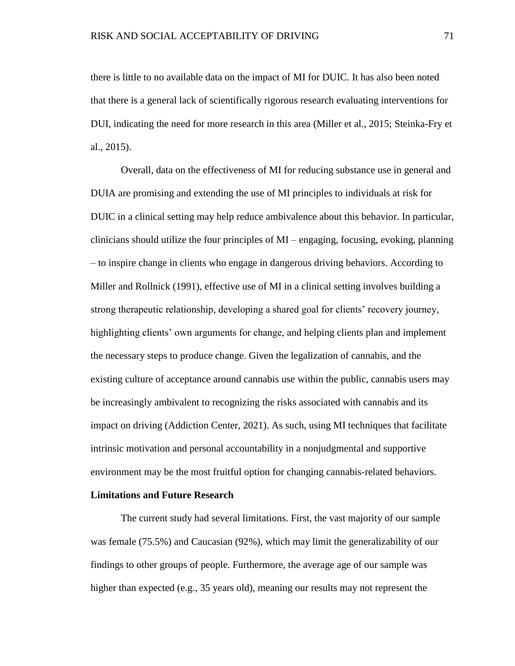there is little to no available data on the impact of MI for DUIC. It has also been noted that there is a general lack of scientifically rigorous research evaluating interventions for DUI, indicating the need for more research in this area (Miller et al., 2015; Steinka-Fry et al., 2015).

Overall, data on the effectiveness of MI for reducing substance use in general and DUIA are promising and extending the use of MI principles to individuals at risk for DUIC in a clinical setting may help reduce ambivalence about this behavior. In particular, clinicians should utilize the four principles of MI – engaging, focusing, evoking, planning – to inspire change in clients who engage in dangerous driving behaviors. According to Miller and Rollnick (1991), effective use of MI in a clinical setting involves building a strong therapeutic relationship, developing a shared goal for clients' recovery journey, highlighting clients' own arguments for change, and helping clients plan and implement the necessary steps to produce change. Given the legalization of cannabis, and the existing culture of acceptance around cannabis use within the public, cannabis users may be increasingly ambivalent to recognizing the risks associated with cannabis and its impact on driving (Addiction Center, 2021). As such, using MI techniques that facilitate intrinsic motivation and personal accountability in a nonjudgmental and supportive environment may be the most fruitful option for changing cannabis-related behaviors.

# **Limitations and Future Research**

The current study had several limitations. First, the vast majority of our sample was female (75.5%) and Caucasian (92%), which may limit the generalizability of our findings to other groups of people. Furthermore, the average age of our sample was higher than expected (e.g., 35 years old), meaning our results may not represent the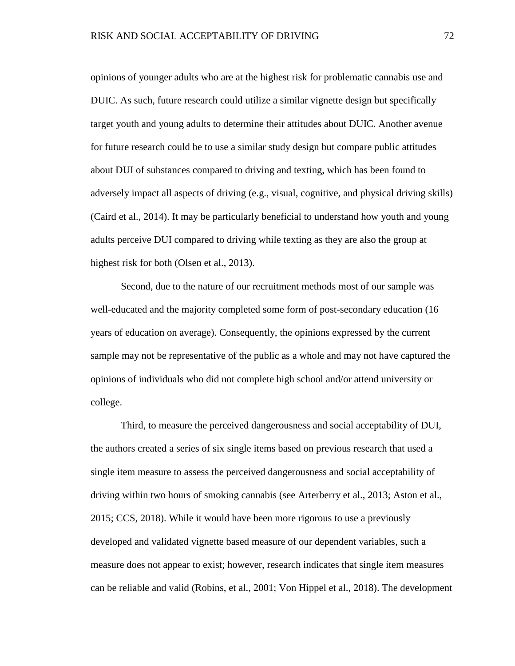opinions of younger adults who are at the highest risk for problematic cannabis use and DUIC. As such, future research could utilize a similar vignette design but specifically target youth and young adults to determine their attitudes about DUIC. Another avenue for future research could be to use a similar study design but compare public attitudes about DUI of substances compared to driving and texting, which has been found to adversely impact all aspects of driving (e.g., visual, cognitive, and physical driving skills) (Caird et al., 2014). It may be particularly beneficial to understand how youth and young adults perceive DUI compared to driving while texting as they are also the group at highest risk for both (Olsen et al., 2013).

Second, due to the nature of our recruitment methods most of our sample was well-educated and the majority completed some form of post-secondary education (16 years of education on average). Consequently, the opinions expressed by the current sample may not be representative of the public as a whole and may not have captured the opinions of individuals who did not complete high school and/or attend university or college.

Third, to measure the perceived dangerousness and social acceptability of DUI, the authors created a series of six single items based on previous research that used a single item measure to assess the perceived dangerousness and social acceptability of driving within two hours of smoking cannabis (see Arterberry et al., 2013; Aston et al., 2015; CCS, 2018). While it would have been more rigorous to use a previously developed and validated vignette based measure of our dependent variables, such a measure does not appear to exist; however, research indicates that single item measures can be reliable and valid (Robins, et al., 2001; Von Hippel et al., 2018). The development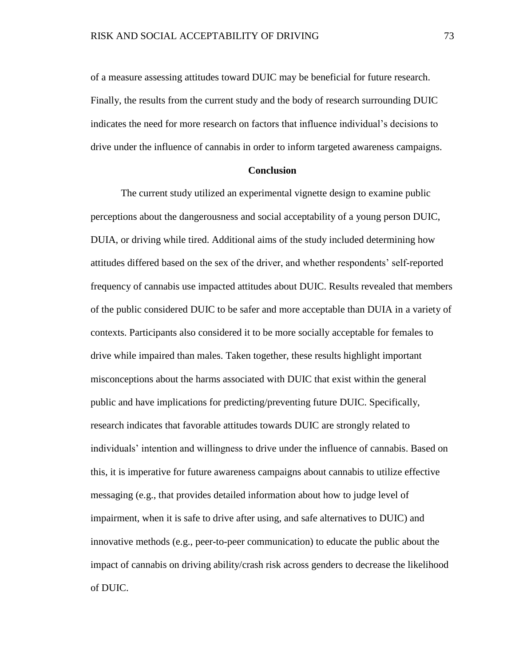of a measure assessing attitudes toward DUIC may be beneficial for future research. Finally, the results from the current study and the body of research surrounding DUIC indicates the need for more research on factors that influence individual's decisions to drive under the influence of cannabis in order to inform targeted awareness campaigns.

# **Conclusion**

The current study utilized an experimental vignette design to examine public perceptions about the dangerousness and social acceptability of a young person DUIC, DUIA, or driving while tired. Additional aims of the study included determining how attitudes differed based on the sex of the driver, and whether respondents' self-reported frequency of cannabis use impacted attitudes about DUIC. Results revealed that members of the public considered DUIC to be safer and more acceptable than DUIA in a variety of contexts. Participants also considered it to be more socially acceptable for females to drive while impaired than males. Taken together, these results highlight important misconceptions about the harms associated with DUIC that exist within the general public and have implications for predicting/preventing future DUIC. Specifically, research indicates that favorable attitudes towards DUIC are strongly related to individuals' intention and willingness to drive under the influence of cannabis. Based on this, it is imperative for future awareness campaigns about cannabis to utilize effective messaging (e.g., that provides detailed information about how to judge level of impairment, when it is safe to drive after using, and safe alternatives to DUIC) and innovative methods (e.g., peer-to-peer communication) to educate the public about the impact of cannabis on driving ability/crash risk across genders to decrease the likelihood of DUIC.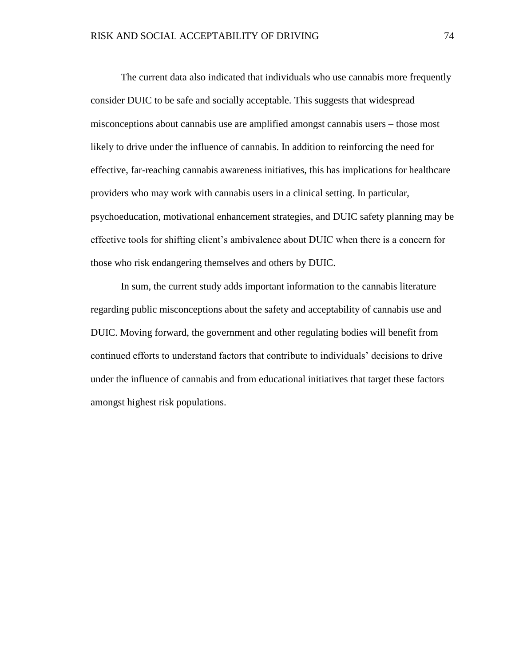The current data also indicated that individuals who use cannabis more frequently consider DUIC to be safe and socially acceptable. This suggests that widespread misconceptions about cannabis use are amplified amongst cannabis users – those most likely to drive under the influence of cannabis. In addition to reinforcing the need for effective, far-reaching cannabis awareness initiatives, this has implications for healthcare providers who may work with cannabis users in a clinical setting. In particular, psychoeducation, motivational enhancement strategies, and DUIC safety planning may be effective tools for shifting client's ambivalence about DUIC when there is a concern for those who risk endangering themselves and others by DUIC.

In sum, the current study adds important information to the cannabis literature regarding public misconceptions about the safety and acceptability of cannabis use and DUIC. Moving forward, the government and other regulating bodies will benefit from continued efforts to understand factors that contribute to individuals' decisions to drive under the influence of cannabis and from educational initiatives that target these factors amongst highest risk populations.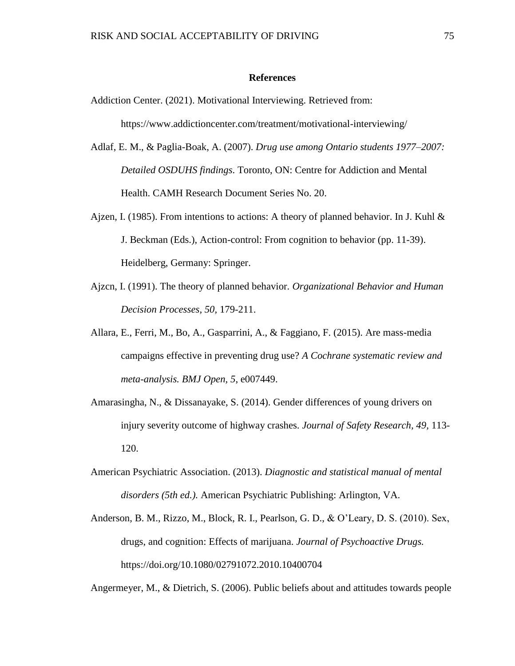#### **References**

Addiction Center. (2021). Motivational Interviewing. Retrieved from:

https://www.addictioncenter.com/treatment/motivational-interviewing/

- Adlaf, E. M., & Paglia-Boak, A. (2007). *Drug use among Ontario students 1977–2007: Detailed OSDUHS findings*. Toronto, ON: Centre for Addiction and Mental Health. CAMH Research Document Series No. 20.
- Ajzen, I. (1985). From intentions to actions: A theory of planned behavior. In J. Kuhl  $\&$ J. Beckman (Eds.), Action-control: From cognition to behavior (pp. 11-39). Heidelberg, Germany: Springer.
- Ajzcn, I. (1991). The theory of planned behavior. *Organizational Behavior and Human Decision Processes, 50,* 179-211.
- Allara, E., Ferri, M., Bo, A., Gasparrini, A., & Faggiano, F. (2015). Are mass-media campaigns effective in preventing drug use? *A Cochrane systematic review and meta-analysis. BMJ Open, 5*, e007449.
- Amarasingha, N., & Dissanayake, S. (2014). Gender differences of young drivers on injury severity outcome of highway crashes. *Journal of Safety Research, 49,* 113- 120.
- American Psychiatric Association. (2013). *Diagnostic and statistical manual of mental disorders (5th ed.).* American Psychiatric Publishing: Arlington, VA.
- Anderson, B. M., Rizzo, M., Block, R. I., Pearlson, G. D., & O'Leary, D. S. (2010). Sex, drugs, and cognition: Effects of marijuana. *Journal of Psychoactive Drugs.* https://doi.org/10.1080/02791072.2010.10400704

Angermeyer, M., & Dietrich, S. (2006). Public beliefs about and attitudes towards people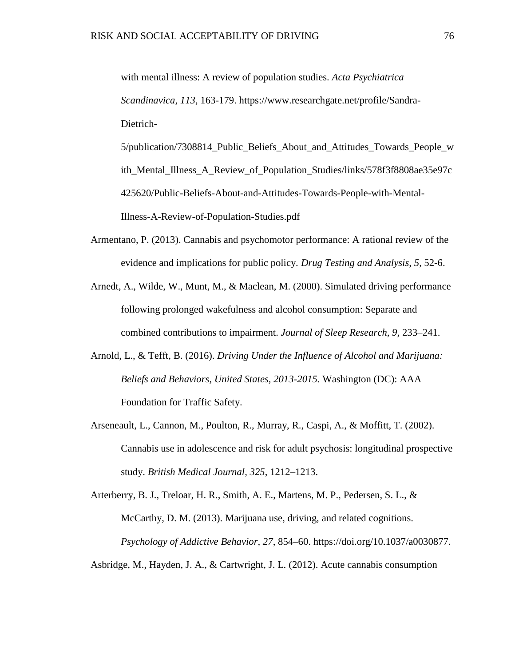with mental illness: A review of population studies. *Acta Psychiatrica Scandinavica, 113,* 163-179. https://www.researchgate.net/profile/Sandra-Dietrich-

5/publication/7308814\_Public\_Beliefs\_About\_and\_Attitudes\_Towards\_People\_w ith\_Mental\_Illness\_A\_Review\_of\_Population\_Studies/links/578f3f8808ae35e97c 425620/Public-Beliefs-About-and-Attitudes-Towards-People-with-Mental-Illness-A-Review-of-Population-Studies.pdf

- Armentano, P. (2013). Cannabis and psychomotor performance: A rational review of the evidence and implications for public policy. *Drug Testing and Analysis, 5*, 52-6.
- Arnedt, A., Wilde, W., Munt, M., & Maclean, M. (2000). Simulated driving performance following prolonged wakefulness and alcohol consumption: Separate and combined contributions to impairment. *Journal of Sleep Research, 9,* 233–241.
- Arnold, L., & Tefft, B. (2016). *Driving Under the Influence of Alcohol and Marijuana: Beliefs and Behaviors, United States, 2013-2015.* Washington (DC): AAA Foundation for Traffic Safety.
- Arseneault, L., Cannon, M., Poulton, R., Murray, R., Caspi, A., & Moffitt, T. (2002). Cannabis use in adolescence and risk for adult psychosis: longitudinal prospective study. *British Medical Journal, 325*, 1212–1213.

Arterberry, B. J., Treloar, H. R., Smith, A. E., Martens, M. P., Pedersen, S. L., & McCarthy, D. M. (2013). Marijuana use, driving, and related cognitions. *Psychology of Addictive Behavior, 27*, 854–60. https://doi.org/10.1037/a0030877.

Asbridge, M., Hayden, J. A., & Cartwright, J. L. (2012). Acute cannabis consumption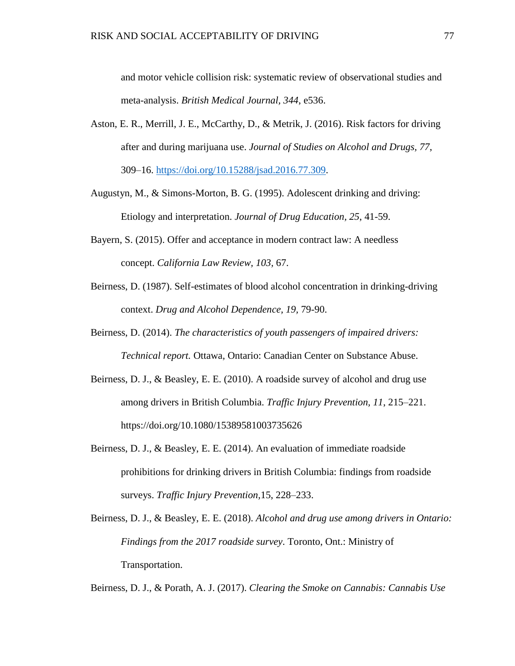and motor vehicle collision risk: systematic review of observational studies and meta-analysis. *British Medical Journal, 344*, e536.

- Aston, E. R., Merrill, J. E., McCarthy, D., & Metrik, J. (2016). Risk factors for driving after and during marijuana use. *Journal of Studies on Alcohol and Drugs, 77*, 309–16. [https://doi.org/10.15288/jsad.2016.77.309.](https://doi.org/10.15288/jsad.2016.77.309)
- Augustyn, M., & Simons-Morton, B. G. (1995). Adolescent drinking and driving: Etiology and interpretation. *Journal of Drug Education, 25*, 41-59.
- Bayern, S. (2015). Offer and acceptance in modern contract law: A needless concept. *California Law Review, 103,* 67.
- Beirness, D. (1987). Self-estimates of blood alcohol concentration in drinking-driving context. *Drug and Alcohol Dependence, 19,* 79-90.
- Beirness, D. (2014). *The characteristics of youth passengers of impaired drivers: Technical report.* Ottawa, Ontario: Canadian Center on Substance Abuse.
- Beirness, D. J., & Beasley, E. E. (2010). A roadside survey of alcohol and drug use among drivers in British Columbia. *Traffic Injury Prevention, 11*, 215–221. https://doi.org/10.1080/15389581003735626
- Beirness, D. J., & Beasley, E. E. (2014). An evaluation of immediate roadside prohibitions for drinking drivers in British Columbia: findings from roadside surveys. *Traffic Injury Prevention,*15, 228–233.

Beirness, D. J., & Beasley, E. E. (2018). *Alcohol and drug use among drivers in Ontario: Findings from the 2017 roadside survey*. Toronto, Ont.: Ministry of Transportation.

Beirness, D. J., & Porath, A. J. (2017). *Clearing the Smoke on Cannabis: Cannabis Use*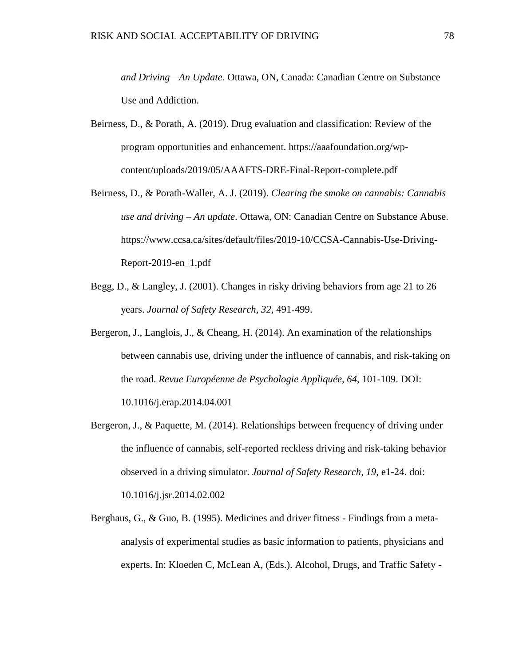*and Driving—An Update.* Ottawa, ON, Canada: Canadian Centre on Substance Use and Addiction.

- Beirness, D., & Porath, A. (2019). Drug evaluation and classification: Review of the program opportunities and enhancement. https://aaafoundation.org/wpcontent/uploads/2019/05/AAAFTS-DRE-Final-Report-complete.pdf
- Beirness, D., & Porath-Waller, A. J. (2019). *Clearing the smoke on cannabis: Cannabis use and driving – An update*. Ottawa, ON: Canadian Centre on Substance Abuse. https://www.ccsa.ca/sites/default/files/2019-10/CCSA-Cannabis-Use-Driving-Report-2019-en\_1.pdf
- Begg, D., & Langley, J. (2001). Changes in risky driving behaviors from age 21 to 26 years. *Journal of Safety Research, 32,* 491-499.
- Bergeron, J., Langlois, J., & Cheang, H. (2014). An examination of the relationships between cannabis use, driving under the influence of cannabis, and risk-taking on the road. *Revue Européenne de Psychologie Appliquée, 64*, 101-109. DOI: 10.1016/j.erap.2014.04.001
- Bergeron, J., & Paquette, M. (2014). Relationships between frequency of driving under the influence of cannabis, self-reported reckless driving and risk-taking behavior observed in a driving simulator. *Journal of Safety Research, 19,* e1-24. doi: 10.1016/j.jsr.2014.02.002
- Berghaus, G., & Guo, B. (1995). Medicines and driver fitness Findings from a metaanalysis of experimental studies as basic information to patients, physicians and experts. In: Kloeden C, McLean A, (Eds.). Alcohol, Drugs, and Traffic Safety -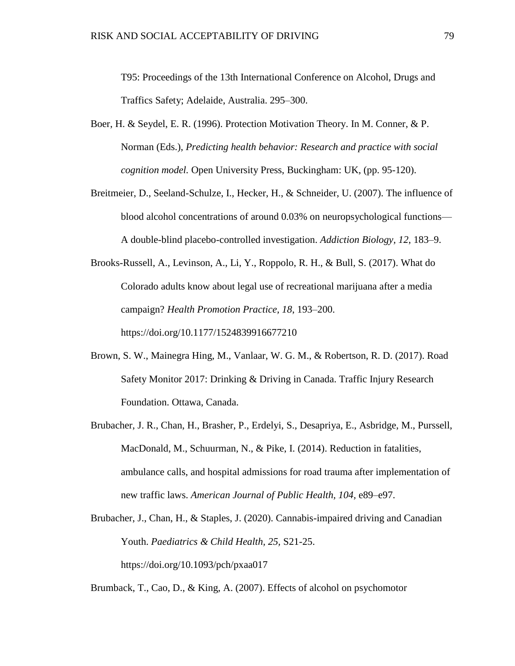T95: Proceedings of the 13th International Conference on Alcohol, Drugs and Traffics Safety; Adelaide, Australia. 295–300.

- Boer, H. & Seydel, E. R. (1996). Protection Motivation Theory. In M. Conner, & P. Norman (Eds.), *Predicting health behavior: Research and practice with social cognition model.* Open University Press, Buckingham: UK, (pp. 95-120).
- Breitmeier, D., Seeland-Schulze, I., Hecker, H., & Schneider, U. (2007). The influence of blood alcohol concentrations of around 0.03% on neuropsychological functions— A double-blind placebo-controlled investigation. *Addiction Biology, 12*, 183–9.

Brooks-Russell, A., Levinson, A., Li, Y., Roppolo, R. H., & Bull, S. (2017). What do Colorado adults know about legal use of recreational marijuana after a media campaign? *Health Promotion Practice, 18*, 193–200. https://doi.org/10.1177/1524839916677210

- Brown, S. W., Mainegra Hing, M., Vanlaar, W. G. M., & Robertson, R. D. (2017). Road Safety Monitor 2017: Drinking & Driving in Canada. Traffic Injury Research Foundation. Ottawa, Canada.
- Brubacher, J. R., Chan, H., Brasher, P., Erdelyi, S., Desapriya, E., Asbridge, M., Purssell, MacDonald, M., Schuurman, N., & Pike, I. (2014). Reduction in fatalities, ambulance calls, and hospital admissions for road trauma after implementation of new traffic laws. *American Journal of Public Health, 104,* e89–e97.
- Brubacher, J., Chan, H., & Staples, J. (2020). Cannabis-impaired driving and Canadian Youth. *Paediatrics & Child Health, 25,* S21-25. https://doi.org/10.1093/pch/pxaa017

Brumback, T., Cao, D., & King, A. (2007). Effects of alcohol on psychomotor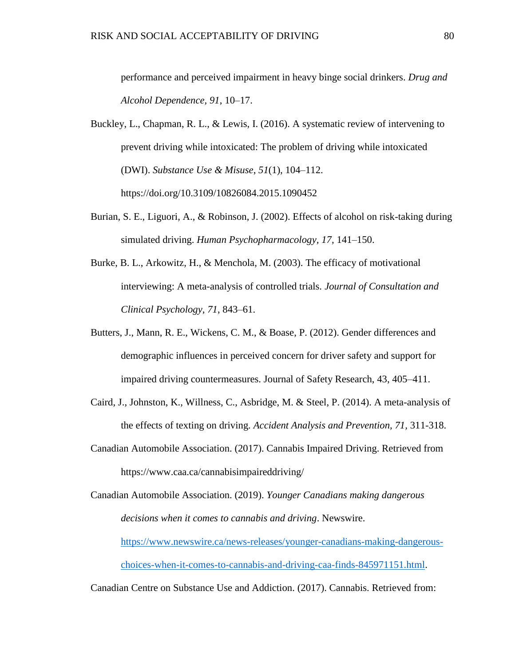performance and perceived impairment in heavy binge social drinkers. *Drug and Alcohol Dependence, 91*, 10–17.

- Buckley, L., Chapman, R. L., & Lewis, I. (2016). A systematic review of intervening to prevent driving while intoxicated: The problem of driving while intoxicated (DWI). *Substance Use & Misuse*, *51*(1), 104–112. https://doi.org/10.3109/10826084.2015.1090452
- Burian, S. E., Liguori, A., & Robinson, J. (2002). Effects of alcohol on risk-taking during simulated driving. *Human Psychopharmacology, 17,* 141–150.
- Burke, B. L., Arkowitz, H., & Menchola, M. (2003). The efficacy of motivational interviewing: A meta-analysis of controlled trials. *Journal of Consultation and Clinical Psychology, 71*, 843–61.
- Butters, J., Mann, R. E., Wickens, C. M., & Boase, P. (2012). Gender differences and demographic influences in perceived concern for driver safety and support for impaired driving countermeasures. Journal of Safety Research, 43, 405–411.
- Caird, J., Johnston, K., Willness, C., Asbridge, M. & Steel, P. (2014). A meta-analysis of the effects of texting on driving. *Accident Analysis and Prevention, 71,* 311-318.
- Canadian Automobile Association. (2017). Cannabis Impaired Driving. Retrieved from https://www.caa.ca/cannabisimpaireddriving/

Canadian Automobile Association. (2019). *Younger Canadians making dangerous decisions when it comes to cannabis and driving*. Newswire. [https://www.newswire.ca/news-releases/younger-canadians-making-dangerous](https://www.newswire.ca/news-releases/younger-canadians-making-dangerous-choices-when-it-comes-to-cannabis-and-driving-caa-finds-845971151.html)[choices-when-it-comes-to-cannabis-and-driving-caa-finds-845971151.html.](https://www.newswire.ca/news-releases/younger-canadians-making-dangerous-choices-when-it-comes-to-cannabis-and-driving-caa-finds-845971151.html)

Canadian Centre on Substance Use and Addiction. (2017). Cannabis. Retrieved from: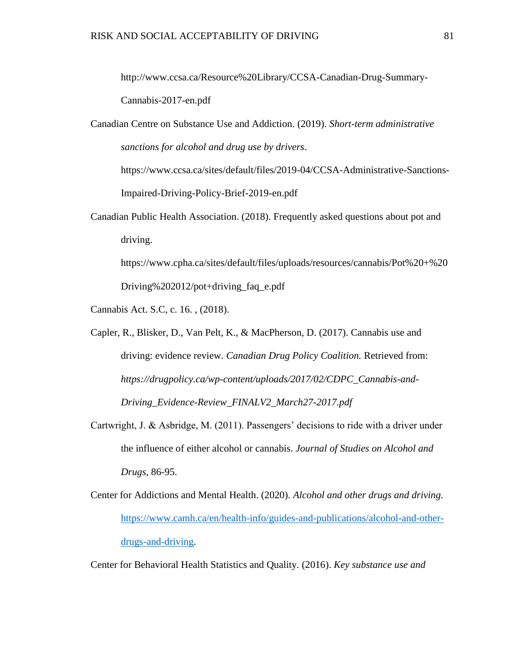http://www.ccsa.ca/Resource%20Library/CCSA-Canadian-Drug-Summary-Cannabis-2017-en.pdf

Canadian Centre on Substance Use and Addiction. (2019). *Short-term administrative sanctions for alcohol and drug use by drivers*.

https://www.ccsa.ca/sites/default/files/2019-04/CCSA-Administrative-Sanctions-Impaired-Driving-Policy-Brief-2019-en.pdf

Canadian Public Health Association. (2018). Frequently asked questions about pot and driving.

https://www.cpha.ca/sites/default/files/uploads/resources/cannabis/Pot%20+%20 Driving%202012/pot+driving\_faq\_e.pdf

Cannabis Act. S.C, c. 16. , (2018).

- Capler, R., Blisker, D., Van Pelt, K., & MacPherson, D. (2017). Cannabis use and driving: evidence review. *Canadian Drug Policy Coalition.* Retrieved from: *https://drugpolicy.ca/wp-content/uploads/2017/02/CDPC\_Cannabis-and-Driving\_Evidence-Review\_FINALV2\_March27-2017.pdf*
- Cartwright, J. & Asbridge, M. (2011). Passengers' decisions to ride with a driver under the influence of either alcohol or cannabis. *Journal of Studies on Alcohol and Drugs,* 86-95.
- Center for Addictions and Mental Health. (2020). *Alcohol and other drugs and driving.*  [https://www.camh.ca/en/health-info/guides-and-publications/alcohol-and-other](https://www.camh.ca/en/health-info/guides-and-publications/alcohol-and-other-drugs-and-driving)[drugs-and-driving.](https://www.camh.ca/en/health-info/guides-and-publications/alcohol-and-other-drugs-and-driving)

Center for Behavioral Health Statistics and Quality. (2016). *Key substance use and*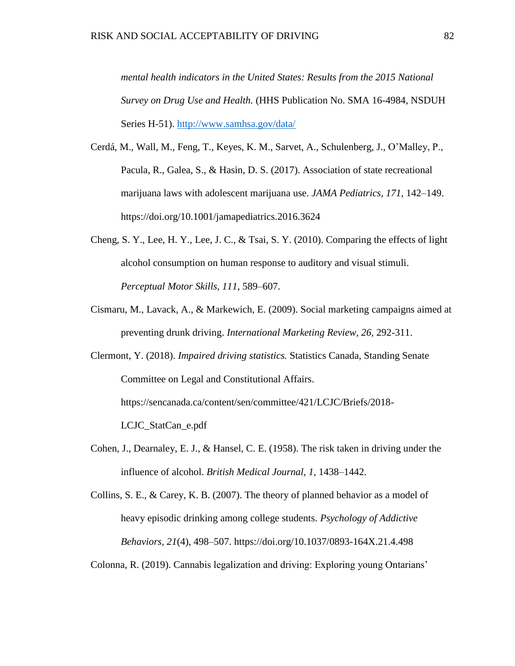*mental health indicators in the United States: Results from the 2015 National Survey on Drug Use and Health.* (HHS Publication No. SMA 16-4984, NSDUH Series H-51). <http://www.samhsa.gov/data/>

- Cerdá, M., Wall, M., Feng, T., Keyes, K. M., Sarvet, A., Schulenberg, J., O'Malley, P., Pacula, R., Galea, S., & Hasin, D. S. (2017). Association of state recreational marijuana laws with adolescent marijuana use. *JAMA Pediatrics, 171*, 142–149. https://doi.org/10.1001/jamapediatrics.2016.3624
- Cheng, S. Y., Lee, H. Y., Lee, J. C., & Tsai, S. Y. (2010). Comparing the effects of light alcohol consumption on human response to auditory and visual stimuli. *Perceptual Motor Skills, 111*, 589–607.
- Cismaru, M., Lavack, A., & Markewich, E. (2009). Social marketing campaigns aimed at preventing drunk driving. *International Marketing Review, 26,* 292-311.
- Clermont, Y. (2018). *Impaired driving statistics.* Statistics Canada, Standing Senate Committee on Legal and Constitutional Affairs.

https://sencanada.ca/content/sen/committee/421/LCJC/Briefs/2018-

LCJC\_StatCan\_e.pdf

- Cohen, J., Dearnaley, E. J., & Hansel, C. E. (1958). The risk taken in driving under the influence of alcohol. *British Medical Journal, 1,* 1438–1442.
- Collins, S. E., & Carey, K. B. (2007). The theory of planned behavior as a model of heavy episodic drinking among college students. *Psychology of Addictive Behaviors, 21*(4), 498–507. https://doi.org/10.1037/0893-164X.21.4.498

Colonna, R. (2019). Cannabis legalization and driving: Exploring young Ontarians'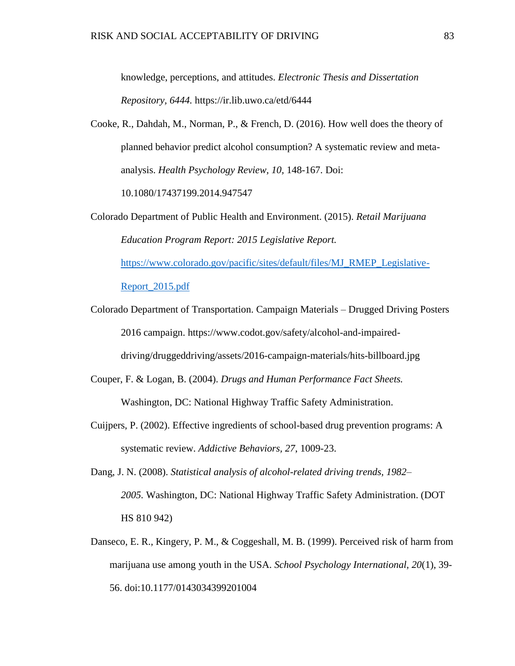knowledge, perceptions, and attitudes. *Electronic Thesis and Dissertation Repository, 6444.* https://ir.lib.uwo.ca/etd/6444

Cooke, R., Dahdah, M., Norman, P., & French, D. (2016). How well does the theory of planned behavior predict alcohol consumption? A systematic review and metaanalysis. *Health Psychology Review, 10,* 148-167. Doi:

10.1080/17437199.2014.947547

- Colorado Department of Public Health and Environment. (2015). *Retail Marijuana Education Program Report: 2015 Legislative Report.*  [https://www.colorado.gov/pacific/sites/default/files/MJ\\_RMEP\\_Legislative-](https://www.colorado.gov/pacific/sites/default/files/MJ_RMEP_Legislative-Report_2015.pdf)[Report\\_2015.pdf](https://www.colorado.gov/pacific/sites/default/files/MJ_RMEP_Legislative-Report_2015.pdf)
- Colorado Department of Transportation. Campaign Materials Drugged Driving Posters 2016 campaign. https://www.codot.gov/safety/alcohol-and-impaireddriving/druggeddriving/assets/2016-campaign-materials/hits-billboard.jpg
- Couper, F. & Logan, B. (2004). *Drugs and Human Performance Fact Sheets.* Washington, DC: National Highway Traffic Safety Administration.
- Cuijpers, P. (2002). Effective ingredients of school-based drug prevention programs: A systematic review. *Addictive Behaviors, 27*, 1009-23.
- Dang, J. N. (2008). *Statistical analysis of alcohol-related driving trends, 1982– 2005.* Washington, DC: National Highway Traffic Safety Administration. (DOT HS 810 942)
- Danseco, E. R., Kingery, P. M., & Coggeshall, M. B. (1999). Perceived risk of harm from marijuana use among youth in the USA. *School Psychology International, 20*(1), 39- 56. doi:10.1177/0143034399201004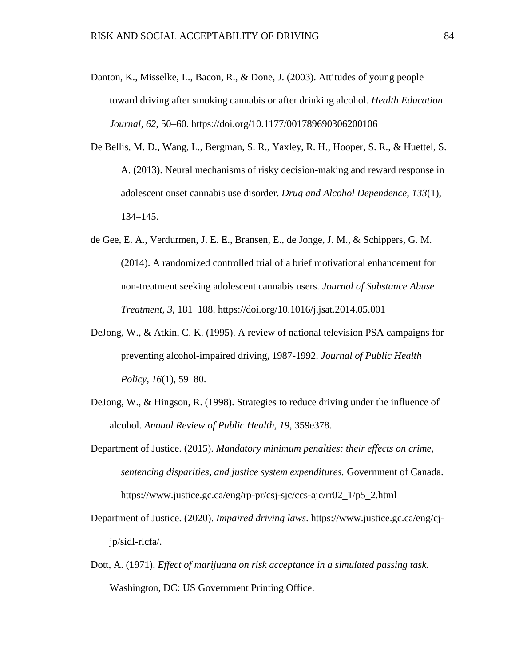- Danton, K., Misselke, L., Bacon, R., & Done, J. (2003). Attitudes of young people toward driving after smoking cannabis or after drinking alcohol. *Health Education Journal, 62*, 50–60. https://doi.org/10.1177/001789690306200106
- De Bellis, M. D., Wang, L., Bergman, S. R., Yaxley, R. H., Hooper, S. R., & Huettel, S. A. (2013). Neural mechanisms of risky decision-making and reward response in adolescent onset cannabis use disorder. *Drug and Alcohol Dependence, 133*(1), 134–145.
- de Gee, E. A., Verdurmen, J. E. E., Bransen, E., de Jonge, J. M., & Schippers, G. M. (2014). A randomized controlled trial of a brief motivational enhancement for non-treatment seeking adolescent cannabis users. *Journal of Substance Abuse Treatment, 3,* 181–188. https://doi.org/10.1016/j.jsat.2014.05.001
- DeJong, W., & Atkin, C. K. (1995). A review of national television PSA campaigns for preventing alcohol-impaired driving, 1987-1992. *Journal of Public Health Policy*, *16*(1), 59–80.
- DeJong, W., & Hingson, R. (1998). Strategies to reduce driving under the influence of alcohol. *Annual Review of Public Health, 19*, 359e378.
- Department of Justice. (2015). *Mandatory minimum penalties: their effects on crime, sentencing disparities, and justice system expenditures.* Government of Canada. https://www.justice.gc.ca/eng/rp-pr/csj-sjc/ccs-ajc/rr02\_1/p5\_2.html
- Department of Justice. (2020). *Impaired driving laws*. https://www.justice.gc.ca/eng/cjjp/sidl-rlcfa/.
- Dott, A. (1971). *Effect of marijuana on risk acceptance in a simulated passing task.* Washington, DC: US Government Printing Office.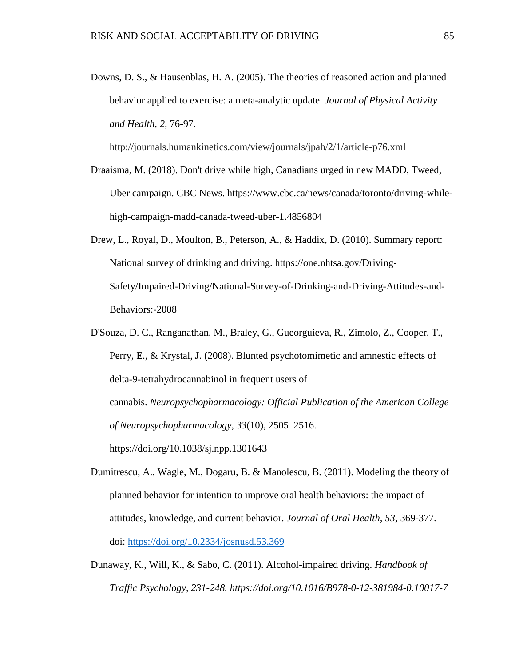Downs, D. S., & Hausenblas, H. A. (2005). The theories of reasoned action and planned behavior applied to exercise: a meta-analytic update. *Journal of Physical Activity and Health, 2,* 76-97.

http://journals.humankinetics.com/view/journals/jpah/2/1/article-p76.xml

- Draaisma, M. (2018). Don't drive while high, Canadians urged in new MADD, Tweed, Uber campaign. CBC News. https://www.cbc.ca/news/canada/toronto/driving-whilehigh-campaign-madd-canada-tweed-uber-1.4856804
- Drew, L., Royal, D., Moulton, B., Peterson, A., & Haddix, D. (2010). Summary report: National survey of drinking and driving. https://one.nhtsa.gov/Driving-Safety/Impaired-Driving/National-Survey-of-Drinking-and-Driving-Attitudes-and-Behaviors:-2008
- D'Souza, D. C., Ranganathan, M., Braley, G., Gueorguieva, R., Zimolo, Z., Cooper, T., Perry, E., & Krystal, J. (2008). Blunted psychotomimetic and amnestic effects of delta-9-tetrahydrocannabinol in frequent users of cannabis. *Neuropsychopharmacology: Official Publication of the American College of Neuropsychopharmacology*, *33*(10), 2505–2516. https://doi.org/10.1038/sj.npp.1301643
- Dumitrescu, A., Wagle, M., Dogaru, B. & Manolescu, B. (2011). Modeling the theory of planned behavior for intention to improve oral health behaviors: the impact of attitudes, knowledge, and current behavior. *Journal of Oral Health, 53,* 369-377. doi:<https://doi.org/10.2334/josnusd.53.369>
- Dunaway, K., Will, K., & Sabo, C. (2011). Alcohol-impaired driving. *Handbook of Traffic Psychology, 231-248. https://doi.org/10.1016/B978-0-12-381984-0.10017-7*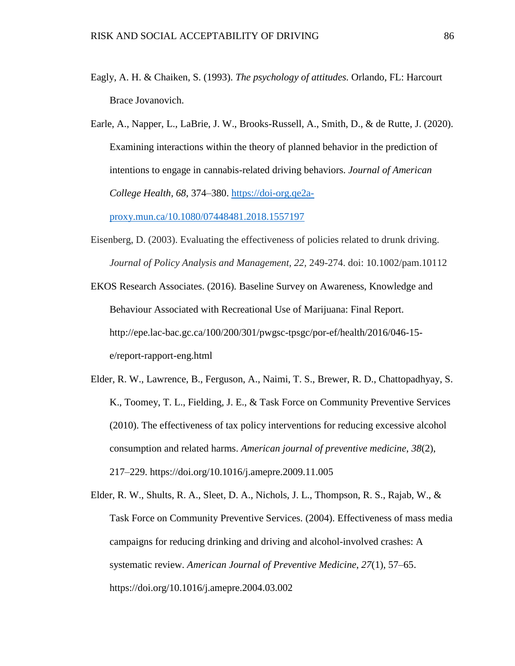- Eagly, A. H. & Chaiken, S. (1993). *The psychology of attitudes.* Orlando, FL: Harcourt Brace Jovanovich.
- Earle, A., Napper, L., LaBrie, J. W., Brooks-Russell, A., Smith, D., & de Rutte, J. (2020). Examining interactions within the theory of planned behavior in the prediction of intentions to engage in cannabis-related driving behaviors. *Journal of American College Health, 68*, 374–380. [https://doi-org.qe2a-](https://doi-org.qe2a-proxy.mun.ca/10.1080/07448481.2018.1557197)

[proxy.mun.ca/10.1080/07448481.2018.1557197](https://doi-org.qe2a-proxy.mun.ca/10.1080/07448481.2018.1557197)

- Eisenberg, D. (2003). Evaluating the effectiveness of policies related to drunk driving. *Journal of Policy Analysis and Management, 22,* 249-274. doi: 10.1002/pam.10112
- EKOS Research Associates. (2016). Baseline Survey on Awareness, Knowledge and Behaviour Associated with Recreational Use of Marijuana: Final Report. http://epe.lac-bac.gc.ca/100/200/301/pwgsc-tpsgc/por-ef/health/2016/046-15 e/report-rapport-eng.html
- Elder, R. W., Lawrence, B., Ferguson, A., Naimi, T. S., Brewer, R. D., Chattopadhyay, S. K., Toomey, T. L., Fielding, J. E., & Task Force on Community Preventive Services (2010). The effectiveness of tax policy interventions for reducing excessive alcohol consumption and related harms. *American journal of preventive medicine*, *38*(2), 217–229. https://doi.org/10.1016/j.amepre.2009.11.005
- Elder, R. W., Shults, R. A., Sleet, D. A., Nichols, J. L., Thompson, R. S., Rajab, W., & Task Force on Community Preventive Services. (2004). Effectiveness of mass media campaigns for reducing drinking and driving and alcohol-involved crashes: A systematic review. *American Journal of Preventive Medicine*, *27*(1), 57–65. https://doi.org/10.1016/j.amepre.2004.03.002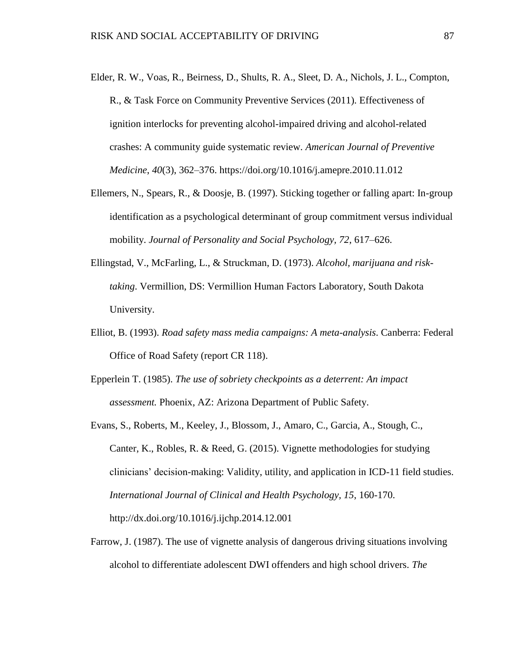- Elder, R. W., Voas, R., Beirness, D., Shults, R. A., Sleet, D. A., Nichols, J. L., Compton, R., & Task Force on Community Preventive Services (2011). Effectiveness of ignition interlocks for preventing alcohol-impaired driving and alcohol-related crashes: A community guide systematic review. *American Journal of Preventive Medicine*, *40*(3), 362–376. https://doi.org/10.1016/j.amepre.2010.11.012
- Ellemers, N., Spears, R., & Doosje, B. (1997). Sticking together or falling apart: In-group identification as a psychological determinant of group commitment versus individual mobility. *Journal of Personality and Social Psychology, 72*, 617–626.
- Ellingstad, V., McFarling, L., & Struckman, D. (1973). *Alcohol, marijuana and risktaking*. Vermillion, DS: Vermillion Human Factors Laboratory, South Dakota University.
- Elliot, B. (1993). *Road safety mass media campaigns: A meta-analysis*. Canberra: Federal Office of Road Safety (report CR 118).
- Epperlein T. (1985). *The use of sobriety checkpoints as a deterrent: An impact assessment.* Phoenix, AZ: Arizona Department of Public Safety.
- Evans, S., Roberts, M., Keeley, J., Blossom, J., Amaro, C., Garcia, A., Stough, C., Canter, K., Robles, R. & Reed, G. (2015). Vignette methodologies for studying clinicians' decision-making: Validity, utility, and application in ICD-11 field studies. *International Journal of Clinical and Health Psychology, 15*, 160-170. http://dx.doi.org/10.1016/j.ijchp.2014.12.001
- Farrow, J. (1987). The use of vignette analysis of dangerous driving situations involving alcohol to differentiate adolescent DWI offenders and high school drivers. *The*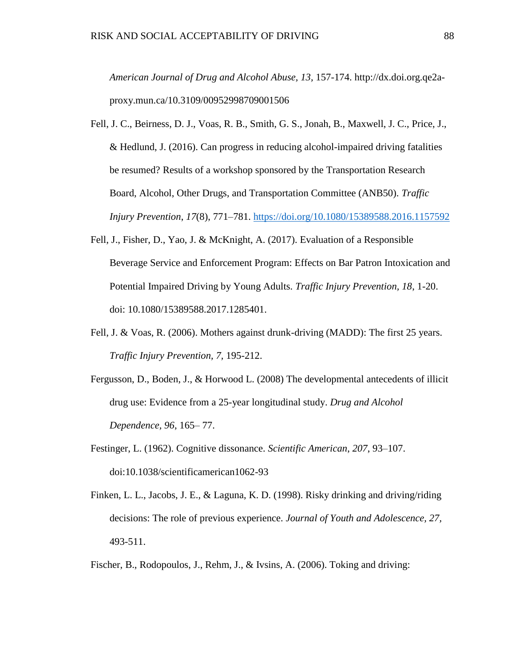*American Journal of Drug and Alcohol Abuse, 13,* 157-174. http://dx.doi.org.qe2aproxy.mun.ca/10.3109/00952998709001506

- Fell, J. C., Beirness, D. J., Voas, R. B., Smith, G. S., Jonah, B., Maxwell, J. C., Price, J., & Hedlund, J. (2016). Can progress in reducing alcohol-impaired driving fatalities be resumed? Results of a workshop sponsored by the Transportation Research Board, Alcohol, Other Drugs, and Transportation Committee (ANB50). *Traffic Injury Prevention*, *17*(8), 771–781.<https://doi.org/10.1080/15389588.2016.1157592>
- Fell, J., Fisher, D., Yao, J. & McKnight, A. (2017). Evaluation of a Responsible Beverage Service and Enforcement Program: Effects on Bar Patron Intoxication and Potential Impaired Driving by Young Adults. *Traffic Injury Prevention, 18*, 1-20. doi: 10.1080/15389588.2017.1285401.
- Fell, J. & Voas, R. (2006). Mothers against drunk-driving (MADD): The first 25 years. *Traffic Injury Prevention, 7,* 195-212.
- Fergusson, D., Boden, J., & Horwood L. (2008) The developmental antecedents of illicit drug use: Evidence from a 25-year longitudinal study. *Drug and Alcohol Dependence, 96*, 165– 77.
- Festinger, L. (1962). Cognitive dissonance. *Scientific American*, *207*, 93–107. doi:10.1038/scientificamerican1062-93
- Finken, L. L., Jacobs, J. E., & Laguna, K. D. (1998). Risky drinking and driving/riding decisions: The role of previous experience. *Journal of Youth and Adolescence, 27,* 493-511.
- Fischer, B., Rodopoulos, J., Rehm, J., & Ivsins, A. (2006). Toking and driving: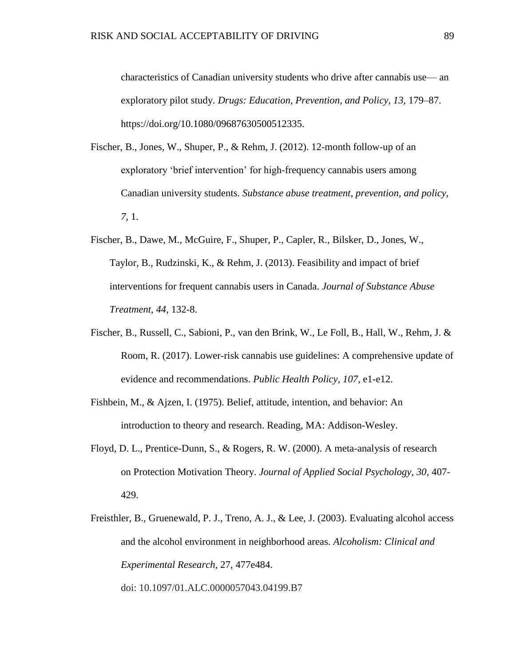characteristics of Canadian university students who drive after cannabis use— an exploratory pilot study. *Drugs: Education, Prevention, and Policy, 13,* 179–87. https://doi.org/10.1080/09687630500512335.

- Fischer, B., Jones, W., Shuper, P., & Rehm, J. (2012). 12-month follow-up of an exploratory 'brief intervention' for high-frequency cannabis users among Canadian university students. *Substance abuse treatment, prevention, and policy, 7*, 1.
- Fischer, B., Dawe, M., McGuire, F., Shuper, P., Capler, R., Bilsker, D., Jones, W., Taylor, B., Rudzinski, K., & Rehm, J. (2013). Feasibility and impact of brief interventions for frequent cannabis users in Canada. *Journal of Substance Abuse Treatment, 44*, 132-8.
- Fischer, B., Russell, C., Sabioni, P., van den Brink, W., Le Foll, B., Hall, W., Rehm, J. & Room, R. (2017). Lower-risk cannabis use guidelines: A comprehensive update of evidence and recommendations. *Public Health Policy, 107,* e1-e12.
- Fishbein, M., & Ajzen, I. (1975). Belief, attitude, intention, and behavior: An introduction to theory and research. Reading, MA: Addison-Wesley.
- Floyd, D. L., Prentice-Dunn, S., & Rogers, R. W. (2000). A meta-analysis of research on Protection Motivation Theory. *Journal of Applied Social Psychology, 30*, 407- 429.
- Freisthler, B., Gruenewald, P. J., Treno, A. J., & Lee, J. (2003). Evaluating alcohol access and the alcohol environment in neighborhood areas. *Alcoholism: Clinical and Experimental Research*, 27, 477e484. doi: 10.1097/01.ALC.0000057043.04199.B7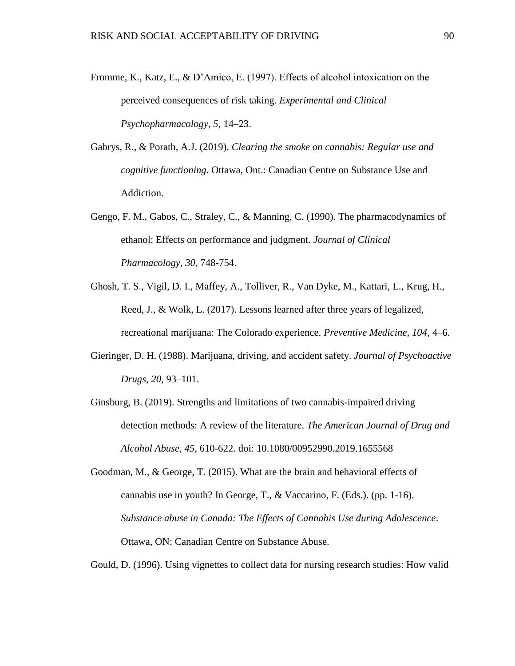- Fromme, K., Katz, E., & D'Amico, E. (1997). Effects of alcohol intoxication on the perceived consequences of risk taking. *Experimental and Clinical Psychopharmacology, 5*, 14–23.
- Gabrys, R., & Porath, A.J. (2019). *Clearing the smoke on cannabis: Regular use and cognitive functioning.* Ottawa, Ont.: Canadian Centre on Substance Use and Addiction.
- Gengo, F. M., Gabos, C., Straley, C., & Manning, C. (1990). The pharmacodynamics of ethanol: Effects on performance and judgment. *Journal of Clinical Pharmacology, 30,* 748-754.
- Ghosh, T. S., Vigil, D. I., Maffey, A., Tolliver, R., Van Dyke, M., Kattari, L., Krug, H., Reed, J., & Wolk, L. (2017). Lessons learned after three years of legalized, recreational marijuana: The Colorado experience. *Preventive Medicine, 104*, 4–6.
- Gieringer, D. H. (1988). Marijuana, driving, and accident safety. *Journal of Psychoactive Drugs, 20,* 93–101.
- Ginsburg, B. (2019). Strengths and limitations of two cannabis-impaired driving detection methods: A review of the literature. *The American Journal of Drug and Alcohol Abuse, 45*, 610-622. doi: 10.1080/00952990.2019.1655568
- Goodman, M., & George, T. (2015). What are the brain and behavioral effects of cannabis use in youth? In George, T., & Vaccarino, F. (Eds.). (pp. 1-16). *Substance abuse in Canada: The Effects of Cannabis Use during Adolescence*. Ottawa, ON: Canadian Centre on Substance Abuse.

Gould, D. (1996). Using vignettes to collect data for nursing research studies: How valid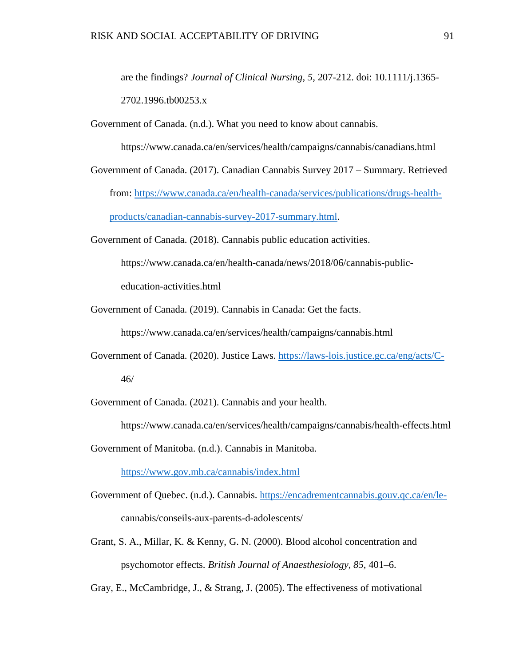are the findings? *Journal of Clinical Nursing, 5,* 207-212. doi: 10.1111/j.1365- 2702.1996.tb00253.x

Government of Canada. (n.d.). What you need to know about cannabis.

https://www.canada.ca/en/services/health/campaigns/cannabis/canadians.html

Government of Canada. (2017). Canadian Cannabis Survey 2017 – Summary. Retrieved from: [https://www.canada.ca/en/health-canada/services/publications/drugs-health](https://www.canada.ca/en/health-canada/services/publications/drugs-health-products/canadian-cannabis-survey-2017-summary.html)[products/canadian-cannabis-survey-2017-summary.html.](https://www.canada.ca/en/health-canada/services/publications/drugs-health-products/canadian-cannabis-survey-2017-summary.html)

Government of Canada. (2018). Cannabis public education activities. https://www.canada.ca/en/health-canada/news/2018/06/cannabis-publiceducation-activities.html

Government of Canada. (2019). Cannabis in Canada: Get the facts.

https://www.canada.ca/en/services/health/campaigns/cannabis.html

Government of Canada. (2020). Justice Laws.<https://laws-lois.justice.gc.ca/eng/acts/C->46/

Government of Canada. (2021). Cannabis and your health.

https://www.canada.ca/en/services/health/campaigns/cannabis/health-effects.html

Government of Manitoba. (n.d.). Cannabis in Manitoba.

<https://www.gov.mb.ca/cannabis/index.html>

Government of Quebec. (n.d.). Cannabis. [https://encadrementcannabis.gouv.qc.ca/en/le](https://encadrementcannabis.gouv.qc.ca/en/le-)cannabis/conseils-aux-parents-d-adolescents/

Grant, S. A., Millar, K. & Kenny, G. N. (2000). Blood alcohol concentration and psychomotor effects. *British Journal of Anaesthesiology, 85,* 401–6.

Gray, E., McCambridge, J., & Strang, J. (2005). The effectiveness of motivational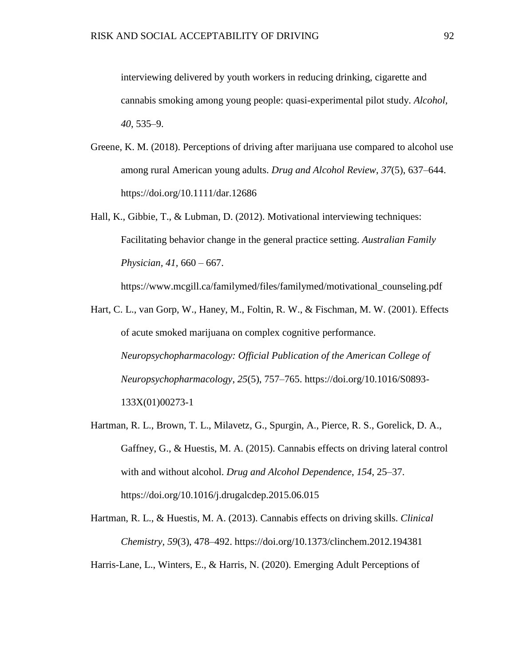interviewing delivered by youth workers in reducing drinking, cigarette and cannabis smoking among young people: quasi-experimental pilot study. *Alcohol, 40*, 535–9.

- Greene, K. M. (2018). Perceptions of driving after marijuana use compared to alcohol use among rural American young adults. *Drug and Alcohol Review*, *37*(5), 637–644. https://doi.org/10.1111/dar.12686
- Hall, K., Gibbie, T., & Lubman, D. (2012). Motivational interviewing techniques: Facilitating behavior change in the general practice setting. *Australian Family Physician, 41,* 660 – 667.

https://www.mcgill.ca/familymed/files/familymed/motivational\_counseling.pdf

- Hart, C. L., van Gorp, W., Haney, M., Foltin, R. W., & Fischman, M. W. (2001). Effects of acute smoked marijuana on complex cognitive performance. *Neuropsychopharmacology: Official Publication of the American College of Neuropsychopharmacology*, *25*(5), 757–765. https://doi.org/10.1016/S0893- 133X(01)00273-1
- Hartman, R. L., Brown, T. L., Milavetz, G., Spurgin, A., Pierce, R. S., Gorelick, D. A., Gaffney, G., & Huestis, M. A. (2015). Cannabis effects on driving lateral control with and without alcohol. *Drug and Alcohol Dependence*, *154*, 25–37. https://doi.org/10.1016/j.drugalcdep.2015.06.015
- Hartman, R. L., & Huestis, M. A. (2013). Cannabis effects on driving skills. *Clinical Chemistry, 59*(3), 478–492. https://doi.org/10.1373/clinchem.2012.194381

Harris-Lane, L., Winters, E., & Harris, N. (2020). Emerging Adult Perceptions of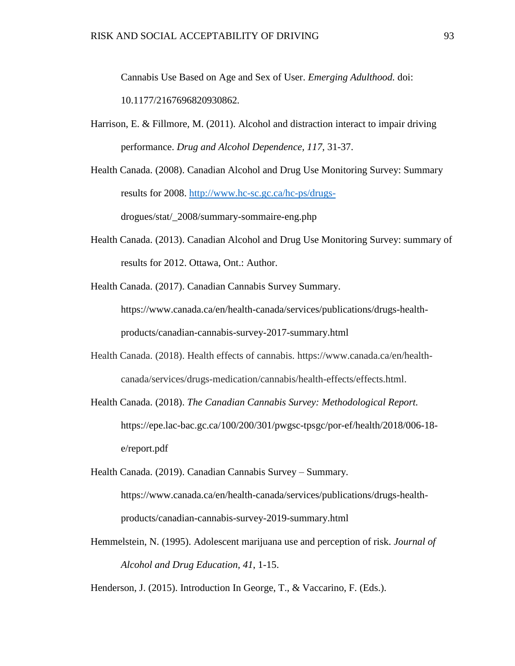Cannabis Use Based on Age and Sex of User. *Emerging Adulthood.* doi: 10.1177/2167696820930862*.*

- Harrison, E. & Fillmore, M. (2011). Alcohol and distraction interact to impair driving performance. *Drug and Alcohol Dependence, 117,* 31-37.
- Health Canada. (2008). Canadian Alcohol and Drug Use Monitoring Survey: Summary results for 2008. [http://www.hc-sc.gc.ca/hc-ps/drugs](http://www.hc-sc.gc.ca/hc-ps/drugs-)drogues/stat/\_2008/summary-sommaire-eng.php
- Health Canada. (2013). Canadian Alcohol and Drug Use Monitoring Survey: summary of results for 2012. Ottawa, Ont.: Author.
- Health Canada. (2017). Canadian Cannabis Survey Summary. https://www.canada.ca/en/health-canada/services/publications/drugs-healthproducts/canadian-cannabis-survey-2017-summary.html
- Health Canada. (2018). Health effects of cannabis. https://www.canada.ca/en/healthcanada/services/drugs-medication/cannabis/health-effects/effects.html.
- Health Canada. (2018). *The Canadian Cannabis Survey: Methodological Report.*  https://epe.lac-bac.gc.ca/100/200/301/pwgsc-tpsgc/por-ef/health/2018/006-18 e/report.pdf
- Health Canada. (2019). Canadian Cannabis Survey Summary. https://www.canada.ca/en/health-canada/services/publications/drugs-healthproducts/canadian-cannabis-survey-2019-summary.html
- Hemmelstein, N. (1995). Adolescent marijuana use and perception of risk. *Journal of Alcohol and Drug Education, 41*, 1-15.
- Henderson, J. (2015). Introduction In George, T., & Vaccarino, F. (Eds.).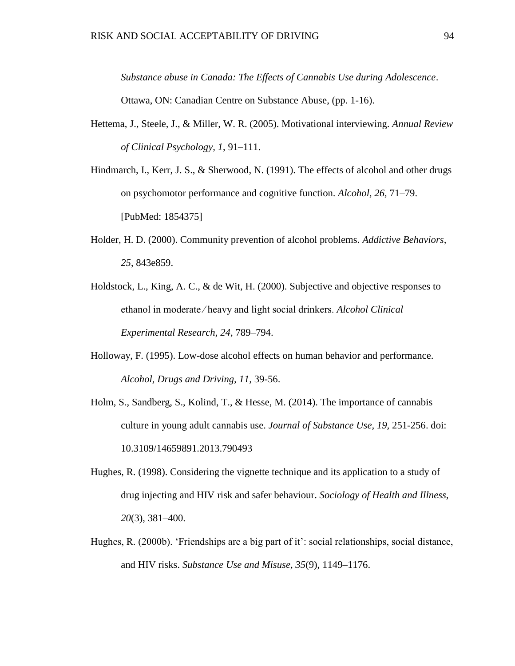*Substance abuse in Canada: The Effects of Cannabis Use during Adolescence*. Ottawa, ON: Canadian Centre on Substance Abuse, (pp. 1-16).

- Hettema, J., Steele, J., & Miller, W. R. (2005). Motivational interviewing. *Annual Review of Clinical Psychology, 1*, 91–111.
- Hindmarch, I., Kerr, J. S., & Sherwood, N. (1991). The effects of alcohol and other drugs on psychomotor performance and cognitive function. *Alcohol, 26,* 71–79. [PubMed: 1854375]
- Holder, H. D. (2000). Community prevention of alcohol problems. *Addictive Behaviors, 25*, 843e859.
- Holdstock, L., King, A. C., & de Wit, H. (2000). Subjective and objective responses to ethanol in moderate ⁄ heavy and light social drinkers. *Alcohol Clinical Experimental Research, 24*, 789–794.
- Holloway, F. (1995). Low-dose alcohol effects on human behavior and performance. *Alcohol, Drugs and Driving, 11,* 39-56.
- Holm, S., Sandberg, S., Kolind, T., & Hesse, M. (2014). The importance of cannabis culture in young adult cannabis use. *Journal of Substance Use, 19,* 251-256. doi: 10.3109/14659891.2013.790493
- Hughes, R. (1998). Considering the vignette technique and its application to a study of drug injecting and HIV risk and safer behaviour. *Sociology of Health and Illness, 20*(3), 381–400.
- Hughes, R. (2000b). 'Friendships are a big part of it': social relationships, social distance, and HIV risks. *Substance Use and Misuse, 35*(9), 1149–1176.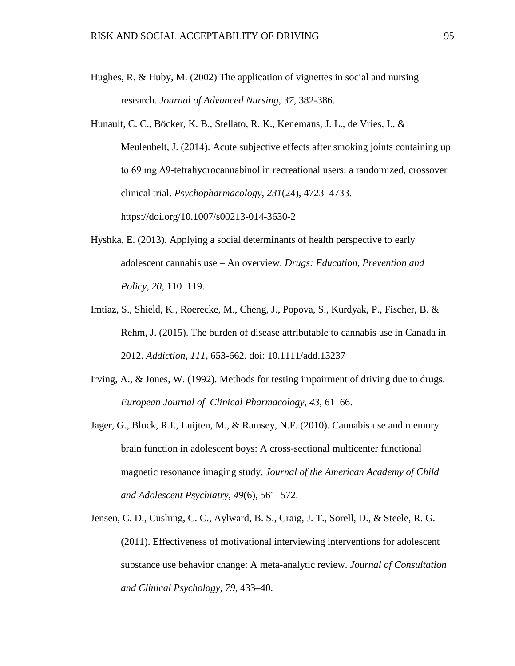- Hughes, R. & Huby, M. (2002) The application of vignettes in social and nursing research. *Journal of Advanced Nursing, 37*, 382-386.
- Hunault, C. C., Böcker, K. B., Stellato, R. K., Kenemans, J. L., de Vries, I., & Meulenbelt, J. (2014). Acute subjective effects after smoking joints containing up to 69 mg Δ9-tetrahydrocannabinol in recreational users: a randomized, crossover clinical trial. *Psychopharmacology*, *231*(24), 4723–4733. https://doi.org/10.1007/s00213-014-3630-2
- Hyshka, E. (2013). Applying a social determinants of health perspective to early adolescent cannabis use – An overview. *Drugs: Education, Prevention and Policy, 20*, 110–119.
- Imtiaz, S., Shield, K., Roerecke, M., Cheng, J., Popova, S., Kurdyak, P., Fischer, B. & Rehm, J. (2015). The burden of disease attributable to cannabis use in Canada in 2012. *Addiction, 111*, 653-662. doi: 10.1111/add.13237
- Irving, A., & Jones, W. (1992). Methods for testing impairment of driving due to drugs. *European Journal of Clinical Pharmacology, 43*, 61–66.
- Jager, G., Block, R.I., Luijten, M., & Ramsey, N.F. (2010). Cannabis use and memory brain function in adolescent boys: A cross-sectional multicenter functional magnetic resonance imaging study. *Journal of the American Academy of Child and Adolescent Psychiatry, 49*(6), 561–572.
- Jensen, C. D., Cushing, C. C., Aylward, B. S., Craig, J. T., Sorell, D., & Steele, R. G. (2011). Effectiveness of motivational interviewing interventions for adolescent substance use behavior change: A meta-analytic review. *Journal of Consultation and Clinical Psychology, 79*, 433–40.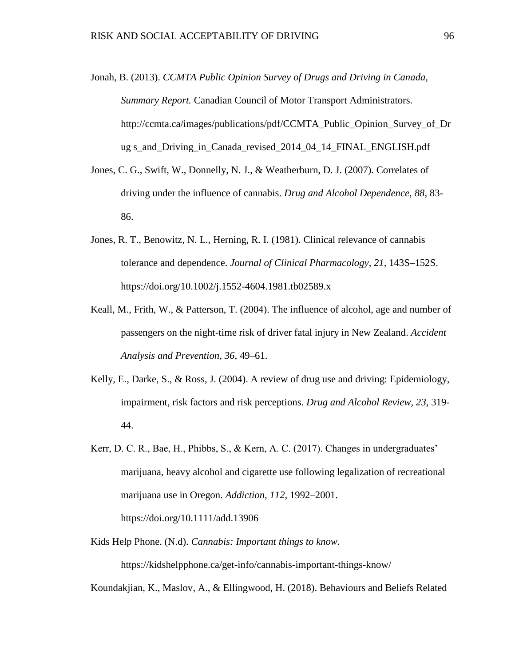- Jonah, B. (2013). *CCMTA Public Opinion Survey of Drugs and Driving in Canada, Summary Report.* Canadian Council of Motor Transport Administrators. http://ccmta.ca/images/publications/pdf/CCMTA\_Public\_Opinion\_Survey\_of\_Dr ug s\_and\_Driving\_in\_Canada\_revised\_2014\_04\_14\_FINAL\_ENGLISH.pdf
- Jones, C. G., Swift, W., Donnelly, N. J., & Weatherburn, D. J. (2007). Correlates of driving under the influence of cannabis. *Drug and Alcohol Dependence, 88*, 83- 86.
- Jones, R. T., Benowitz, N. L., Herning, R. I. (1981). Clinical relevance of cannabis tolerance and dependence. *Journal of Clinical Pharmacology, 21,* 143S–152S. https://doi.org/10.1002/j.1552-4604.1981.tb02589.x
- Keall, M., Frith, W., & Patterson, T. (2004). The influence of alcohol, age and number of passengers on the night-time risk of driver fatal injury in New Zealand. *Accident Analysis and Prevention, 36*, 49–61.
- Kelly, E., Darke, S., & Ross, J. (2004). A review of drug use and driving: Epidemiology, impairment, risk factors and risk perceptions. *Drug and Alcohol Review, 23*, 319- 44.
- Kerr, D. C. R., Bae, H., Phibbs, S., & Kern, A. C. (2017). Changes in undergraduates' marijuana, heavy alcohol and cigarette use following legalization of recreational marijuana use in Oregon. *Addiction, 112*, 1992–2001. https://doi.org/10.1111/add.13906
- Kids Help Phone. (N.d). *Cannabis: Important things to know.* https://kidshelpphone.ca/get-info/cannabis-important-things-know/

Koundakjian, K., Maslov, A., & Ellingwood, H. (2018). Behaviours and Beliefs Related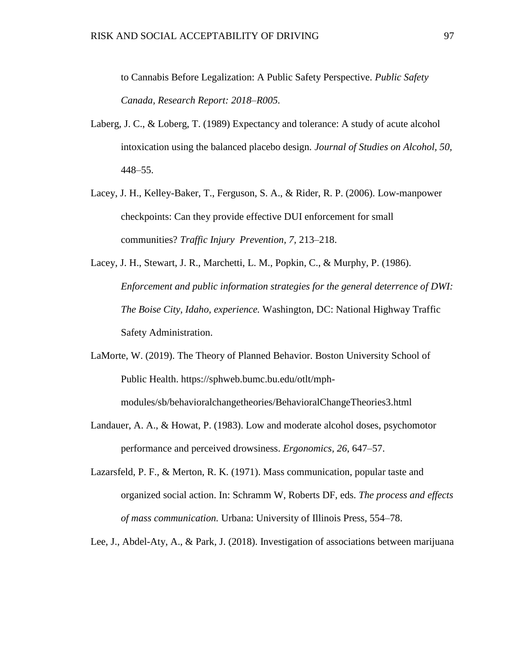to Cannabis Before Legalization: A Public Safety Perspective. *Public Safety Canada, Research Report: 2018–R005.*

- Laberg, J. C., & Loberg, T. (1989) Expectancy and tolerance: A study of acute alcohol intoxication using the balanced placebo design. *Journal of Studies on Alcohol, 50,* 448–55.
- Lacey, J. H., Kelley-Baker, T., Ferguson, S. A., & Rider, R. P. (2006). Low-manpower checkpoints: Can they provide effective DUI enforcement for small communities? *Traffic Injury Prevention, 7,* 213–218.
- Lacey, J. H., Stewart, J. R., Marchetti, L. M., Popkin, C., & Murphy, P. (1986). *Enforcement and public information strategies for the general deterrence of DWI: The Boise City, Idaho, experience.* Washington, DC: National Highway Traffic Safety Administration.
- LaMorte, W. (2019). The Theory of Planned Behavior. Boston University School of Public Health. https://sphweb.bumc.bu.edu/otlt/mphmodules/sb/behavioralchangetheories/BehavioralChangeTheories3.html
- Landauer, A. A., & Howat, P. (1983). Low and moderate alcohol doses, psychomotor performance and perceived drowsiness. *Ergonomics, 26*, 647–57.
- Lazarsfeld, P. F., & Merton, R. K. (1971). Mass communication, popular taste and organized social action. In: Schramm W, Roberts DF, eds. *The process and effects of mass communication.* Urbana: University of Illinois Press, 554–78.

Lee, J., Abdel-Aty, A., & Park, J. (2018). Investigation of associations between marijuana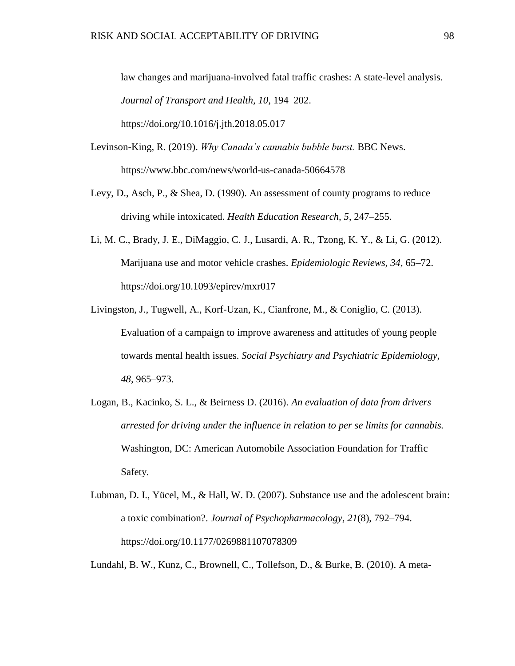law changes and marijuana-involved fatal traffic crashes: A state-level analysis. *Journal of Transport and Health, 10*, 194–202. https://doi.org/10.1016/j.jth.2018.05.017

- Levinson-King, R. (2019). *Why Canada's cannabis bubble burst.* BBC News. https://www.bbc.com/news/world-us-canada-50664578
- Levy, D., Asch, P., & Shea, D. (1990). An assessment of county programs to reduce driving while intoxicated. *Health Education Research, 5*, 247–255.
- Li, M. C., Brady, J. E., DiMaggio, C. J., Lusardi, A. R., Tzong, K. Y., & Li, G. (2012). Marijuana use and motor vehicle crashes. *Epidemiologic Reviews, 34,* 65–72. https://doi.org/10.1093/epirev/mxr017
- Livingston, J., Tugwell, A., Korf-Uzan, K., Cianfrone, M., & Coniglio, C. (2013). Evaluation of a campaign to improve awareness and attitudes of young people towards mental health issues. *Social Psychiatry and Psychiatric Epidemiology, 48,* 965–973.
- Logan, B., Kacinko, S. L., & Beirness D. (2016). *An evaluation of data from drivers arrested for driving under the influence in relation to per se limits for cannabis.* Washington, DC: American Automobile Association Foundation for Traffic Safety.
- Lubman, D. I., Yücel, M., & Hall, W. D. (2007). Substance use and the adolescent brain: a toxic combination?. *Journal of Psychopharmacology, 21*(8), 792–794. https://doi.org/10.1177/0269881107078309

Lundahl, B. W., Kunz, C., Brownell, C., Tollefson, D., & Burke, B. (2010). A meta-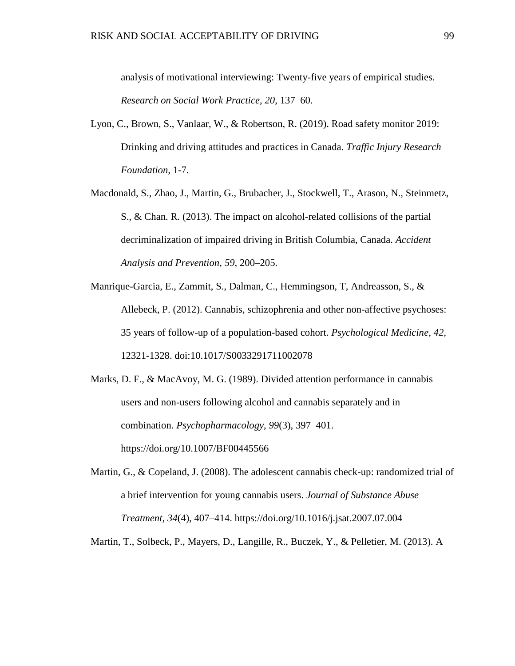analysis of motivational interviewing: Twenty-five years of empirical studies. *Research on Social Work Practice, 20*, 137–60.

- Lyon, C., Brown, S., Vanlaar, W., & Robertson, R. (2019). Road safety monitor 2019: Drinking and driving attitudes and practices in Canada. *Traffic Injury Research Foundation,* 1-7.
- Macdonald, S., Zhao, J., Martin, G., Brubacher, J., Stockwell, T., Arason, N., Steinmetz, S., & Chan. R. (2013). The impact on alcohol-related collisions of the partial decriminalization of impaired driving in British Columbia, Canada. *Accident Analysis and Prevention, 59*, 200–205.
- Manrique-Garcia, E., Zammit, S., Dalman, C., Hemmingson, T, Andreasson, S., & Allebeck, P. (2012). Cannabis, schizophrenia and other non-affective psychoses: 35 years of follow-up of a population-based cohort. *Psychological Medicine, 42,*  12321-1328. doi:10.1017/S0033291711002078
- Marks, D. F., & MacAvoy, M. G. (1989). Divided attention performance in cannabis users and non-users following alcohol and cannabis separately and in combination. *Psychopharmacology*, *99*(3), 397–401. https://doi.org/10.1007/BF00445566
- Martin, G., & Copeland, J. (2008). The adolescent cannabis check-up: randomized trial of a brief intervention for young cannabis users. *Journal of Substance Abuse Treatment*, *34*(4), 407–414. https://doi.org/10.1016/j.jsat.2007.07.004

Martin, T., Solbeck, P., Mayers, D., Langille, R., Buczek, Y., & Pelletier, M. (2013). A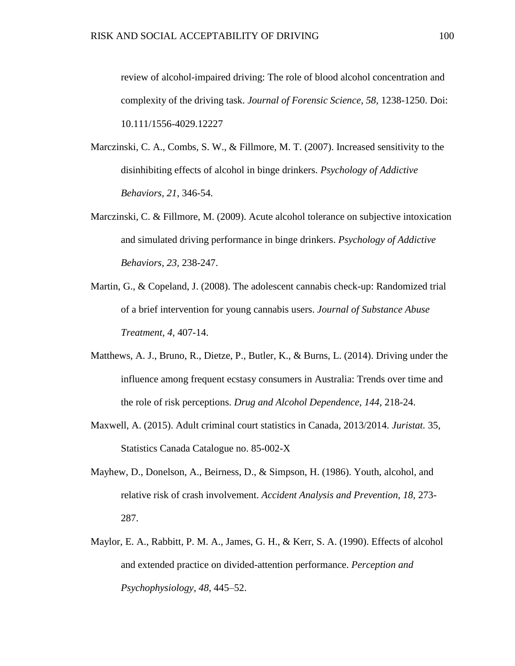review of alcohol-impaired driving: The role of blood alcohol concentration and complexity of the driving task. *Journal of Forensic Science, 58,* 1238-1250. Doi: 10.111/1556-4029.12227

- Marczinski, C. A., Combs, S. W., & Fillmore, M. T. (2007). Increased sensitivity to the disinhibiting effects of alcohol in binge drinkers. *Psychology of Addictive Behaviors, 21*, 346-54.
- Marczinski, C. & Fillmore, M. (2009). Acute alcohol tolerance on subjective intoxication and simulated driving performance in binge drinkers. *Psychology of Addictive Behaviors, 23,* 238-247.
- Martin, G., & Copeland, J. (2008). The adolescent cannabis check-up: Randomized trial of a brief intervention for young cannabis users. *Journal of Substance Abuse Treatment, 4,* 407-14.
- Matthews, A. J., Bruno, R., Dietze, P., Butler, K., & Burns, L. (2014). Driving under the influence among frequent ecstasy consumers in Australia: Trends over time and the role of risk perceptions. *Drug and Alcohol Dependence, 144*, 218-24.
- Maxwell, A. (2015). Adult criminal court statistics in Canada, 2013/2014. *Juristat.* 35, Statistics Canada Catalogue no. 85-002-X
- Mayhew, D., Donelson, A., Beirness, D., & Simpson, H. (1986). Youth, alcohol, and relative risk of crash involvement. *Accident Analysis and Prevention, 18,* 273- 287.
- Maylor, E. A., Rabbitt, P. M. A., James, G. H., & Kerr, S. A. (1990). Effects of alcohol and extended practice on divided-attention performance. *Perception and Psychophysiology, 48*, 445–52.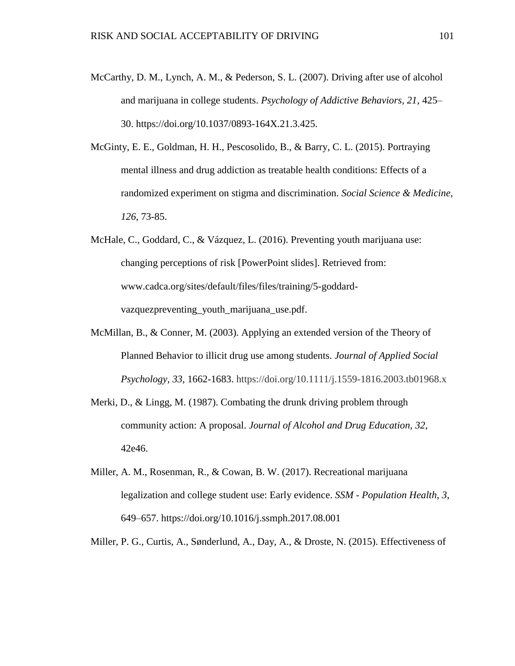- McCarthy, D. M., Lynch, A. M., & Pederson, S. L. (2007). Driving after use of alcohol and marijuana in college students. *Psychology of Addictive Behaviors, 21*, 425– 30. https://doi.org/10.1037/0893-164X.21.3.425.
- McGinty, E. E., Goldman, H. H., Pescosolido, B., & Barry, C. L. (2015). Portraying mental illness and drug addiction as treatable health conditions: Effects of a randomized experiment on stigma and discrimination. *Social Science & Medicine*, *126*, 73-85.
- McHale, C., Goddard, C., & Vázquez, L. (2016). Preventing youth marijuana use: changing perceptions of risk [PowerPoint slides]. Retrieved from: www.cadca.org/sites/default/files/files/training/5-goddardvazquezpreventing\_youth\_marijuana\_use.pdf.
- McMillan, B., & Conner, M. (2003). Applying an extended version of the Theory of Planned Behavior to illicit drug use among students. *Journal of Applied Social Psychology, 33,* 1662-1683. https://doi.org/10.1111/j.1559-1816.2003.tb01968.x
- Merki, D., & Lingg, M. (1987). Combating the drunk driving problem through community action: A proposal. *Journal of Alcohol and Drug Education, 32*, 42e46.
- Miller, A. M., Rosenman, R., & Cowan, B. W. (2017). Recreational marijuana legalization and college student use: Early evidence. *SSM - Population Health, 3*, 649–657. https://doi.org/10.1016/j.ssmph.2017.08.001

Miller, P. G., Curtis, A., Sønderlund, A., Day, A., & Droste, N. (2015). Effectiveness of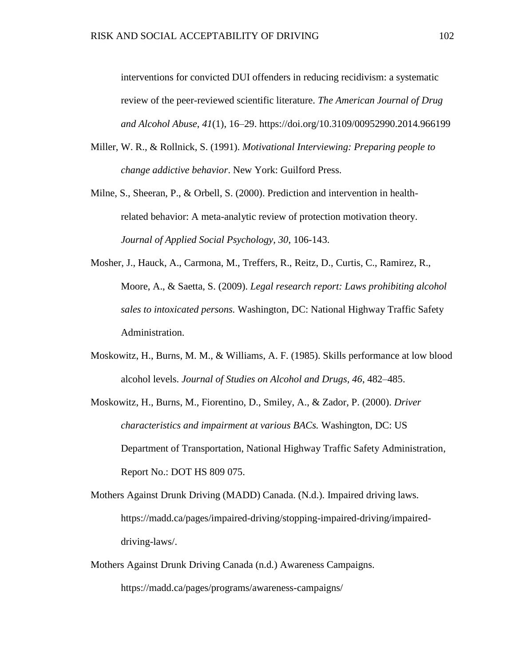interventions for convicted DUI offenders in reducing recidivism: a systematic review of the peer-reviewed scientific literature. *The American Journal of Drug and Alcohol Abuse*, *41*(1), 16–29. https://doi.org/10.3109/00952990.2014.966199

- Miller, W. R., & Rollnick, S. (1991). *Motivational Interviewing: Preparing people to change addictive behavior*. New York: Guilford Press.
- Milne, S., Sheeran, P., & Orbell, S. (2000). Prediction and intervention in healthrelated behavior: A meta-analytic review of protection motivation theory. *Journal of Applied Social Psychology, 30*, 106-143.
- Mosher, J., Hauck, A., Carmona, M., Treffers, R., Reitz, D., Curtis, C., Ramirez, R., Moore, A., & Saetta, S. (2009). *Legal research report: Laws prohibiting alcohol sales to intoxicated persons.* Washington, DC: National Highway Traffic Safety Administration.
- Moskowitz, H., Burns, M. M., & Williams, A. F. (1985). Skills performance at low blood alcohol levels. *Journal of Studies on Alcohol and Drugs, 46*, 482–485.
- Moskowitz, H., Burns, M., Fiorentino, D., Smiley, A., & Zador, P. (2000). *Driver characteristics and impairment at various BACs.* Washington, DC: US Department of Transportation, National Highway Traffic Safety Administration, Report No.: DOT HS 809 075.
- Mothers Against Drunk Driving (MADD) Canada. (N.d.). Impaired driving laws. https://madd.ca/pages/impaired-driving/stopping-impaired-driving/impaireddriving-laws/.
- Mothers Against Drunk Driving Canada (n.d.) Awareness Campaigns. https://madd.ca/pages/programs/awareness-campaigns/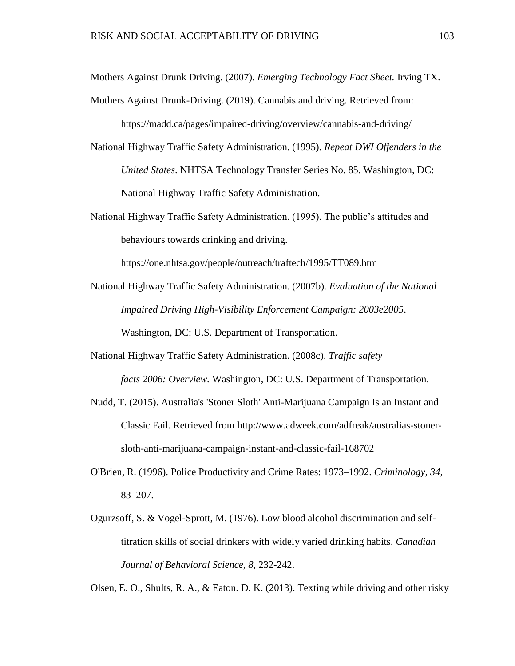Mothers Against Drunk Driving. (2007). *Emerging Technology Fact Sheet.* Irving TX.

Mothers Against Drunk-Driving. (2019). Cannabis and driving. Retrieved from:

https://madd.ca/pages/impaired-driving/overview/cannabis-and-driving/

- National Highway Traffic Safety Administration. (1995). *Repeat DWI Offenders in the United States*. NHTSA Technology Transfer Series No. 85. Washington, DC: National Highway Traffic Safety Administration.
- National Highway Traffic Safety Administration. (1995). The public's attitudes and behaviours towards drinking and driving.

https://one.nhtsa.gov/people/outreach/traftech/1995/TT089.htm

- National Highway Traffic Safety Administration. (2007b). *Evaluation of the National Impaired Driving High-Visibility Enforcement Campaign: 2003e2005*. Washington, DC: U.S. Department of Transportation.
- National Highway Traffic Safety Administration. (2008c). *Traffic safety facts 2006: Overview.* Washington, DC: U.S. Department of Transportation.
- Nudd, T. (2015). Australia's 'Stoner Sloth' Anti-Marijuana Campaign Is an Instant and Classic Fail. Retrieved from http://www.adweek.com/adfreak/australias-stonersloth-anti-marijuana-campaign-instant-and-classic-fail-168702
- O'Brien, R. (1996). Police Productivity and Crime Rates: 1973–1992. *Criminology, 34,* 83–207.
- Ogurzsoff, S. & Vogel-Sprott, M. (1976). Low blood alcohol discrimination and selftitration skills of social drinkers with widely varied drinking habits. *Canadian Journal of Behavioral Science, 8,* 232-242.

Olsen, E. O., Shults, R. A., & Eaton. D. K. (2013). Texting while driving and other risky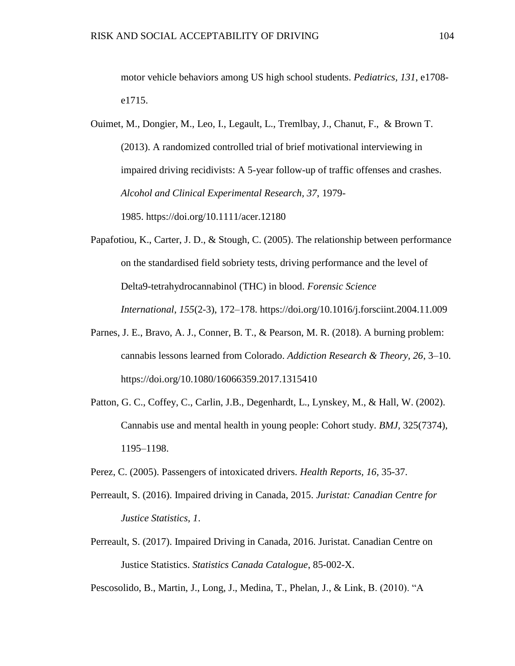motor vehicle behaviors among US high school students. *Pediatrics, 131*, e1708 e1715.

- Ouimet, M., Dongier, M., Leo, I., Legault, L., Tremlbay, J., Chanut, F., & Brown T. (2013). A randomized controlled trial of brief motivational interviewing in impaired driving recidivists: A 5-year follow-up of traffic offenses and crashes. *Alcohol and Clinical Experimental Research, 37*, 1979- 1985. https://doi.org/10.1111/acer.12180
- Papafotiou, K., Carter, J. D., & Stough, C. (2005). The relationship between performance on the standardised field sobriety tests, driving performance and the level of Delta9-tetrahydrocannabinol (THC) in blood. *Forensic Science International*, *155*(2-3), 172–178. https://doi.org/10.1016/j.forsciint.2004.11.009
- Parnes, J. E., Bravo, A. J., Conner, B. T., & Pearson, M. R. (2018). A burning problem: cannabis lessons learned from Colorado. *Addiction Research & Theory, 26*, 3–10. https://doi.org/10.1080/16066359.2017.1315410
- Patton, G. C., Coffey, C., Carlin, J.B., Degenhardt, L., Lynskey, M., & Hall, W. (2002). Cannabis use and mental health in young people: Cohort study. *BMJ,* 325(7374), 1195–1198.
- Perez, C. (2005). Passengers of intoxicated drivers. *Health Reports, 16,* 35-37.
- Perreault, S. (2016). Impaired driving in Canada, 2015. *Juristat: Canadian Centre for Justice Statistics, 1*.
- Perreault, S. (2017). Impaired Driving in Canada, 2016. Juristat. Canadian Centre on Justice Statistics. *Statistics Canada Catalogue*, 85-002-X.

Pescosolido, B., Martin, J., Long, J., Medina, T., Phelan, J., & Link, B. (2010). "A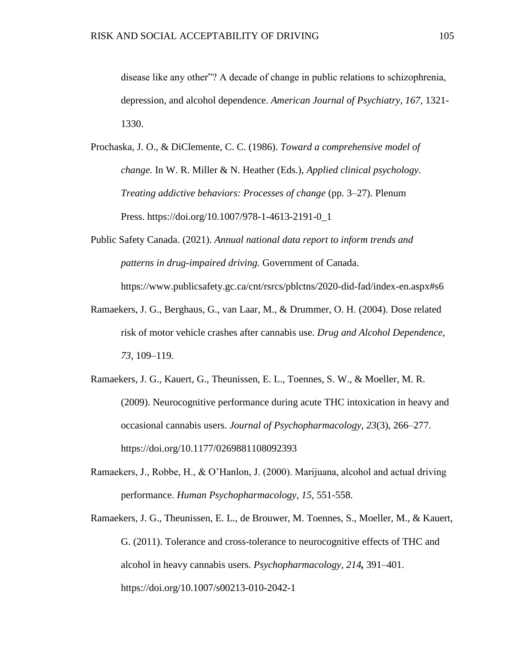disease like any other"? A decade of change in public relations to schizophrenia, depression, and alcohol dependence. *American Journal of Psychiatry, 167,* 1321- 1330.

- Prochaska, J. O., & DiClemente, C. C. (1986). *Toward a comprehensive model of change.* In W. R. Miller & N. Heather (Eds.), *Applied clinical psychology. Treating addictive behaviors: Processes of change* (pp. 3–27). Plenum Press. https://doi.org/10.1007/978-1-4613-2191-0\_1
- Public Safety Canada. (2021). *Annual national data report to inform trends and patterns in drug-impaired driving.* Government of Canada. https://www.publicsafety.gc.ca/cnt/rsrcs/pblctns/2020-did-fad/index-en.aspx#s6
- Ramaekers, J. G., Berghaus, G., van Laar, M., & Drummer, O. H. (2004). Dose related risk of motor vehicle crashes after cannabis use. *Drug and Alcohol Dependence, 73,* 109–119.
- Ramaekers, J. G., Kauert, G., Theunissen, E. L., Toennes, S. W., & Moeller, M. R. (2009). Neurocognitive performance during acute THC intoxication in heavy and occasional cannabis users. *Journal of Psychopharmacology*, *23*(3), 266–277. https://doi.org/10.1177/0269881108092393
- Ramaekers, J., Robbe, H., & O'Hanlon, J. (2000). Marijuana, alcohol and actual driving performance. *Human Psychopharmacology, 15,* 551-558.
- Ramaekers, J. G., Theunissen, E. L., de Brouwer, M. Toennes, S., Moeller, M., & Kauert, G. (2011). Tolerance and cross-tolerance to neurocognitive effects of THC and alcohol in heavy cannabis users. *Psychopharmacology, 214,* 391–401. https://doi.org/10.1007/s00213-010-2042-1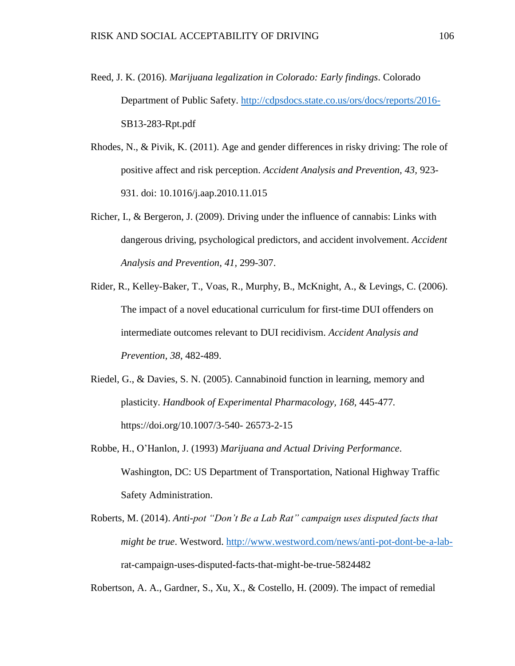- Reed, J. K. (2016). *Marijuana legalization in Colorado: Early findings*. Colorado Department of Public Safety.<http://cdpsdocs.state.co.us/ors/docs/reports/2016-> SB13-283-Rpt.pdf
- Rhodes, N., & Pivik, K. (2011). Age and gender differences in risky driving: The role of positive affect and risk perception. *Accident Analysis and Prevention, 43,* 923- 931. doi: 10.1016/j.aap.2010.11.015
- Richer, I., & Bergeron, J. (2009). Driving under the influence of cannabis: Links with dangerous driving, psychological predictors, and accident involvement. *Accident Analysis and Prevention, 41,* 299-307.
- Rider, R., Kelley-Baker, T., Voas, R., Murphy, B., McKnight, A., & Levings, C. (2006). The impact of a novel educational curriculum for first-time DUI offenders on intermediate outcomes relevant to DUI recidivism. *Accident Analysis and Prevention, 38*, 482-489.
- Riedel, G., & Davies, S. N. (2005). Cannabinoid function in learning, memory and plasticity. *Handbook of Experimental Pharmacology, 168,* 445-477*.* https://doi.org/10.1007/3-540- 26573-2-15
- Robbe, H., O'Hanlon, J. (1993) *Marijuana and Actual Driving Performance*. Washington, DC: US Department of Transportation, National Highway Traffic Safety Administration.
- Roberts, M. (2014). *Anti-pot "Don't Be a Lab Rat" campaign uses disputed facts that might be true*. Westword. [http://www.westword.com/news/anti-pot-dont-be-a-lab](http://www.westword.com/news/anti-pot-dont-be-a-lab-)rat-campaign-uses-disputed-facts-that-might-be-true-5824482

Robertson, A. A., Gardner, S., Xu, X., & Costello, H. (2009). The impact of remedial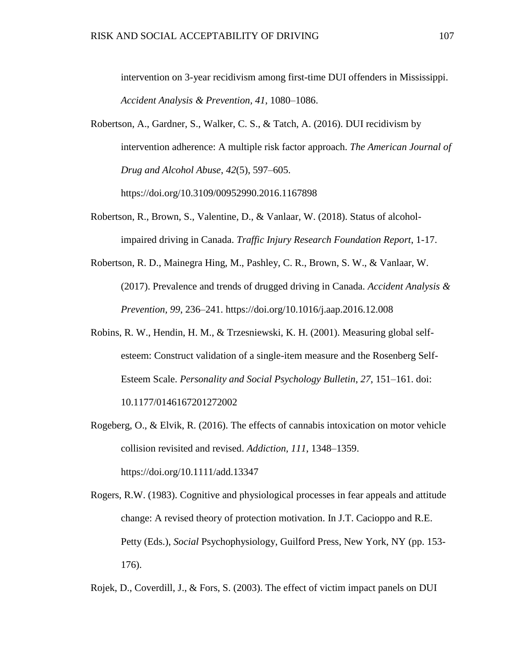intervention on 3-year recidivism among first-time DUI offenders in Mississippi. *Accident Analysis & Prevention, 41*, 1080–1086.

- Robertson, A., Gardner, S., Walker, C. S., & Tatch, A. (2016). DUI recidivism by intervention adherence: A multiple risk factor approach. *The American Journal of Drug and Alcohol Abuse*, *42*(5), 597–605. https://doi.org/10.3109/00952990.2016.1167898
- Robertson, R., Brown, S., Valentine, D., & Vanlaar, W. (2018). Status of alcoholimpaired driving in Canada. *Traffic Injury Research Foundation Report*, 1-17.
- Robertson, R. D., Mainegra Hing, M., Pashley, C. R., Brown, S. W., & Vanlaar, W. (2017). Prevalence and trends of drugged driving in Canada. *Accident Analysis & Prevention, 99*, 236–241. https://doi.org/10.1016/j.aap.2016.12.008
- Robins, R. W., Hendin, H. M., & Trzesniewski, K. H. (2001). Measuring global selfesteem: Construct validation of a single-item measure and the Rosenberg Self-Esteem Scale. *Personality and Social Psychology Bulletin*, *27*, 151–161. doi: 10.1177/0146167201272002
- Rogeberg, O., & Elvik, R. (2016). The effects of cannabis intoxication on motor vehicle collision revisited and revised. *Addiction, 111*, 1348–1359. https://doi.org/10.1111/add.13347
- Rogers, R.W. (1983). Cognitive and physiological processes in fear appeals and attitude change: A revised theory of protection motivation. In J.T. Cacioppo and R.E. Petty (Eds.), *Social* Psychophysiology, Guilford Press, New York, NY (pp. 153- 176).
- Rojek, D., Coverdill, J., & Fors, S. (2003). The effect of victim impact panels on DUI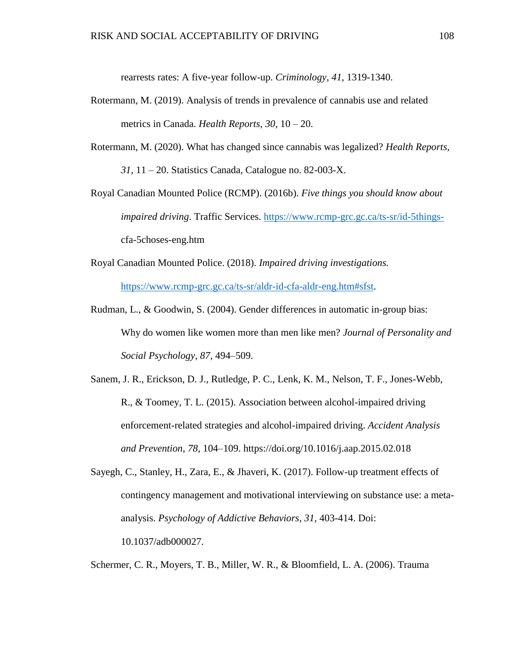rearrests rates: A five-year follow-up. *Criminology, 41*, 1319-1340.

- Rotermann, M. (2019). Analysis of trends in prevalence of cannabis use and related metrics in Canada. *Health Reports, 30,* 10 – 20.
- Rotermann, M. (2020). What has changed since cannabis was legalized? *Health Reports, 31,* 11 – 20. Statistics Canada, Catalogue no. 82-003-X.
- Royal Canadian Mounted Police (RCMP). (2016b). *Five things you should know about impaired driving*. Traffic Services. [https://www.rcmp-grc.gc.ca/ts-sr/id-5things](https://www.rcmp-grc.gc.ca/ts-sr/id-5things-)cfa-5choses-eng.htm
- Royal Canadian Mounted Police. (2018). *Impaired driving investigations.*  [https://www.rcmp-grc.gc.ca/ts-sr/aldr-id-cfa-aldr-eng.htm#sfst.](https://www.rcmp-grc.gc.ca/ts-sr/aldr-id-cfa-aldr-eng.htm#sfst)
- Rudman, L., & Goodwin, S. (2004). Gender differences in automatic in-group bias: Why do women like women more than men like men? *Journal of Personality and Social Psychology, 87*, 494–509.
- Sanem, J. R., Erickson, D. J., Rutledge, P. C., Lenk, K. M., Nelson, T. F., Jones-Webb, R., & Toomey, T. L. (2015). Association between alcohol-impaired driving enforcement-related strategies and alcohol-impaired driving. *Accident Analysis and Prevention*, *78*, 104–109. https://doi.org/10.1016/j.aap.2015.02.018
- Sayegh, C., Stanley, H., Zara, E., & Jhaveri, K. (2017). Follow-up treatment effects of contingency management and motivational interviewing on substance use: a metaanalysis. *Psychology of Addictive Behaviors, 31,* 403-414. Doi: 10.1037/adb000027.

Schermer, C. R., Moyers, T. B., Miller, W. R., & Bloomfield, L. A. (2006). Trauma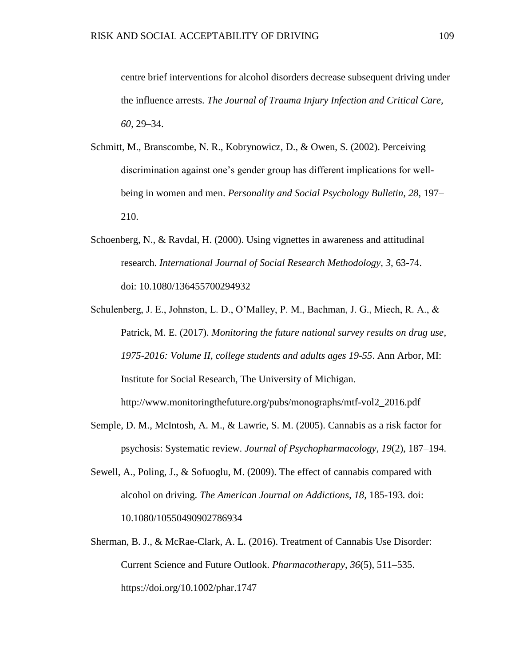centre brief interventions for alcohol disorders decrease subsequent driving under the influence arrests. *The Journal of Trauma Injury Infection and Critical Care, 60,* 29–34.

- Schmitt, M., Branscombe, N. R., Kobrynowicz, D., & Owen, S. (2002). Perceiving discrimination against one's gender group has different implications for wellbeing in women and men. *Personality and Social Psychology Bulletin, 28*, 197– 210.
- Schoenberg, N., & Ravdal, H. (2000). Using vignettes in awareness and attitudinal research. *International Journal of Social Research Methodology, 3*, 63-74. doi: 10.1080/136455700294932
- Schulenberg, J. E., Johnston, L. D., O'Malley, P. M., Bachman, J. G., Miech, R. A., & Patrick, M. E. (2017). *Monitoring the future national survey results on drug use, 1975-2016: Volume II, college students and adults ages 19-55*. Ann Arbor, MI: Institute for Social Research, The University of Michigan. http://www.monitoringthefuture.org/pubs/monographs/mtf-vol2\_2016.pdf
- Semple, D. M., McIntosh, A. M., & Lawrie, S. M. (2005). Cannabis as a risk factor for psychosis: Systematic review. *Journal of Psychopharmacology, 19*(2), 187–194.
- Sewell, A., Poling, J., & Sofuoglu, M. (2009). The effect of cannabis compared with alcohol on driving. *The American Journal on Addictions, 18,* 185-193*.* doi: 10.1080/10550490902786934
- Sherman, B. J., & McRae-Clark, A. L. (2016). Treatment of Cannabis Use Disorder: Current Science and Future Outlook. *Pharmacotherapy*, *36*(5), 511–535. https://doi.org/10.1002/phar.1747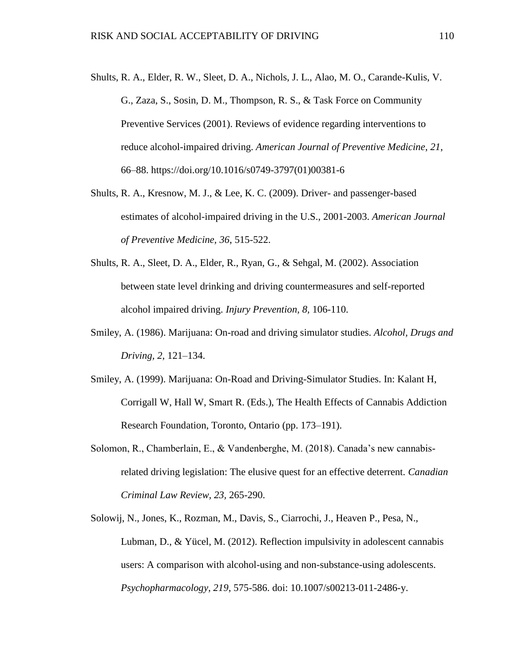- Shults, R. A., Elder, R. W., Sleet, D. A., Nichols, J. L., Alao, M. O., Carande-Kulis, V. G., Zaza, S., Sosin, D. M., Thompson, R. S., & Task Force on Community Preventive Services (2001). Reviews of evidence regarding interventions to reduce alcohol-impaired driving. *American Journal of Preventive Medicine*, *21*, 66–88. https://doi.org/10.1016/s0749-3797(01)00381-6
- Shults, R. A., Kresnow, M. J., & Lee, K. C. (2009). Driver- and passenger-based estimates of alcohol-impaired driving in the U.S., 2001-2003. *American Journal of Preventive Medicine, 36*, 515-522.
- Shults, R. A., Sleet, D. A., Elder, R., Ryan, G., & Sehgal, M. (2002). Association between state level drinking and driving countermeasures and self-reported alcohol impaired driving. *Injury Prevention, 8,* 106-110.
- Smiley, A. (1986). Marijuana: On-road and driving simulator studies. *Alcohol, Drugs and Driving, 2*, 121–134.
- Smiley, A. (1999). Marijuana: On-Road and Driving-Simulator Studies. In: Kalant H, Corrigall W, Hall W, Smart R. (Eds.), The Health Effects of Cannabis Addiction Research Foundation, Toronto, Ontario (pp. 173–191).
- Solomon, R., Chamberlain, E., & Vandenberghe, M. (2018). Canada's new cannabisrelated driving legislation: The elusive quest for an effective deterrent. *Canadian Criminal Law Review, 23,* 265-290.
- Solowij, N., Jones, K., Rozman, M., Davis, S., Ciarrochi, J., Heaven P., Pesa, N., Lubman, D., & Yücel, M. (2012). Reflection impulsivity in adolescent cannabis users: A comparison with alcohol-using and non-substance-using adolescents. *Psychopharmacology, 219*, 575-586. doi: 10.1007/s00213-011-2486-y.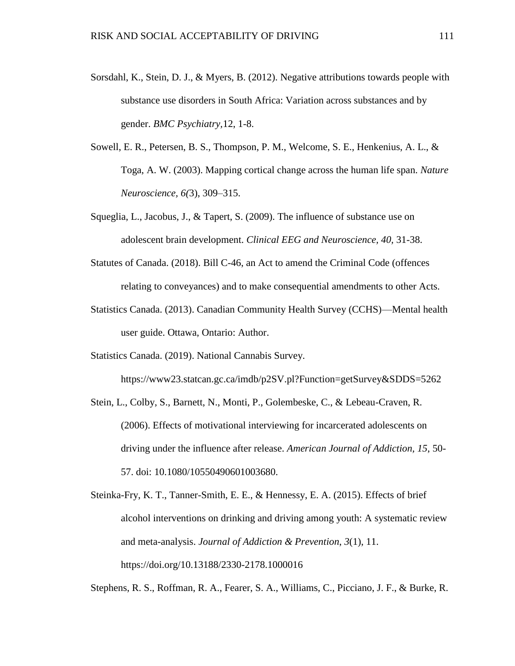- Sorsdahl, K., Stein, D. J., & Myers, B. (2012). Negative attributions towards people with substance use disorders in South Africa: Variation across substances and by gender. *BMC Psychiatry,*12, 1-8.
- Sowell, E. R., Petersen, B. S., Thompson, P. M., Welcome, S. E., Henkenius, A. L., & Toga, A. W. (2003). Mapping cortical change across the human life span. *Nature Neuroscience, 6(*3), 309–315.
- Squeglia, L., Jacobus, J., & Tapert, S. (2009). The influence of substance use on adolescent brain development. *Clinical EEG and Neuroscience, 40,* 31-38.
- Statutes of Canada. (2018). Bill C-46, an Act to amend the Criminal Code (offences relating to conveyances) and to make consequential amendments to other Acts.
- Statistics Canada. (2013). Canadian Community Health Survey (CCHS)—Mental health user guide. Ottawa, Ontario: Author.

Statistics Canada. (2019). National Cannabis Survey.

https://www23.statcan.gc.ca/imdb/p2SV.pl?Function=getSurvey&SDDS=5262

Stein, L., Colby, S., Barnett, N., Monti, P., Golembeske, C., & Lebeau-Craven, R. (2006). Effects of motivational interviewing for incarcerated adolescents on driving under the influence after release. *American Journal of Addiction, 15*, 50- 57. doi: 10.1080/10550490601003680.

Stephens, R. S., Roffman, R. A., Fearer, S. A., Williams, C., Picciano, J. F., & Burke, R.

Steinka-Fry, K. T., Tanner-Smith, E. E., & Hennessy, E. A. (2015). Effects of brief alcohol interventions on drinking and driving among youth: A systematic review and meta-analysis. *Journal of Addiction & Prevention*, *3*(1), 11. https://doi.org/10.13188/2330-2178.1000016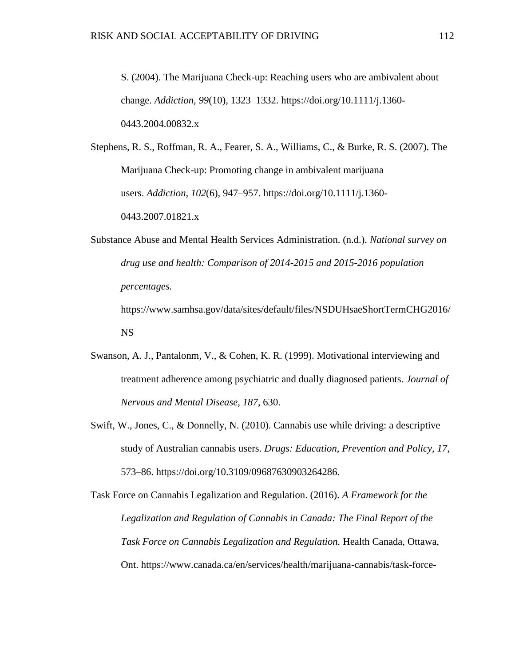S. (2004). The Marijuana Check-up: Reaching users who are ambivalent about change. *Addiction*, *99*(10), 1323–1332. https://doi.org/10.1111/j.1360- 0443.2004.00832.x

Stephens, R. S., Roffman, R. A., Fearer, S. A., Williams, C., & Burke, R. S. (2007). The Marijuana Check-up: Promoting change in ambivalent marijuana users. *Addiction*, *102*(6), 947–957. https://doi.org/10.1111/j.1360- 0443.2007.01821.x

Substance Abuse and Mental Health Services Administration. (n.d.). *National survey on drug use and health: Comparison of 2014-2015 and 2015-2016 population percentages.*

https://www.samhsa.gov/data/sites/default/files/NSDUHsaeShortTermCHG2016/ NS

- Swanson, A. J., Pantalonm, V., & Cohen, K. R. (1999). Motivational interviewing and treatment adherence among psychiatric and dually diagnosed patients. *Journal of Nervous and Mental Disease, 187*, 630.
- Swift, W., Jones, C., & Donnelly, N. (2010). Cannabis use while driving: a descriptive study of Australian cannabis users. *Drugs: Education, Prevention and Policy, 17*, 573–86. https://doi.org/10.3109/09687630903264286.

Task Force on Cannabis Legalization and Regulation. (2016). *A Framework for the Legalization and Regulation of Cannabis in Canada: The Final Report of the Task Force on Cannabis Legalization and Regulation.* Health Canada, Ottawa, Ont. https://www.canada.ca/en/services/health/marijuana-cannabis/task-force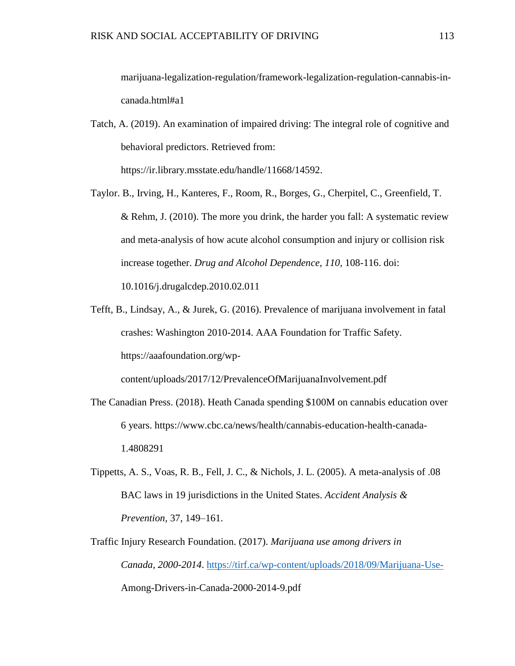marijuana-legalization-regulation/framework-legalization-regulation-cannabis-incanada.html#a1

- Tatch, A. (2019). An examination of impaired driving: The integral role of cognitive and behavioral predictors. Retrieved from: https://ir.library.msstate.edu/handle/11668/14592.
- Taylor. B., Irving, H., Kanteres, F., Room, R., Borges, G., Cherpitel, C., Greenfield, T. & Rehm, J. (2010). The more you drink, the harder you fall: A systematic review and meta-analysis of how acute alcohol consumption and injury or collision risk increase together. *Drug and Alcohol Dependence*, *110,* 108-116. doi: 10.1016/j.drugalcdep.2010.02.011
- Tefft, B., Lindsay, A., & Jurek, G. (2016). Prevalence of marijuana involvement in fatal crashes: Washington 2010-2014. AAA Foundation for Traffic Safety. https://aaafoundation.org/wp-

content/uploads/2017/12/PrevalenceOfMarijuanaInvolvement.pdf

- The Canadian Press. (2018). Heath Canada spending \$100M on cannabis education over 6 years. https://www.cbc.ca/news/health/cannabis-education-health-canada-1.4808291
- Tippetts, A. S., Voas, R. B., Fell, J. C., & Nichols, J. L. (2005). A meta-analysis of .08 BAC laws in 19 jurisdictions in the United States. *Accident Analysis & Prevention,* 37, 149–161.
- Traffic Injury Research Foundation. (2017). *Marijuana use among drivers in Canada, 2000-2014*. <https://tirf.ca/wp-content/uploads/2018/09/Marijuana-Use->Among-Drivers-in-Canada-2000-2014-9.pdf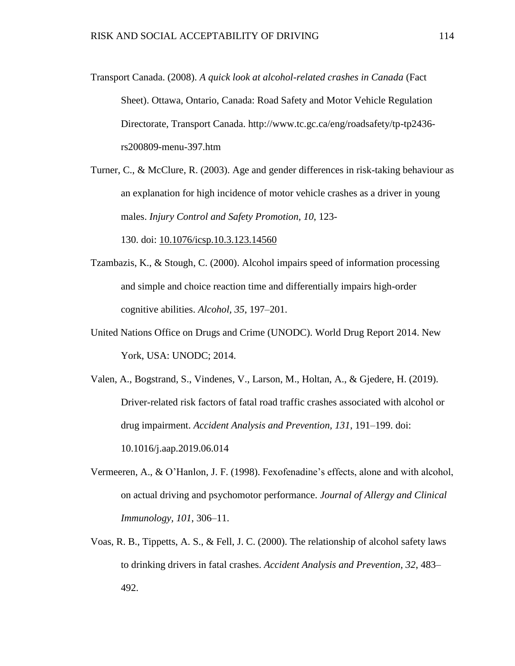- Transport Canada. (2008). *A quick look at alcohol-related crashes in Canada* (Fact Sheet). Ottawa, Ontario, Canada: Road Safety and Motor Vehicle Regulation Directorate, Transport Canada. http://www.tc.gc.ca/eng/roadsafety/tp-tp2436 rs200809-menu-397.htm
- Turner, C., & McClure, R. (2003). Age and gender differences in risk-taking behaviour as an explanation for high incidence of motor vehicle crashes as a driver in young males. *Injury Control and Safety Promotion, 10*, 123-

130. doi: [10.1076/icsp.10.3.123.14560](https://doi.org/10.1076/icsp.10.3.123.14560)

- Tzambazis, K., & Stough, C. (2000). Alcohol impairs speed of information processing and simple and choice reaction time and differentially impairs high-order cognitive abilities. *Alcohol, 35*, 197–201.
- United Nations Office on Drugs and Crime (UNODC). World Drug Report 2014. New York, USA: UNODC; 2014.
- Valen, A., Bogstrand, S., Vindenes, V., Larson, M., Holtan, A., & Gjedere, H. (2019). Driver-related risk factors of fatal road traffic crashes associated with alcohol or drug impairment. *Accident Analysis and Prevention, 131*, 191–199. doi: 10.1016/j.aap.2019.06.014
- Vermeeren, A., & O'Hanlon, J. F. (1998). Fexofenadine's effects, alone and with alcohol, on actual driving and psychomotor performance. *Journal of Allergy and Clinical Immunology, 101*, 306–11.
- Voas, R. B., Tippetts, A. S., & Fell, J. C. (2000). The relationship of alcohol safety laws to drinking drivers in fatal crashes. *Accident Analysis and Prevention, 32*, 483– 492.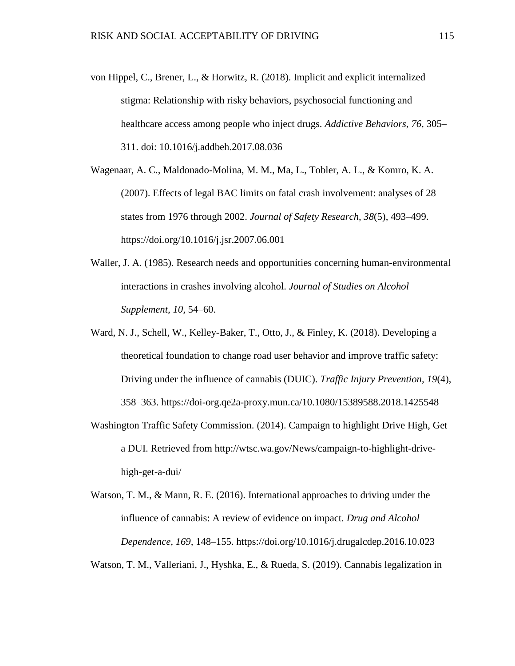von Hippel, C., Brener, L., & Horwitz, R. (2018). Implicit and explicit internalized stigma: Relationship with risky behaviors, psychosocial functioning and healthcare access among people who inject drugs. *Addictive Behaviors*, *76*, 305– 311. doi: 10.1016/j.addbeh.2017.08.036

Wagenaar, A. C., Maldonado-Molina, M. M., Ma, L., Tobler, A. L., & Komro, K. A. (2007). Effects of legal BAC limits on fatal crash involvement: analyses of 28 states from 1976 through 2002. *Journal of Safety Research*, *38*(5), 493–499. https://doi.org/10.1016/j.jsr.2007.06.001

- Waller, J. A. (1985). Research needs and opportunities concerning human-environmental interactions in crashes involving alcohol. *Journal of Studies on Alcohol Supplement, 10,* 54–60.
- Ward, N. J., Schell, W., Kelley-Baker, T., Otto, J., & Finley, K. (2018). Developing a theoretical foundation to change road user behavior and improve traffic safety: Driving under the influence of cannabis (DUIC). *Traffic Injury Prevention, 19*(4), 358–363. https://doi-org.qe2a-proxy.mun.ca/10.1080/15389588.2018.1425548
- Washington Traffic Safety Commission. (2014). Campaign to highlight Drive High, Get a DUI. Retrieved from http://wtsc.wa.gov/News/campaign-to-highlight-drivehigh-get-a-dui/
- Watson, T. M., & Mann, R. E. (2016). International approaches to driving under the influence of cannabis: A review of evidence on impact. *Drug and Alcohol Dependence, 169,* 148–155. https://doi.org/10.1016/j.drugalcdep.2016.10.023

Watson, T. M., Valleriani, J., Hyshka, E., & Rueda, S. (2019). Cannabis legalization in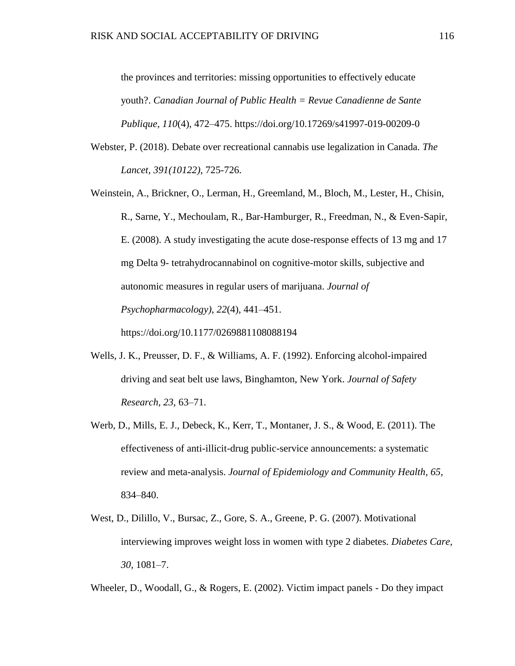the provinces and territories: missing opportunities to effectively educate youth?. *Canadian Journal of Public Health = Revue Canadienne de Sante Publique*, *110*(4), 472–475. https://doi.org/10.17269/s41997-019-00209-0

- Webster, P. (2018). Debate over recreational cannabis use legalization in Canada. *The Lancet, 391(10122)*, 725-726.
- Weinstein, A., Brickner, O., Lerman, H., Greemland, M., Bloch, M., Lester, H., Chisin, R., Sarne, Y., Mechoulam, R., Bar-Hamburger, R., Freedman, N., & Even-Sapir, E. (2008). A study investigating the acute dose-response effects of 13 mg and 17 mg Delta 9- tetrahydrocannabinol on cognitive-motor skills, subjective and autonomic measures in regular users of marijuana. *Journal of Psychopharmacology)*, *22*(4), 441–451.

https://doi.org/10.1177/0269881108088194

- Wells, J. K., Preusser, D. F., & Williams, A. F. (1992). Enforcing alcohol-impaired driving and seat belt use laws, Binghamton, New York. *Journal of Safety Research, 23,* 63–71.
- Werb, D., Mills, E. J., Debeck, K., Kerr, T., Montaner, J. S., & Wood, E. (2011). The effectiveness of anti-illicit-drug public-service announcements: a systematic review and meta-analysis. *Journal of Epidemiology and Community Health, 65,* 834–840.
- West, D., Dilillo, V., Bursac, Z., Gore, S. A., Greene, P. G. (2007). Motivational interviewing improves weight loss in women with type 2 diabetes. *Diabetes Care, 30,* 1081–7.

Wheeler, D., Woodall, G., & Rogers, E. (2002). Victim impact panels - Do they impact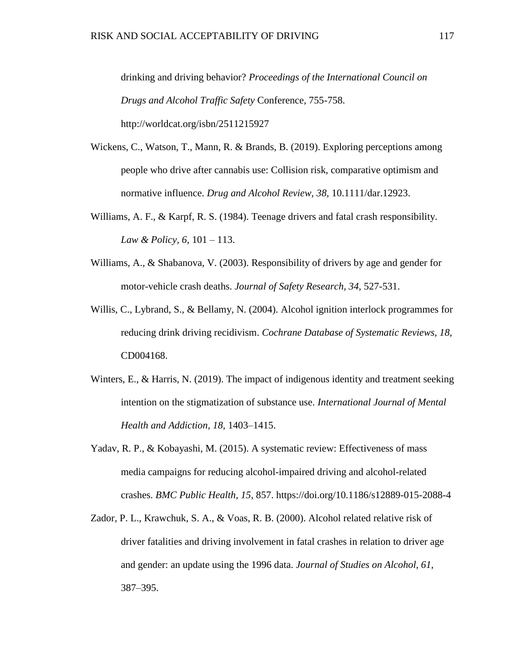drinking and driving behavior? *Proceedings of the International Council on Drugs and Alcohol Traffic Safety* Conference, 755-758. http://worldcat.org/isbn/2511215927

- Wickens, C., Watson, T., Mann, R. & Brands, B. (2019). Exploring perceptions among people who drive after cannabis use: Collision risk, comparative optimism and normative influence. *Drug and Alcohol Review, 38,* 10.1111/dar.12923.
- Williams, A. F., & Karpf, R. S. (1984). Teenage drivers and fatal crash responsibility. *Law & Policy, 6*, 101 – 113.
- Williams, A., & Shabanova, V. (2003). Responsibility of drivers by age and gender for motor-vehicle crash deaths. *Journal of Safety Research, 34,* 527-531.
- Willis, C., Lybrand, S., & Bellamy, N. (2004). Alcohol ignition interlock programmes for reducing drink driving recidivism. *Cochrane Database of Systematic Reviews, 18,*  CD004168.
- Winters, E., & Harris, N. (2019). The impact of indigenous identity and treatment seeking intention on the stigmatization of substance use. *International Journal of Mental Health and Addiction, 18,* 1403–1415.
- Yadav, R. P., & Kobayashi, M. (2015). A systematic review: Effectiveness of mass media campaigns for reducing alcohol-impaired driving and alcohol-related crashes. *BMC Public Health, 15,* 857. https://doi.org/10.1186/s12889-015-2088-4
- Zador, P. L., Krawchuk, S. A., & Voas, R. B. (2000). Alcohol related relative risk of driver fatalities and driving involvement in fatal crashes in relation to driver age and gender: an update using the 1996 data. *Journal of Studies on Alcohol, 61,* 387–395.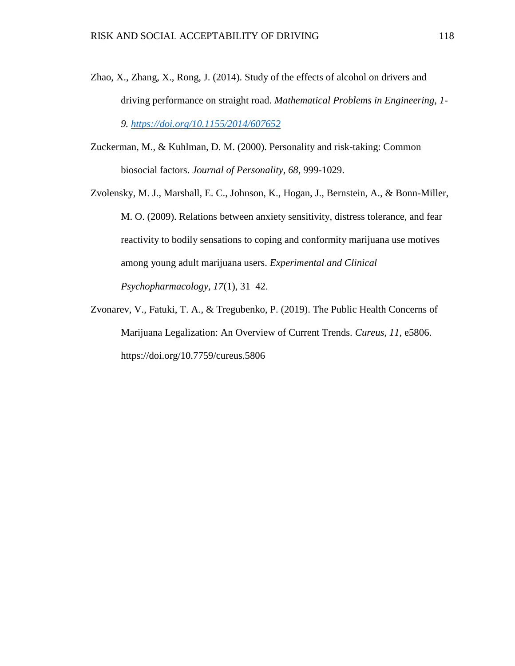- Zhao, X., Zhang, X., Rong, J. (2014). Study of the effects of alcohol on drivers and driving performance on straight road. *Mathematical Problems in Engineering, 1- 9.<https://doi.org/10.1155/2014/607652>*
- Zuckerman, M., & Kuhlman, D. M. (2000). Personality and risk-taking: Common biosocial factors. *Journal of Personality, 68*, 999-1029.
- Zvolensky, M. J., Marshall, E. C., Johnson, K., Hogan, J., Bernstein, A., & Bonn-Miller, M. O. (2009). Relations between anxiety sensitivity, distress tolerance, and fear reactivity to bodily sensations to coping and conformity marijuana use motives among young adult marijuana users. *Experimental and Clinical Psychopharmacology, 17*(1), 31–42.
- Zvonarev, V., Fatuki, T. A., & Tregubenko, P. (2019). The Public Health Concerns of Marijuana Legalization: An Overview of Current Trends. *Cureus*, *11*, e5806. https://doi.org/10.7759/cureus.5806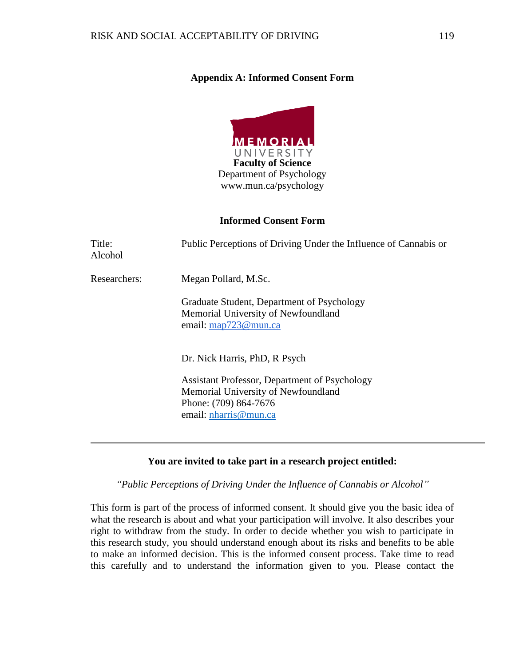# **Appendix A: Informed Consent Form**



#### **Informed Consent Form**

| Title:<br>Alcohol | Public Perceptions of Driving Under the Influence of Cannabis or                                                                       |  |  |
|-------------------|----------------------------------------------------------------------------------------------------------------------------------------|--|--|
| Researchers:      | Megan Pollard, M.Sc.                                                                                                                   |  |  |
|                   | Graduate Student, Department of Psychology<br>Memorial University of Newfoundland<br>email: map723@mun.ca                              |  |  |
|                   | Dr. Nick Harris, PhD, R Psych                                                                                                          |  |  |
|                   | Assistant Professor, Department of Psychology<br>Memorial University of Newfoundland<br>Phone: (709) 864-7676<br>email: nharris@mun.ca |  |  |

## **You are invited to take part in a research project entitled:**

*"Public Perceptions of Driving Under the Influence of Cannabis or Alcohol"*

This form is part of the process of informed consent. It should give you the basic idea of what the research is about and what your participation will involve. It also describes your right to withdraw from the study. In order to decide whether you wish to participate in this research study, you should understand enough about its risks and benefits to be able to make an informed decision. This is the informed consent process. Take time to read this carefully and to understand the information given to you. Please contact the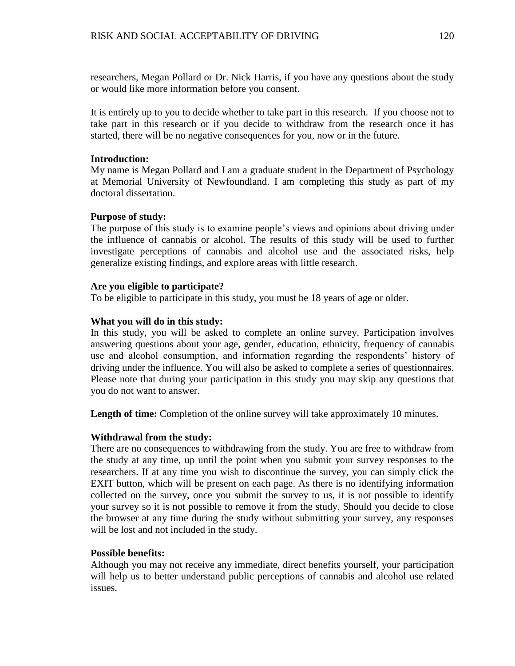researchers, Megan Pollard or Dr. Nick Harris, if you have any questions about the study or would like more information before you consent.

It is entirely up to you to decide whether to take part in this research. If you choose not to take part in this research or if you decide to withdraw from the research once it has started, there will be no negative consequences for you, now or in the future.

## **Introduction:**

My name is Megan Pollard and I am a graduate student in the Department of Psychology at Memorial University of Newfoundland. I am completing this study as part of my doctoral dissertation.

## **Purpose of study:**

The purpose of this study is to examine people's views and opinions about driving under the influence of cannabis or alcohol. The results of this study will be used to further investigate perceptions of cannabis and alcohol use and the associated risks, help generalize existing findings, and explore areas with little research.

## **Are you eligible to participate?**

To be eligible to participate in this study, you must be 18 years of age or older.

# **What you will do in this study:**

In this study, you will be asked to complete an online survey. Participation involves answering questions about your age, gender, education, ethnicity, frequency of cannabis use and alcohol consumption, and information regarding the respondents' history of driving under the influence. You will also be asked to complete a series of questionnaires. Please note that during your participation in this study you may skip any questions that you do not want to answer.

Length of time: Completion of the online survey will take approximately 10 minutes.

## **Withdrawal from the study:**

There are no consequences to withdrawing from the study. You are free to withdraw from the study at any time, up until the point when you submit your survey responses to the researchers. If at any time you wish to discontinue the survey, you can simply click the EXIT button, which will be present on each page. As there is no identifying information collected on the survey, once you submit the survey to us, it is not possible to identify your survey so it is not possible to remove it from the study. Should you decide to close the browser at any time during the study without submitting your survey, any responses will be lost and not included in the study.

## **Possible benefits:**

Although you may not receive any immediate, direct benefits yourself, your participation will help us to better understand public perceptions of cannabis and alcohol use related issues.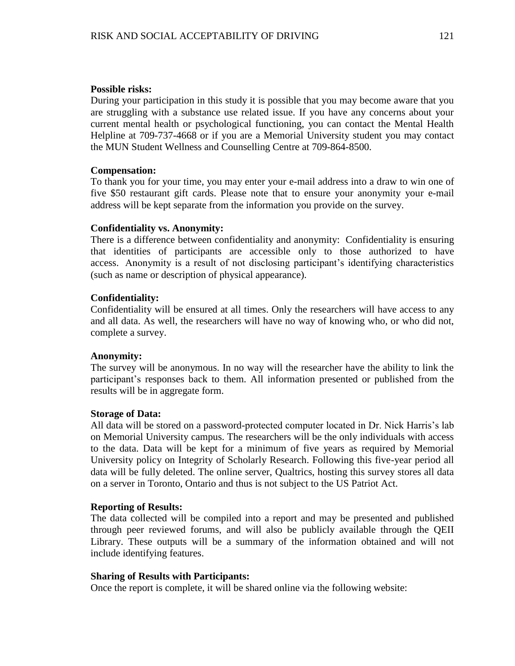#### **Possible risks:**

During your participation in this study it is possible that you may become aware that you are struggling with a substance use related issue. If you have any concerns about your current mental health or psychological functioning, you can contact the Mental Health Helpline at 709-737-4668 or if you are a Memorial University student you may contact the MUN Student Wellness and Counselling Centre at 709-864-8500.

#### **Compensation:**

To thank you for your time, you may enter your e-mail address into a draw to win one of five \$50 restaurant gift cards. Please note that to ensure your anonymity your e-mail address will be kept separate from the information you provide on the survey.

#### **Confidentiality vs. Anonymity:**

There is a difference between confidentiality and anonymity: Confidentiality is ensuring that identities of participants are accessible only to those authorized to have access. Anonymity is a result of not disclosing participant's identifying characteristics (such as name or description of physical appearance).

#### **Confidentiality:**

Confidentiality will be ensured at all times. Only the researchers will have access to any and all data. As well, the researchers will have no way of knowing who, or who did not, complete a survey.

#### **Anonymity:**

The survey will be anonymous. In no way will the researcher have the ability to link the participant's responses back to them. All information presented or published from the results will be in aggregate form.

#### **Storage of Data:**

All data will be stored on a password-protected computer located in Dr. Nick Harris's lab on Memorial University campus. The researchers will be the only individuals with access to the data. Data will be kept for a minimum of five years as required by Memorial University policy on Integrity of Scholarly Research. Following this five-year period all data will be fully deleted. The online server, Qualtrics, hosting this survey stores all data on a server in Toronto, Ontario and thus is not subject to the US Patriot Act.

#### **Reporting of Results:**

The data collected will be compiled into a report and may be presented and published through peer reviewed forums, and will also be publicly available through the QEII Library. These outputs will be a summary of the information obtained and will not include identifying features.

#### **Sharing of Results with Participants:**

Once the report is complete, it will be shared online via the following website: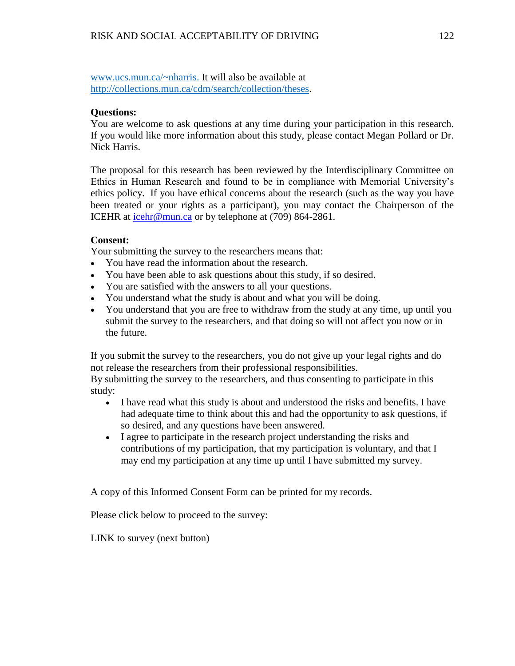[www.ucs.mun.ca/~nharris.](http://www.ucs.mun.ca/~nharris) It will also be available at [http://collections.mun.ca/cdm/search/collection/theses.](http://collections.mun.ca/cdm/search/collection/theses)

# **Questions:**

You are welcome to ask questions at any time during your participation in this research. If you would like more information about this study, please contact Megan Pollard or Dr. Nick Harris.

The proposal for this research has been reviewed by the Interdisciplinary Committee on Ethics in Human Research and found to be in compliance with Memorial University's ethics policy. If you have ethical concerns about the research (such as the way you have been treated or your rights as a participant), you may contact the Chairperson of the ICEHR at [icehr@mun.ca](mailto:icehr@mun.ca) or by telephone at (709) 864-2861.

# **Consent:**

Your submitting the survey to the researchers means that:

- You have read the information about the research.
- You have been able to ask questions about this study, if so desired.
- You are satisfied with the answers to all your questions.
- You understand what the study is about and what you will be doing.
- You understand that you are free to withdraw from the study at any time, up until you submit the survey to the researchers, and that doing so will not affect you now or in the future.

If you submit the survey to the researchers, you do not give up your legal rights and do not release the researchers from their professional responsibilities.

By submitting the survey to the researchers, and thus consenting to participate in this study:

- I have read what this study is about and understood the risks and benefits. I have had adequate time to think about this and had the opportunity to ask questions, if so desired, and any questions have been answered.
- I agree to participate in the research project understanding the risks and contributions of my participation, that my participation is voluntary, and that I may end my participation at any time up until I have submitted my survey.

A copy of this Informed Consent Form can be printed for my records.

Please click below to proceed to the survey:

LINK to survey (next button)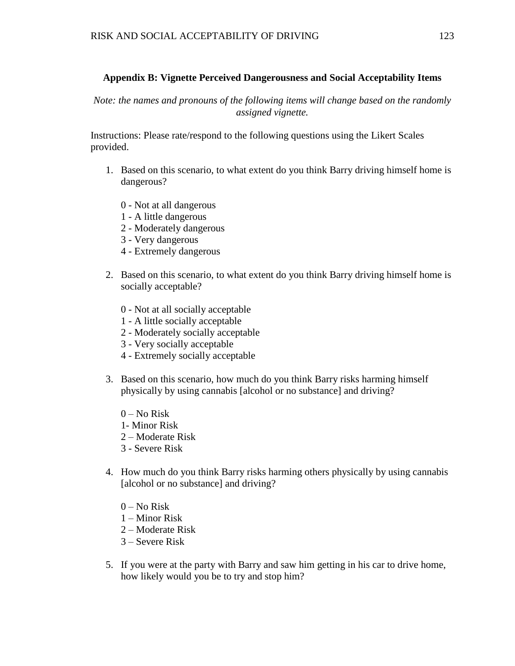# **Appendix B: Vignette Perceived Dangerousness and Social Acceptability Items**

*Note: the names and pronouns of the following items will change based on the randomly assigned vignette.*

Instructions: Please rate/respond to the following questions using the Likert Scales provided.

- 1. Based on this scenario, to what extent do you think Barry driving himself home is dangerous?
	- 0 Not at all dangerous
	- 1 A little dangerous
	- 2 Moderately dangerous
	- 3 Very dangerous
	- 4 Extremely dangerous
- 2. Based on this scenario, to what extent do you think Barry driving himself home is socially acceptable?
	- 0 Not at all socially acceptable
	- 1 A little socially acceptable
	- 2 Moderately socially acceptable
	- 3 Very socially acceptable
	- 4 Extremely socially acceptable
- 3. Based on this scenario, how much do you think Barry risks harming himself physically by using cannabis [alcohol or no substance] and driving?
	- $0 No$  Risk
	- 1- Minor Risk
	- 2 Moderate Risk
	- 3 Severe Risk
- 4. How much do you think Barry risks harming others physically by using cannabis [alcohol or no substance] and driving?
	- $0$  No Risk
	- 1 Minor Risk
	- 2 Moderate Risk
	- 3 Severe Risk
- 5. If you were at the party with Barry and saw him getting in his car to drive home, how likely would you be to try and stop him?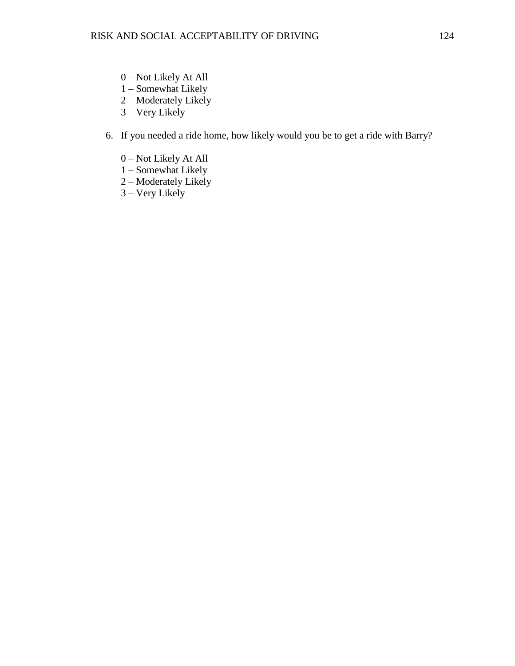- 0 Not Likely At All
- 1 Somewhat Likely
- 2 Moderately Likely
- 3 Very Likely

# 6. If you needed a ride home, how likely would you be to get a ride with Barry?

- 0 Not Likely At All
- 1 Somewhat Likely
- 2 Moderately Likely
- 3 Very Likely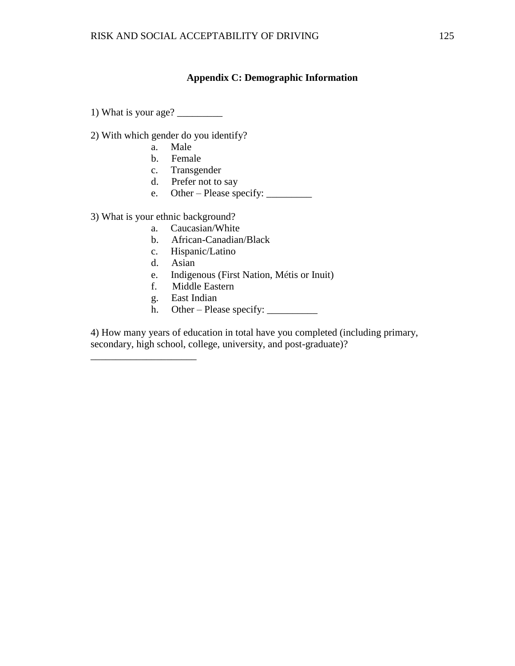# **Appendix C: Demographic Information**

1) What is your age?  $\frac{1}{2}$ 

2) With which gender do you identify?

- a. Male
- b. Female
- c. Transgender
- d. Prefer not to say
- e. Other Please specify: \_\_\_\_\_\_\_\_\_

3) What is your ethnic background?

\_\_\_\_\_\_\_\_\_\_\_\_\_\_\_\_\_\_\_\_\_

- a. Caucasian/White
- b. African-Canadian/Black
- c. Hispanic/Latino
- d. Asian
- e. Indigenous (First Nation, Métis or Inuit)
- f. Middle Eastern
- g. East Indian
- h. Other Please specify:  $\frac{\ }{\ }$

4) How many years of education in total have you completed (including primary, secondary, high school, college, university, and post-graduate)?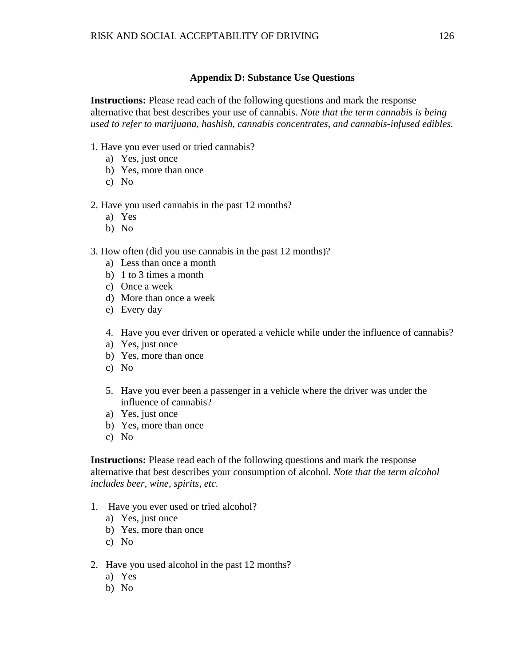# **Appendix D: Substance Use Questions**

**Instructions:** Please read each of the following questions and mark the response alternative that best describes your use of cannabis. *Note that the term cannabis is being used to refer to marijuana, hashish, cannabis concentrates, and cannabis-infused edibles.* 

- 1. Have you ever used or tried cannabis?
	- a) Yes, just once
	- b) Yes, more than once
	- c) No
- 2. Have you used cannabis in the past 12 months?
	- a) Yes
	- b) No
- 3. How often (did you use cannabis in the past 12 months)?
	- a) Less than once a month
	- b) 1 to 3 times a month
	- c) Once a week
	- d) More than once a week
	- e) Every day
	- 4. Have you ever driven or operated a vehicle while under the influence of cannabis?
	- a) Yes, just once
	- b) Yes, more than once
	- c) No
	- 5. Have you ever been a passenger in a vehicle where the driver was under the influence of cannabis?
	- a) Yes, just once
	- b) Yes, more than once
	- c) No

**Instructions:** Please read each of the following questions and mark the response alternative that best describes your consumption of alcohol. *Note that the term alcohol includes beer, wine, spirits, etc.* 

- 1. Have you ever used or tried alcohol?
	- a) Yes, just once
	- b) Yes, more than once
	- c) No
- 2. Have you used alcohol in the past 12 months?
	- a) Yes
	- b) No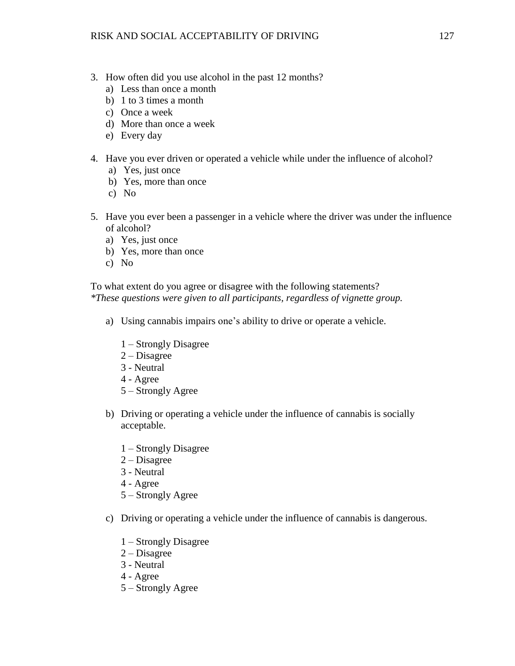- 3. How often did you use alcohol in the past 12 months?
	- a) Less than once a month
	- b) 1 to 3 times a month
	- c) Once a week
	- d) More than once a week
	- e) Every day
- 4. Have you ever driven or operated a vehicle while under the influence of alcohol?
	- a) Yes, just once
	- b) Yes, more than once
	- c) No
- 5. Have you ever been a passenger in a vehicle where the driver was under the influence of alcohol?
	- a) Yes, just once
	- b) Yes, more than once
	- c) No

To what extent do you agree or disagree with the following statements? *\*These questions were given to all participants, regardless of vignette group.*

- a) Using cannabis impairs one's ability to drive or operate a vehicle.
	- 1 Strongly Disagree
	- 2 Disagree
	- 3 Neutral
	- 4 Agree
	- 5 Strongly Agree
- b) Driving or operating a vehicle under the influence of cannabis is socially acceptable.
	- 1 Strongly Disagree
	- 2 Disagree
	- 3 Neutral
	- 4 Agree
	- 5 Strongly Agree
- c) Driving or operating a vehicle under the influence of cannabis is dangerous.
	- 1 Strongly Disagree
	- 2 Disagree
	- 3 Neutral
	- 4 Agree
	- 5 Strongly Agree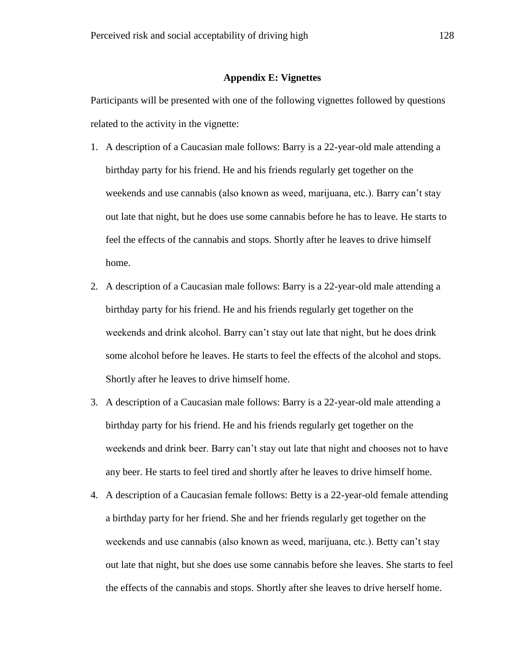#### **Appendix E: Vignettes**

Participants will be presented with one of the following vignettes followed by questions related to the activity in the vignette:

- 1. A description of a Caucasian male follows: Barry is a 22-year-old male attending a birthday party for his friend. He and his friends regularly get together on the weekends and use cannabis (also known as weed, marijuana, etc.). Barry can't stay out late that night, but he does use some cannabis before he has to leave. He starts to feel the effects of the cannabis and stops. Shortly after he leaves to drive himself home.
- 2. A description of a Caucasian male follows: Barry is a 22-year-old male attending a birthday party for his friend. He and his friends regularly get together on the weekends and drink alcohol. Barry can't stay out late that night, but he does drink some alcohol before he leaves. He starts to feel the effects of the alcohol and stops. Shortly after he leaves to drive himself home.
- 3. A description of a Caucasian male follows: Barry is a 22-year-old male attending a birthday party for his friend. He and his friends regularly get together on the weekends and drink beer. Barry can't stay out late that night and chooses not to have any beer. He starts to feel tired and shortly after he leaves to drive himself home.
- 4. A description of a Caucasian female follows: Betty is a 22-year-old female attending a birthday party for her friend. She and her friends regularly get together on the weekends and use cannabis (also known as weed, marijuana, etc.). Betty can't stay out late that night, but she does use some cannabis before she leaves. She starts to feel the effects of the cannabis and stops. Shortly after she leaves to drive herself home.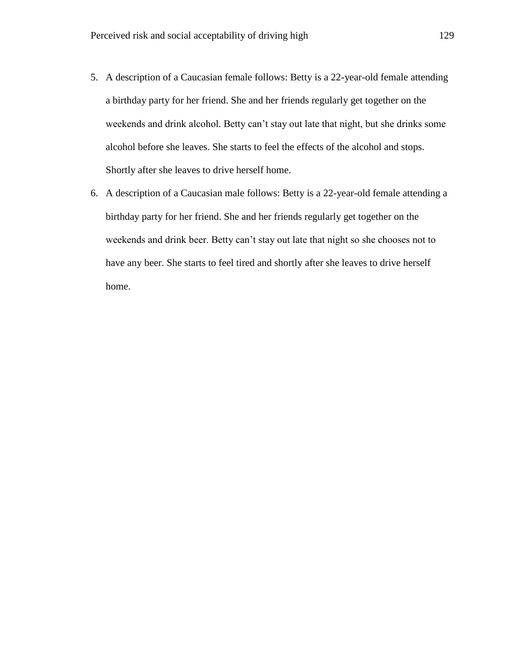- 5. A description of a Caucasian female follows: Betty is a 22-year-old female attending a birthday party for her friend. She and her friends regularly get together on the weekends and drink alcohol. Betty can't stay out late that night, but she drinks some alcohol before she leaves. She starts to feel the effects of the alcohol and stops. Shortly after she leaves to drive herself home.
- 6. A description of a Caucasian male follows: Betty is a 22-year-old female attending a birthday party for her friend. She and her friends regularly get together on the weekends and drink beer. Betty can't stay out late that night so she chooses not to have any beer. She starts to feel tired and shortly after she leaves to drive herself home.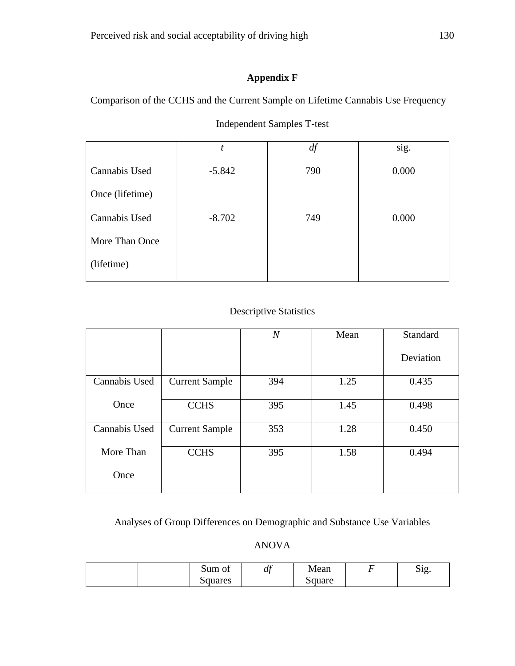# **Appendix F**

Comparison of the CCHS and the Current Sample on Lifetime Cannabis Use Frequency

|                 |          | df  | sig.  |
|-----------------|----------|-----|-------|
| Cannabis Used   | $-5.842$ | 790 | 0.000 |
| Once (lifetime) |          |     |       |
| Cannabis Used   | $-8.702$ | 749 | 0.000 |
| More Than Once  |          |     |       |
| (lifetime)      |          |     |       |

# Independent Samples T-test

# Descriptive Statistics

|               |                       | $\boldsymbol{N}$ | Mean | Standard  |
|---------------|-----------------------|------------------|------|-----------|
|               |                       |                  |      | Deviation |
| Cannabis Used | <b>Current Sample</b> | 394              | 1.25 | 0.435     |
| Once          | <b>CCHS</b>           | 395              | 1.45 | 0.498     |
| Cannabis Used | <b>Current Sample</b> | 353              | 1.28 | 0.450     |
| More Than     | <b>CCHS</b>           | 395              | 1.58 | 0.494     |
| Once          |                       |                  |      |           |

Analyses of Group Differences on Demographic and Substance Use Variables

# ANOVA

|  | Sum of  | $\overline{ }$<br>u | Mean   | $\sim \cdot$<br>.1 <sub>C</sub><br>ນ⊥⊆<br>J |
|--|---------|---------------------|--------|---------------------------------------------|
|  | Squares |                     | Square |                                             |